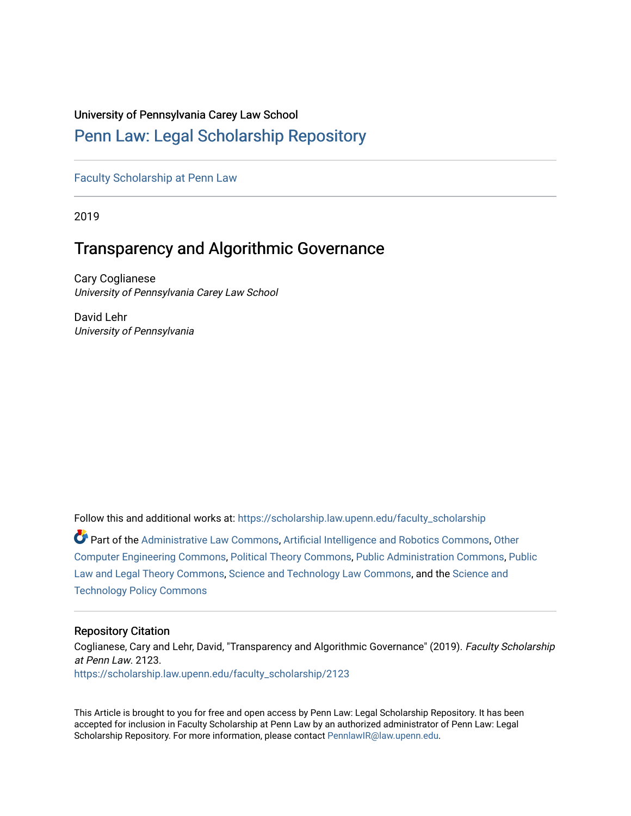## University of Pennsylvania Carey Law School

# [Penn Law: Legal Scholarship Repository](https://scholarship.law.upenn.edu/)

[Faculty Scholarship at Penn Law](https://scholarship.law.upenn.edu/faculty_scholarship)

2019

# Transparency and Algorithmic Governance

Cary Coglianese University of Pennsylvania Carey Law School

David Lehr University of Pennsylvania

Follow this and additional works at: [https://scholarship.law.upenn.edu/faculty\\_scholarship](https://scholarship.law.upenn.edu/faculty_scholarship?utm_source=scholarship.law.upenn.edu%2Ffaculty_scholarship%2F2123&utm_medium=PDF&utm_campaign=PDFCoverPages) 

Part of the [Administrative Law Commons,](http://network.bepress.com/hgg/discipline/579?utm_source=scholarship.law.upenn.edu%2Ffaculty_scholarship%2F2123&utm_medium=PDF&utm_campaign=PDFCoverPages) [Artificial Intelligence and Robotics Commons](http://network.bepress.com/hgg/discipline/143?utm_source=scholarship.law.upenn.edu%2Ffaculty_scholarship%2F2123&utm_medium=PDF&utm_campaign=PDFCoverPages), [Other](http://network.bepress.com/hgg/discipline/265?utm_source=scholarship.law.upenn.edu%2Ffaculty_scholarship%2F2123&utm_medium=PDF&utm_campaign=PDFCoverPages)  [Computer Engineering Commons](http://network.bepress.com/hgg/discipline/265?utm_source=scholarship.law.upenn.edu%2Ffaculty_scholarship%2F2123&utm_medium=PDF&utm_campaign=PDFCoverPages), [Political Theory Commons](http://network.bepress.com/hgg/discipline/391?utm_source=scholarship.law.upenn.edu%2Ffaculty_scholarship%2F2123&utm_medium=PDF&utm_campaign=PDFCoverPages), [Public Administration Commons](http://network.bepress.com/hgg/discipline/398?utm_source=scholarship.law.upenn.edu%2Ffaculty_scholarship%2F2123&utm_medium=PDF&utm_campaign=PDFCoverPages), [Public](http://network.bepress.com/hgg/discipline/871?utm_source=scholarship.law.upenn.edu%2Ffaculty_scholarship%2F2123&utm_medium=PDF&utm_campaign=PDFCoverPages) [Law and Legal Theory Commons,](http://network.bepress.com/hgg/discipline/871?utm_source=scholarship.law.upenn.edu%2Ffaculty_scholarship%2F2123&utm_medium=PDF&utm_campaign=PDFCoverPages) [Science and Technology Law Commons](http://network.bepress.com/hgg/discipline/875?utm_source=scholarship.law.upenn.edu%2Ffaculty_scholarship%2F2123&utm_medium=PDF&utm_campaign=PDFCoverPages), and the [Science and](http://network.bepress.com/hgg/discipline/1029?utm_source=scholarship.law.upenn.edu%2Ffaculty_scholarship%2F2123&utm_medium=PDF&utm_campaign=PDFCoverPages) [Technology Policy Commons](http://network.bepress.com/hgg/discipline/1029?utm_source=scholarship.law.upenn.edu%2Ffaculty_scholarship%2F2123&utm_medium=PDF&utm_campaign=PDFCoverPages) 

#### Repository Citation

Coglianese, Cary and Lehr, David, "Transparency and Algorithmic Governance" (2019). Faculty Scholarship at Penn Law. 2123. [https://scholarship.law.upenn.edu/faculty\\_scholarship/2123](https://scholarship.law.upenn.edu/faculty_scholarship/2123?utm_source=scholarship.law.upenn.edu%2Ffaculty_scholarship%2F2123&utm_medium=PDF&utm_campaign=PDFCoverPages)

This Article is brought to you for free and open access by Penn Law: Legal Scholarship Repository. It has been accepted for inclusion in Faculty Scholarship at Penn Law by an authorized administrator of Penn Law: Legal Scholarship Repository. For more information, please contact [PennlawIR@law.upenn.edu.](mailto:PennlawIR@law.upenn.edu)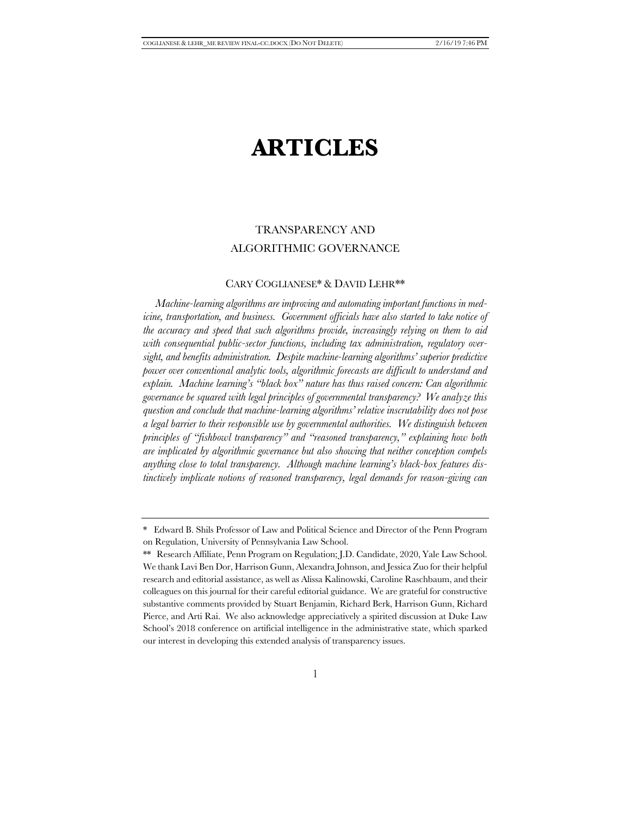# **ARTICLES**

## TRANSPARENCY AND ALGORITHMIC GOVERNANCE

#### CARY COGLIANESE\* & DAVID LEHR\*\*

*Machine-learning algorithms are improving and automating important functions in medicine, transportation, and business. Government officials have also started to take notice of the accuracy and speed that such algorithms provide, increasingly relying on them to aid with consequential public-sector functions, including tax administration, regulatory oversight, and benefits administration. Despite machine-learning algorithms' superior predictive power over conventional analytic tools, algorithmic forecasts are difficult to understand and explain. Machine learning's "black box" nature has thus raised concern: Can algorithmic governance be squared with legal principles of governmental transparency? We analyze this question and conclude that machine-learning algorithms' relative inscrutability does not pose a legal barrier to their responsible use by governmental authorities. We distinguish between principles of "fishbowl transparency" and "reasoned transparency," explaining how both are implicated by algorithmic governance but also showing that neither conception compels anything close to total transparency. Although machine learning's black-box features distinctively implicate notions of reasoned transparency, legal demands for reason-giving can* 

<sup>\*</sup> Edward B. Shils Professor of Law and Political Science and Director of the Penn Program on Regulation, University of Pennsylvania Law School.

<sup>\*\*</sup> Research Affiliate, Penn Program on Regulation; J.D. Candidate, 2020, Yale Law School. We thank Lavi Ben Dor, Harrison Gunn, Alexandra Johnson, and Jessica Zuo for their helpful research and editorial assistance, as well as Alissa Kalinowski, Caroline Raschbaum, and their colleagues on this journal for their careful editorial guidance. We are grateful for constructive substantive comments provided by Stuart Benjamin, Richard Berk, Harrison Gunn, Richard Pierce, and Arti Rai. We also acknowledge appreciatively a spirited discussion at Duke Law School's 2018 conference on artificial intelligence in the administrative state, which sparked our interest in developing this extended analysis of transparency issues.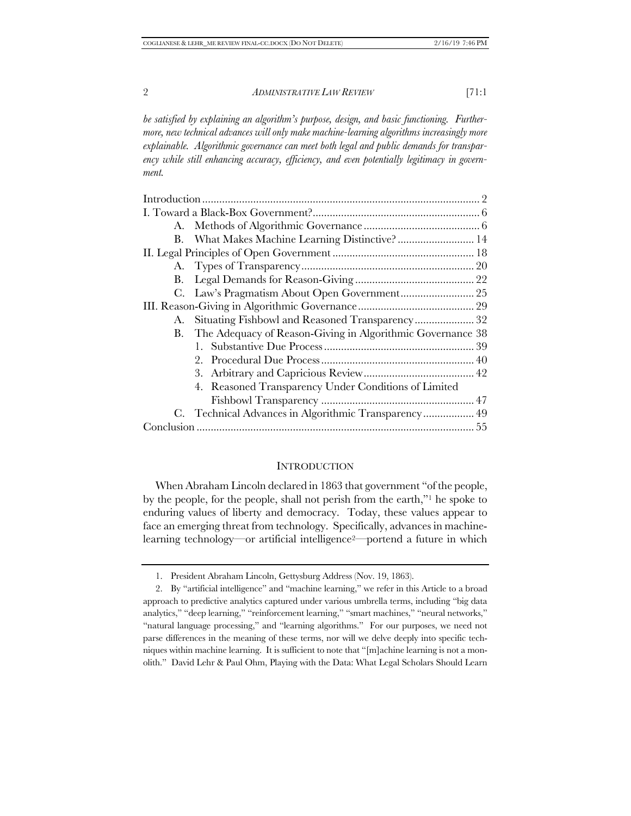*be satisfied by explaining an algorithm's purpose, design, and basic functioning. Furthermore, new technical advances will only make machine-learning algorithms increasingly more explainable. Algorithmic governance can meet both legal and public demands for transparency while still enhancing accuracy, efficiency, and even potentially legitimacy in government.* 

| B. What Makes Machine Learning Distinctive? 14                |  |
|---------------------------------------------------------------|--|
|                                                               |  |
|                                                               |  |
|                                                               |  |
|                                                               |  |
|                                                               |  |
| A. Situating Fishbowl and Reasoned Transparency 32            |  |
| B. The Adequacy of Reason-Giving in Algorithmic Governance 38 |  |
|                                                               |  |
|                                                               |  |
|                                                               |  |
| 4. Reasoned Transparency Under Conditions of Limited          |  |
|                                                               |  |
| C. Technical Advances in Algorithmic Transparency 49          |  |
|                                                               |  |
|                                                               |  |

#### **INTRODUCTION**

When Abraham Lincoln declared in 1863 that government "of the people, by the people, for the people, shall not perish from the earth,"1 he spoke to enduring values of liberty and democracy. Today, these values appear to face an emerging threat from technology. Specifically, advances in machinelearning technology—or artificial intelligence2—portend a future in which

<sup>1.</sup> President Abraham Lincoln, Gettysburg Address (Nov. 19, 1863).

<sup>2.</sup> By "artificial intelligence" and "machine learning," we refer in this Article to a broad approach to predictive analytics captured under various umbrella terms, including "big data analytics," "deep learning," "reinforcement learning," "smart machines," "neural networks," "natural language processing," and "learning algorithms." For our purposes, we need not parse differences in the meaning of these terms, nor will we delve deeply into specific techniques within machine learning. It is sufficient to note that "[m]achine learning is not a monolith." David Lehr & Paul Ohm, Playing with the Data: What Legal Scholars Should Learn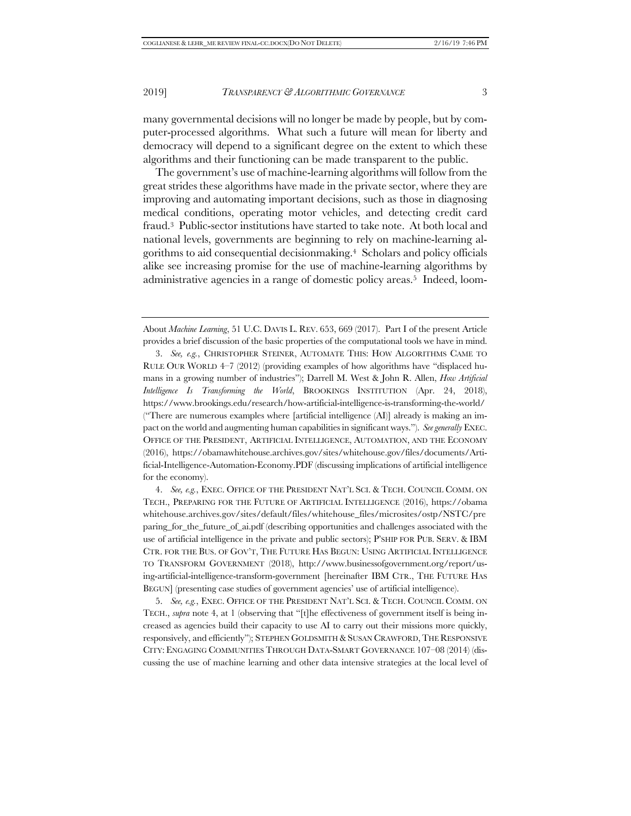many governmental decisions will no longer be made by people, but by computer-processed algorithms. What such a future will mean for liberty and democracy will depend to a significant degree on the extent to which these algorithms and their functioning can be made transparent to the public.

The government's use of machine-learning algorithms will follow from the great strides these algorithms have made in the private sector, where they are improving and automating important decisions, such as those in diagnosing medical conditions, operating motor vehicles, and detecting credit card fraud.3 Public-sector institutions have started to take note. At both local and national levels, governments are beginning to rely on machine-learning algorithms to aid consequential decisionmaking.4 Scholars and policy officials alike see increasing promise for the use of machine-learning algorithms by administrative agencies in a range of domestic policy areas.5 Indeed, loom-

5. *See, e.g.*, EXEC. OFFICE OF THE PRESIDENT NAT'L SCI. & TECH. COUNCIL COMM. ON TECH., *supra* note 4, at 1 (observing that "[t]he effectiveness of government itself is being increased as agencies build their capacity to use AI to carry out their missions more quickly, responsively, and efficiently"); STEPHEN GOLDSMITH &SUSAN CRAWFORD,THE RESPONSIVE CITY: ENGAGING COMMUNITIES THROUGH DATA-SMART GOVERNANCE 107–08 (2014) (discussing the use of machine learning and other data intensive strategies at the local level of

About *Machine Learning*, 51 U.C. DAVIS L. REV. 653, 669 (2017). Part I of the present Article provides a brief discussion of the basic properties of the computational tools we have in mind.

<sup>3.</sup> *See, e.g.*, CHRISTOPHER STEINER, AUTOMATE THIS: HOW ALGORITHMS CAME TO RULE OUR WORLD 4–7 (2012) (providing examples of how algorithms have "displaced humans in a growing number of industries"); Darrell M. West & John R. Allen, *How Artificial Intelligence Is Transforming the World*, BROOKINGS INSTITUTION (Apr. 24, 2018), https://www.brookings.edu/research/how-artificial-intelligence-is-transforming-the-world/ ("There are numerous examples where [artificial intelligence (AI)] already is making an impact on the world and augmenting human capabilities in significant ways."). *See generally* EXEC. OFFICE OF THE PRESIDENT, ARTIFICIAL INTELLIGENCE, AUTOMATION, AND THE ECONOMY (2016), https://obamawhitehouse.archives.gov/sites/whitehouse.gov/files/documents/Artificial-Intelligence-Automation-Economy.PDF (discussing implications of artificial intelligence for the economy).

<sup>4.</sup> *See, e.g.*, EXEC. OFFICE OF THE PRESIDENT NAT'L SCI. & TECH. COUNCIL COMM. ON TECH., PREPARING FOR THE FUTURE OF ARTIFICIAL INTELLIGENCE (2016), https://obama whitehouse.archives.gov/sites/default/files/whitehouse\_files/microsites/ostp/NSTC/pre paring\_for\_the\_future\_of\_ai.pdf (describing opportunities and challenges associated with the use of artificial intelligence in the private and public sectors); P'SHIP FOR PUB. SERV. & IBM CTR. FOR THE BUS. OF GOV'T, THE FUTURE HAS BEGUN: USING ARTIFICIAL INTELLIGENCE TO TRANSFORM GOVERNMENT (2018), http://www.businessofgovernment.org/report/using-artificial-intelligence-transform-government [hereinafter IBM CTR., THE FUTURE HAS BEGUN] (presenting case studies of government agencies' use of artificial intelligence).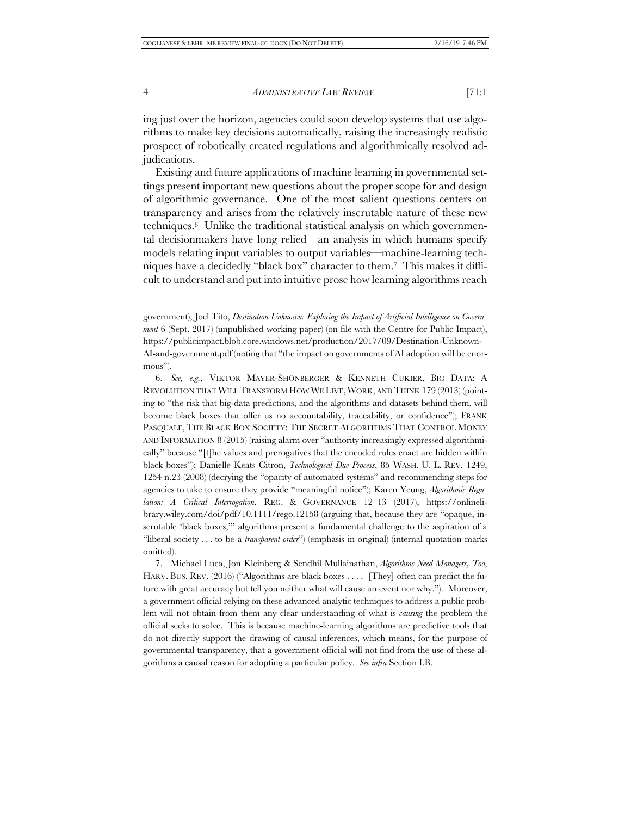ing just over the horizon, agencies could soon develop systems that use algorithms to make key decisions automatically, raising the increasingly realistic prospect of robotically created regulations and algorithmically resolved adjudications.

Existing and future applications of machine learning in governmental settings present important new questions about the proper scope for and design of algorithmic governance. One of the most salient questions centers on transparency and arises from the relatively inscrutable nature of these new techniques.6 Unlike the traditional statistical analysis on which governmental decisionmakers have long relied—an analysis in which humans specify models relating input variables to output variables—machine-learning techniques have a decidedly "black box" character to them.<sup>7</sup> This makes it difficult to understand and put into intuitive prose how learning algorithms reach

6. *See, e.g.*, VIKTOR MAYER-SHÖNBERGER & KENNETH CUKIER, BIG DATA: A REVOLUTION THAT WILL TRANSFORM HOW WE LIVE, WORK, AND THINK 179 (2013) (pointing to "the risk that big-data predictions, and the algorithms and datasets behind them, will become black boxes that offer us no accountability, traceability, or confidence"); FRANK PASQUALE, THE BLACK BOX SOCIETY: THE SECRET ALGORITHMS THAT CONTROL MONEY AND INFORMATION 8 (2015) (raising alarm over "authority increasingly expressed algorithmically" because "[t]he values and prerogatives that the encoded rules enact are hidden within black boxes"); Danielle Keats Citron, *Technological Due Process*, 85 WASH. U. L. REV. 1249, 1254 n.23 (2008) (decrying the "opacity of automated systems" and recommending steps for agencies to take to ensure they provide "meaningful notice"); Karen Yeung, *Algorithmic Regulation: A Critical Interrogation*, REG. & GOVERNANCE 12–13 (2017), https://onlinelibrary.wiley.com/doi/pdf/10.1111/rego.12158 (arguing that, because they are "opaque, inscrutable 'black boxes,'" algorithms present a fundamental challenge to the aspiration of a "liberal society . . . to be a *transparent order*") (emphasis in original) (internal quotation marks omitted).

7. Michael Luca, Jon Kleinberg & Sendhil Mullainathan, *Algorithms Need Managers, Too*, HARV. BUS. REV. (2016) ("Algorithms are black boxes . . . . [They] often can predict the future with great accuracy but tell you neither what will cause an event nor why."). Moreover, a government official relying on these advanced analytic techniques to address a public problem will not obtain from them any clear understanding of what is *causing* the problem the official seeks to solve. This is because machine-learning algorithms are predictive tools that do not directly support the drawing of causal inferences, which means, for the purpose of governmental transparency, that a government official will not find from the use of these algorithms a causal reason for adopting a particular policy. *See infra* Section I.B.

government); Joel Tito, *Destination Unknown: Exploring the Impact of Artificial Intelligence on Government* 6 (Sept. 2017) (unpublished working paper) (on file with the Centre for Public Impact), https://publicimpact.blob.core.windows.net/production/2017/09/Destination-Unknown-AI-and-government.pdf (noting that "the impact on governments of AI adoption will be enormous").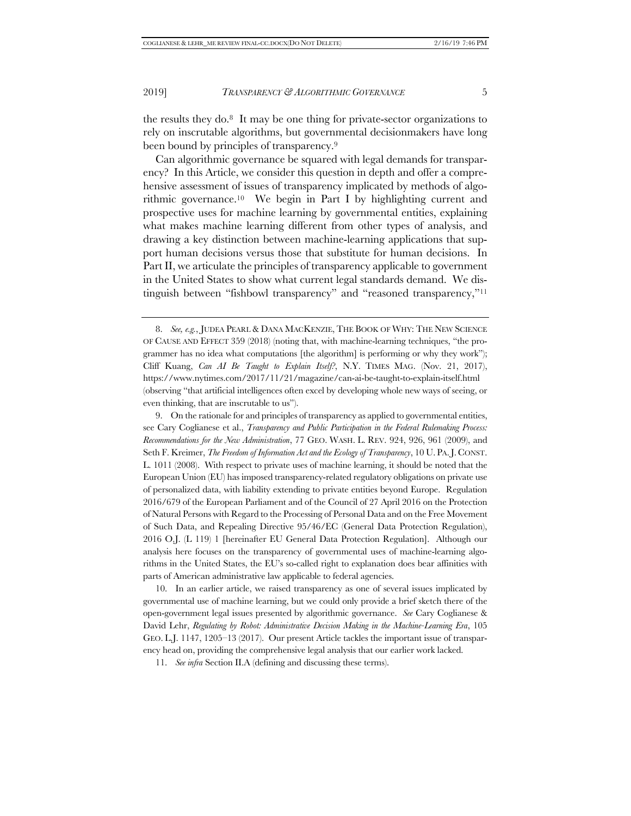the results they do.8 It may be one thing for private-sector organizations to rely on inscrutable algorithms, but governmental decisionmakers have long been bound by principles of transparency.9

Can algorithmic governance be squared with legal demands for transparency? In this Article, we consider this question in depth and offer a comprehensive assessment of issues of transparency implicated by methods of algorithmic governance.10 We begin in Part I by highlighting current and prospective uses for machine learning by governmental entities, explaining what makes machine learning different from other types of analysis, and drawing a key distinction between machine-learning applications that support human decisions versus those that substitute for human decisions. In Part II, we articulate the principles of transparency applicable to government in the United States to show what current legal standards demand. We distinguish between "fishbowl transparency" and "reasoned transparency,"11

10. In an earlier article, we raised transparency as one of several issues implicated by governmental use of machine learning, but we could only provide a brief sketch there of the open-government legal issues presented by algorithmic governance. *See* Cary Coglianese & David Lehr, *Regulating by Robot: Administrative Decision Making in the Machine-Learning Era*, 105 GEO. L.J. 1147, 1205–13 (2017). Our present Article tackles the important issue of transparency head on, providing the comprehensive legal analysis that our earlier work lacked.

<sup>8.</sup> *See, e.g.*, JUDEA PEARL & DANA MACKENZIE, THE BOOK OF WHY: THE NEW SCIENCE OF CAUSE AND EFFECT 359 (2018) (noting that, with machine-learning techniques, "the programmer has no idea what computations [the algorithm] is performing or why they work"); Cliff Kuang, *Can AI Be Taught to Explain Itself?*, N.Y. TIMES MAG. (Nov. 21, 2017), https://www.nytimes.com/2017/11/21/magazine/can-ai-be-taught-to-explain-itself.html (observing "that artificial intelligences often excel by developing whole new ways of seeing, or even thinking, that are inscrutable to us").

<sup>9.</sup> On the rationale for and principles of transparency as applied to governmental entities, see Cary Coglianese et al., *Transparency and Public Participation in the Federal Rulemaking Process: Recommendations for the New Administration*, 77 GEO. WASH. L. REV. 924, 926, 961 (2009), and Seth F. Kreimer, *The Freedom of Information Act and the Ecology of Transparency*, 10 U. PA.J. CONST. L. 1011 (2008). With respect to private uses of machine learning, it should be noted that the European Union (EU) has imposed transparency-related regulatory obligations on private use of personalized data, with liability extending to private entities beyond Europe. Regulation 2016/679 of the European Parliament and of the Council of 27 April 2016 on the Protection of Natural Persons with Regard to the Processing of Personal Data and on the Free Movement of Such Data, and Repealing Directive 95/46/EC (General Data Protection Regulation), 2016 O.J. (L 119) 1 [hereinafter EU General Data Protection Regulation]. Although our analysis here focuses on the transparency of governmental uses of machine-learning algorithms in the United States, the EU's so-called right to explanation does bear affinities with parts of American administrative law applicable to federal agencies.

<sup>11.</sup> *See infra* Section II.A (defining and discussing these terms).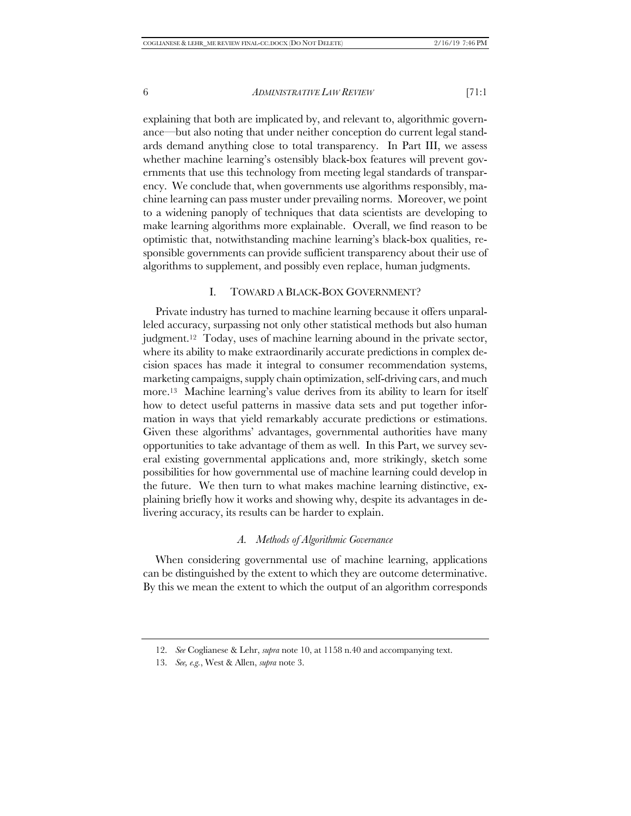explaining that both are implicated by, and relevant to, algorithmic governance—but also noting that under neither conception do current legal standards demand anything close to total transparency. In Part III, we assess whether machine learning's ostensibly black-box features will prevent governments that use this technology from meeting legal standards of transparency. We conclude that, when governments use algorithms responsibly, machine learning can pass muster under prevailing norms. Moreover, we point to a widening panoply of techniques that data scientists are developing to make learning algorithms more explainable. Overall, we find reason to be optimistic that, notwithstanding machine learning's black-box qualities, responsible governments can provide sufficient transparency about their use of algorithms to supplement, and possibly even replace, human judgments.

#### I. TOWARD A BLACK-BOX GOVERNMENT?

Private industry has turned to machine learning because it offers unparalleled accuracy, surpassing not only other statistical methods but also human judgment.12 Today, uses of machine learning abound in the private sector, where its ability to make extraordinarily accurate predictions in complex decision spaces has made it integral to consumer recommendation systems, marketing campaigns, supply chain optimization, self-driving cars, and much more.13 Machine learning's value derives from its ability to learn for itself how to detect useful patterns in massive data sets and put together information in ways that yield remarkably accurate predictions or estimations. Given these algorithms' advantages, governmental authorities have many opportunities to take advantage of them as well. In this Part, we survey several existing governmental applications and, more strikingly, sketch some possibilities for how governmental use of machine learning could develop in the future. We then turn to what makes machine learning distinctive, explaining briefly how it works and showing why, despite its advantages in delivering accuracy, its results can be harder to explain.

#### *A. Methods of Algorithmic Governance*

When considering governmental use of machine learning, applications can be distinguished by the extent to which they are outcome determinative. By this we mean the extent to which the output of an algorithm corresponds

<sup>12.</sup> *See* Coglianese & Lehr, *supra* note 10, at 1158 n.40 and accompanying text.

<sup>13.</sup> *See, e.g.*, West & Allen, *supra* note 3.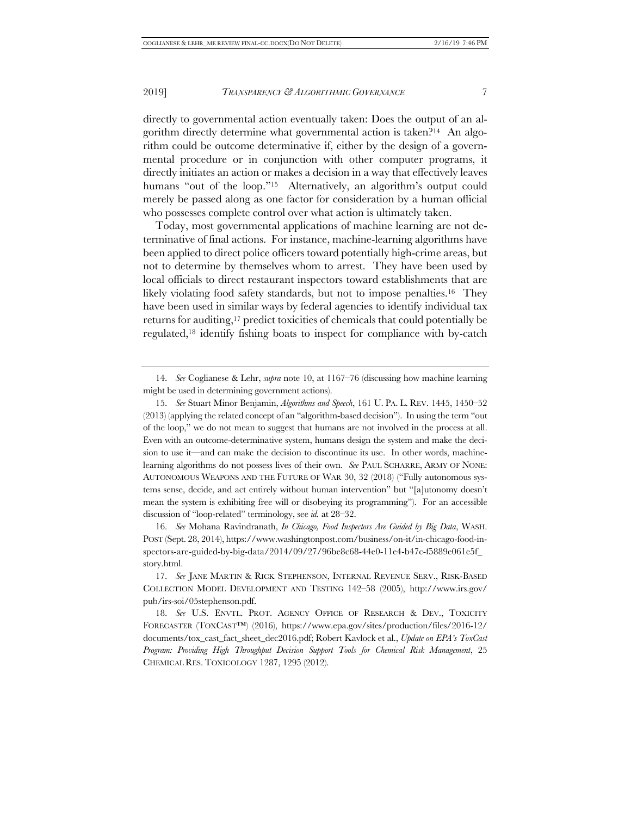directly to governmental action eventually taken: Does the output of an algorithm directly determine what governmental action is taken?14 An algorithm could be outcome determinative if, either by the design of a governmental procedure or in conjunction with other computer programs, it directly initiates an action or makes a decision in a way that effectively leaves humans "out of the loop."<sup>15</sup> Alternatively, an algorithm's output could merely be passed along as one factor for consideration by a human official who possesses complete control over what action is ultimately taken.

Today, most governmental applications of machine learning are not determinative of final actions. For instance, machine-learning algorithms have been applied to direct police officers toward potentially high-crime areas, but not to determine by themselves whom to arrest. They have been used by local officials to direct restaurant inspectors toward establishments that are likely violating food safety standards, but not to impose penalties.<sup>16</sup> They have been used in similar ways by federal agencies to identify individual tax returns for auditing,17 predict toxicities of chemicals that could potentially be regulated,18 identify fishing boats to inspect for compliance with by-catch

16. *See* Mohana Ravindranath, *In Chicago, Food Inspectors Are Guided by Big Data*, WASH. POST (Sept. 28, 2014), https://www.washingtonpost.com/business/on-it/in-chicago-food-inspectors-are-guided-by-big-data/2014/09/27/96be8c68-44e0-11e4-b47c-f5889e061e5f\_ story.html.

<sup>14.</sup> *See* Coglianese & Lehr, *supra* note 10, at 1167–76 (discussing how machine learning might be used in determining government actions).

<sup>15.</sup> *See* Stuart Minor Benjamin, *Algorithms and Speech*, 161 U. PA. L. REV. 1445, 1450–52 (2013) (applying the related concept of an "algorithm-based decision"). In using the term "out of the loop," we do not mean to suggest that humans are not involved in the process at all. Even with an outcome-determinative system, humans design the system and make the decision to use it—and can make the decision to discontinue its use. In other words, machinelearning algorithms do not possess lives of their own. *See* PAUL SCHARRE, ARMY OF NONE: AUTONOMOUS WEAPONS AND THE FUTURE OF WAR 30, 32 (2018) ("Fully autonomous systems sense, decide, and act entirely without human intervention" but "[a]utonomy doesn't mean the system is exhibiting free will or disobeying its programming"). For an accessible discussion of "loop-related" terminology, see *id.* at 28–32.

<sup>17.</sup> *See* JANE MARTIN & RICK STEPHENSON, INTERNAL REVENUE SERV., RISK-BASED COLLECTION MODEL DEVELOPMENT AND TESTING 142–58 (2005), http://www.irs.gov/ pub/irs-soi/05stephenson.pdf.

<sup>18.</sup> *See* U.S. ENVTL. PROT. AGENCY OFFICE OF RESEARCH & DEV., TOXICITY FORECASTER (TOXCAST™) (2016), https://www.epa.gov/sites/production/files/2016-12/ documents/tox\_cast\_fact\_sheet\_dec2016.pdf; Robert Kavlock et al., *Update on EPA's ToxCast Program: Providing High Throughput Decision Support Tools for Chemical Risk Management*, 25 CHEMICAL RES. TOXICOLOGY 1287, 1295 (2012).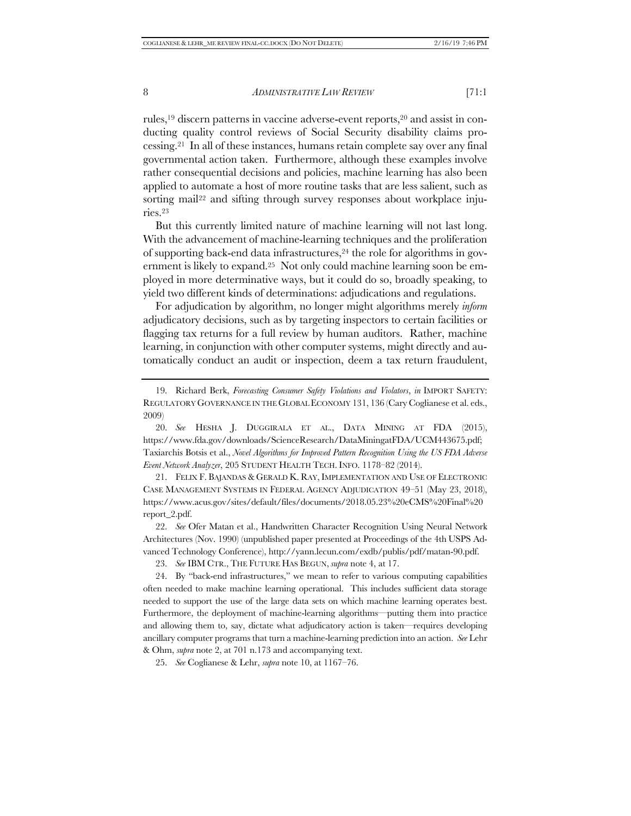rules,19 discern patterns in vaccine adverse-event reports,20 and assist in conducting quality control reviews of Social Security disability claims processing.21 In all of these instances, humans retain complete say over any final governmental action taken. Furthermore, although these examples involve rather consequential decisions and policies, machine learning has also been applied to automate a host of more routine tasks that are less salient, such as sorting mail<sup>22</sup> and sifting through survey responses about workplace injuries.23

But this currently limited nature of machine learning will not last long. With the advancement of machine-learning techniques and the proliferation of supporting back-end data infrastructures,24 the role for algorithms in government is likely to expand.25 Not only could machine learning soon be employed in more determinative ways, but it could do so, broadly speaking, to yield two different kinds of determinations: adjudications and regulations.

For adjudication by algorithm, no longer might algorithms merely *inform* adjudicatory decisions, such as by targeting inspectors to certain facilities or flagging tax returns for a full review by human auditors. Rather, machine learning, in conjunction with other computer systems, might directly and automatically conduct an audit or inspection, deem a tax return fraudulent,

21. FELIX F. BAJANDAS & GERALD K. RAY, IMPLEMENTATION AND USE OF ELECTRONIC CASE MANAGEMENT SYSTEMS IN FEDERAL AGENCY ADJUDICATION 49–51 (May 23, 2018), https://www.acus.gov/sites/default/files/documents/2018.05.23%20eCMS%20Final%20 report\_2.pdf.

22. *See* Ofer Matan et al., Handwritten Character Recognition Using Neural Network Architectures (Nov. 1990) (unpublished paper presented at Proceedings of the 4th USPS Advanced Technology Conference), http://yann.lecun.com/exdb/publis/pdf/matan-90.pdf.

23. *See* IBM CTR., THE FUTURE HAS BEGUN, *supra* note 4, at 17.

24. By "back-end infrastructures," we mean to refer to various computing capabilities often needed to make machine learning operational. This includes sufficient data storage needed to support the use of the large data sets on which machine learning operates best. Furthermore, the deployment of machine-learning algorithms—putting them into practice and allowing them to, say, dictate what adjudicatory action is taken—requires developing ancillary computer programs that turn a machine-learning prediction into an action. *See* Lehr & Ohm, *supra* note 2, at 701 n.173 and accompanying text.

25. *See* Coglianese & Lehr, *supra* note 10, at 1167–76.

<sup>19.</sup> Richard Berk, *Forecasting Consumer Safety Violations and Violators*, *in* IMPORT SAFETY: REGULATORY GOVERNANCE IN THE GLOBAL ECONOMY 131, 136 (Cary Coglianese et al. eds., 2009)

<sup>20.</sup> *See* HESHA J. DUGGIRALA ET AL., DATA MINING AT FDA (2015), https://www.fda.gov/downloads/ScienceResearch/DataMiningatFDA/UCM443675.pdf; Taxiarchis Botsis et al., *Novel Algorithms for Improved Pattern Recognition Using the US FDA Adverse Event Network Analyzer*, 205 STUDENT HEALTH TECH. INFO. 1178–82 (2014).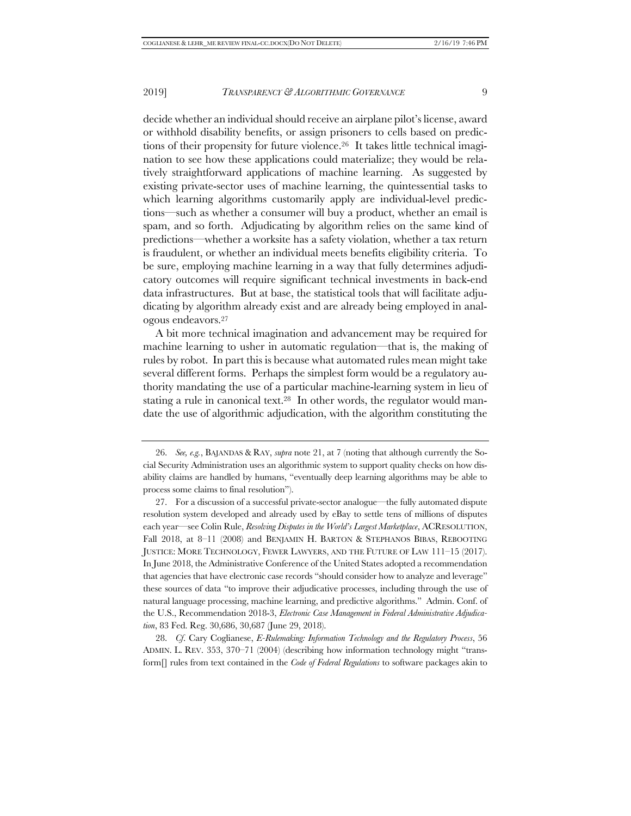decide whether an individual should receive an airplane pilot's license, award or withhold disability benefits, or assign prisoners to cells based on predictions of their propensity for future violence.26 It takes little technical imagination to see how these applications could materialize; they would be relatively straightforward applications of machine learning. As suggested by existing private-sector uses of machine learning, the quintessential tasks to which learning algorithms customarily apply are individual-level predictions—such as whether a consumer will buy a product, whether an email is spam, and so forth. Adjudicating by algorithm relies on the same kind of predictions—whether a worksite has a safety violation, whether a tax return is fraudulent, or whether an individual meets benefits eligibility criteria. To be sure, employing machine learning in a way that fully determines adjudicatory outcomes will require significant technical investments in back-end data infrastructures. But at base, the statistical tools that will facilitate adjudicating by algorithm already exist and are already being employed in analogous endeavors.27

A bit more technical imagination and advancement may be required for machine learning to usher in automatic regulation—that is, the making of rules by robot. In part this is because what automated rules mean might take several different forms. Perhaps the simplest form would be a regulatory authority mandating the use of a particular machine-learning system in lieu of stating a rule in canonical text.28 In other words, the regulator would mandate the use of algorithmic adjudication, with the algorithm constituting the

28. *Cf*. Cary Coglianese, *E-Rulemaking: Information Technology and the Regulatory Process*, 56 ADMIN. L. REV. 353, 370–71 (2004) (describing how information technology might "transform[] rules from text contained in the *Code of Federal Regulations* to software packages akin to

<sup>26.</sup> *See, e.g.*, BAJANDAS & RAY, *supra* note 21, at 7 (noting that although currently the Social Security Administration uses an algorithmic system to support quality checks on how disability claims are handled by humans, "eventually deep learning algorithms may be able to process some claims to final resolution").

<sup>27.</sup> For a discussion of a successful private-sector analogue—the fully automated dispute resolution system developed and already used by eBay to settle tens of millions of disputes each year—see Colin Rule, *Resolving Disputes in the World's Largest Marketplace*, ACRESOLUTION, Fall 2018, at 8–11 (2008) and BENJAMIN H. BARTON & STEPHANOS BIBAS, REBOOTING JUSTICE: MORE TECHNOLOGY, FEWER LAWYERS, AND THE FUTURE OF LAW 111–15 (2017). In June 2018, the Administrative Conference of the United States adopted a recommendation that agencies that have electronic case records "should consider how to analyze and leverage" these sources of data "to improve their adjudicative processes, including through the use of natural language processing, machine learning, and predictive algorithms." Admin. Conf. of the U.S., Recommendation 2018-3, *Electronic Case Management in Federal Administrative Adjudication*, 83 Fed. Reg. 30,686, 30,687 (June 29, 2018).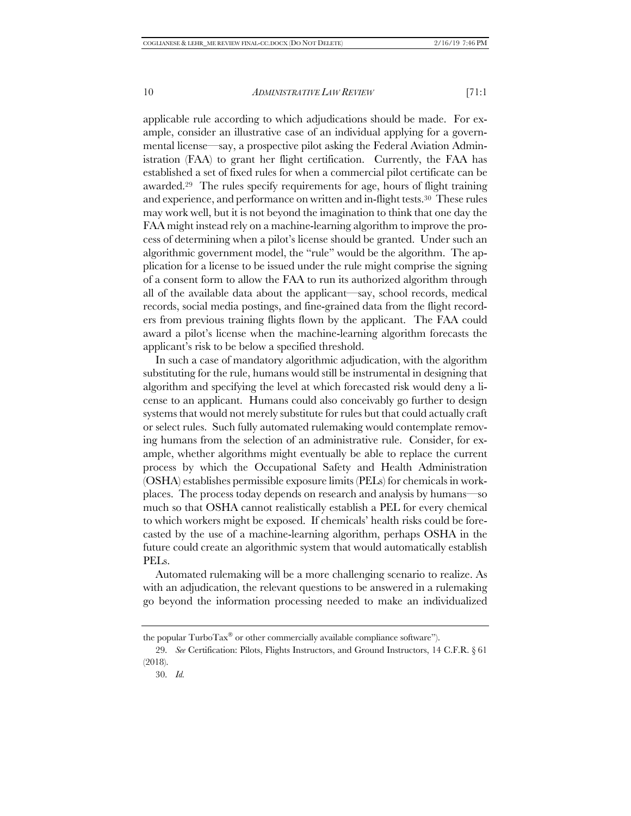applicable rule according to which adjudications should be made. For example, consider an illustrative case of an individual applying for a governmental license—say, a prospective pilot asking the Federal Aviation Administration (FAA) to grant her flight certification. Currently, the FAA has established a set of fixed rules for when a commercial pilot certificate can be awarded.29 The rules specify requirements for age, hours of flight training and experience, and performance on written and in-flight tests.30 These rules may work well, but it is not beyond the imagination to think that one day the FAA might instead rely on a machine-learning algorithm to improve the process of determining when a pilot's license should be granted. Under such an algorithmic government model, the "rule" would be the algorithm. The application for a license to be issued under the rule might comprise the signing of a consent form to allow the FAA to run its authorized algorithm through all of the available data about the applicant—say, school records, medical records, social media postings, and fine-grained data from the flight recorders from previous training flights flown by the applicant. The FAA could award a pilot's license when the machine-learning algorithm forecasts the applicant's risk to be below a specified threshold.

In such a case of mandatory algorithmic adjudication, with the algorithm substituting for the rule, humans would still be instrumental in designing that algorithm and specifying the level at which forecasted risk would deny a license to an applicant. Humans could also conceivably go further to design systems that would not merely substitute for rules but that could actually craft or select rules. Such fully automated rulemaking would contemplate removing humans from the selection of an administrative rule. Consider, for example, whether algorithms might eventually be able to replace the current process by which the Occupational Safety and Health Administration (OSHA) establishes permissible exposure limits (PELs) for chemicals in workplaces. The process today depends on research and analysis by humans—so much so that OSHA cannot realistically establish a PEL for every chemical to which workers might be exposed. If chemicals' health risks could be forecasted by the use of a machine-learning algorithm, perhaps OSHA in the future could create an algorithmic system that would automatically establish PELs.

Automated rulemaking will be a more challenging scenario to realize. As with an adjudication, the relevant questions to be answered in a rulemaking go beyond the information processing needed to make an individualized

the popular  $Turbo Tax^{\circledast}$  or other commercially available compliance software").

<sup>29.</sup> *See* Certification: Pilots, Flights Instructors, and Ground Instructors, 14 C.F.R. § 61 (2018).

<sup>30.</sup> *Id.*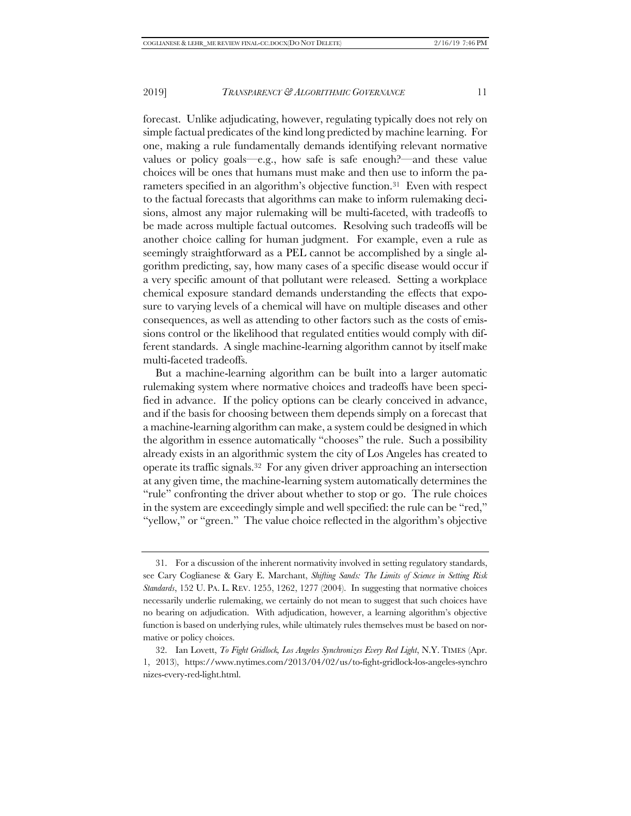forecast. Unlike adjudicating, however, regulating typically does not rely on simple factual predicates of the kind long predicted by machine learning. For one, making a rule fundamentally demands identifying relevant normative values or policy goals—e.g., how safe is safe enough?—and these value choices will be ones that humans must make and then use to inform the parameters specified in an algorithm's objective function.31 Even with respect to the factual forecasts that algorithms can make to inform rulemaking decisions, almost any major rulemaking will be multi-faceted, with tradeoffs to be made across multiple factual outcomes. Resolving such tradeoffs will be another choice calling for human judgment. For example, even a rule as seemingly straightforward as a PEL cannot be accomplished by a single algorithm predicting, say, how many cases of a specific disease would occur if a very specific amount of that pollutant were released. Setting a workplace chemical exposure standard demands understanding the effects that exposure to varying levels of a chemical will have on multiple diseases and other consequences, as well as attending to other factors such as the costs of emissions control or the likelihood that regulated entities would comply with different standards. A single machine-learning algorithm cannot by itself make multi-faceted tradeoffs.

But a machine-learning algorithm can be built into a larger automatic rulemaking system where normative choices and tradeoffs have been specified in advance. If the policy options can be clearly conceived in advance, and if the basis for choosing between them depends simply on a forecast that a machine-learning algorithm can make, a system could be designed in which the algorithm in essence automatically "chooses" the rule. Such a possibility already exists in an algorithmic system the city of Los Angeles has created to operate its traffic signals.32 For any given driver approaching an intersection at any given time, the machine-learning system automatically determines the "rule" confronting the driver about whether to stop or go. The rule choices in the system are exceedingly simple and well specified: the rule can be "red," "yellow," or "green." The value choice reflected in the algorithm's objective

<sup>31.</sup> For a discussion of the inherent normativity involved in setting regulatory standards, see Cary Coglianese & Gary E. Marchant, *Shifting Sands: The Limits of Science in Setting Risk Standards*, 152 U. PA. L. REV. 1255, 1262, 1277 (2004). In suggesting that normative choices necessarily underlie rulemaking, we certainly do not mean to suggest that such choices have no bearing on adjudication. With adjudication, however, a learning algorithm's objective function is based on underlying rules, while ultimately rules themselves must be based on normative or policy choices.

<sup>32.</sup> Ian Lovett, *To Fight Gridlock, Los Angeles Synchronizes Every Red Light*, N.Y. TIMES (Apr. 1, 2013), https://www.nytimes.com/2013/04/02/us/to-fight-gridlock-los-angeles-synchro nizes-every-red-light.html.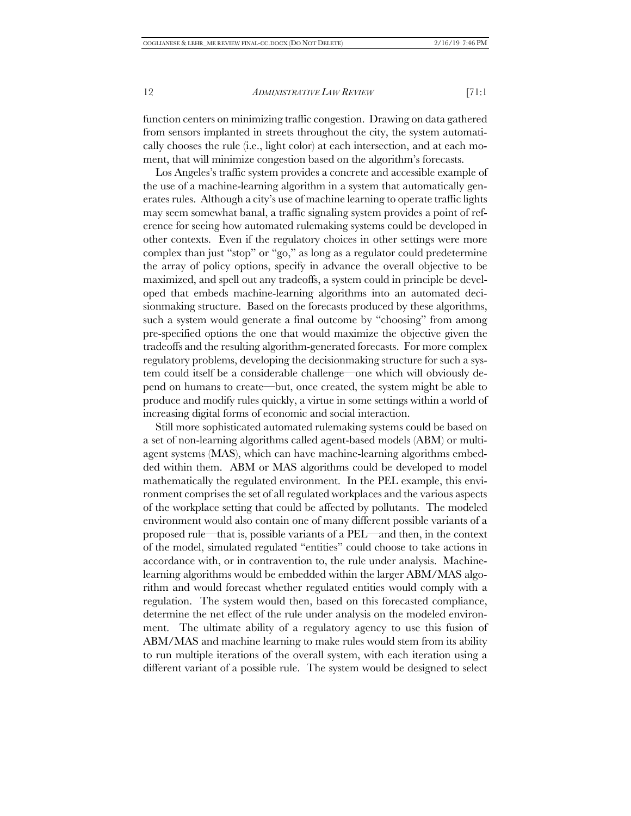function centers on minimizing traffic congestion. Drawing on data gathered from sensors implanted in streets throughout the city, the system automatically chooses the rule (i.e., light color) at each intersection, and at each moment, that will minimize congestion based on the algorithm's forecasts.

Los Angeles's traffic system provides a concrete and accessible example of the use of a machine-learning algorithm in a system that automatically generates rules. Although a city's use of machine learning to operate traffic lights may seem somewhat banal, a traffic signaling system provides a point of reference for seeing how automated rulemaking systems could be developed in other contexts. Even if the regulatory choices in other settings were more complex than just "stop" or "go," as long as a regulator could predetermine the array of policy options, specify in advance the overall objective to be maximized, and spell out any tradeoffs, a system could in principle be developed that embeds machine-learning algorithms into an automated decisionmaking structure. Based on the forecasts produced by these algorithms, such a system would generate a final outcome by "choosing" from among pre-specified options the one that would maximize the objective given the tradeoffs and the resulting algorithm-generated forecasts. For more complex regulatory problems, developing the decisionmaking structure for such a system could itself be a considerable challenge—one which will obviously depend on humans to create—but, once created, the system might be able to produce and modify rules quickly, a virtue in some settings within a world of increasing digital forms of economic and social interaction.

Still more sophisticated automated rulemaking systems could be based on a set of non-learning algorithms called agent-based models (ABM) or multiagent systems (MAS), which can have machine-learning algorithms embedded within them. ABM or MAS algorithms could be developed to model mathematically the regulated environment. In the PEL example, this environment comprises the set of all regulated workplaces and the various aspects of the workplace setting that could be affected by pollutants. The modeled environment would also contain one of many different possible variants of a proposed rule—that is, possible variants of a PEL—and then, in the context of the model, simulated regulated "entities" could choose to take actions in accordance with, or in contravention to, the rule under analysis. Machinelearning algorithms would be embedded within the larger ABM/MAS algorithm and would forecast whether regulated entities would comply with a regulation. The system would then, based on this forecasted compliance, determine the net effect of the rule under analysis on the modeled environment. The ultimate ability of a regulatory agency to use this fusion of ABM/MAS and machine learning to make rules would stem from its ability to run multiple iterations of the overall system, with each iteration using a different variant of a possible rule. The system would be designed to select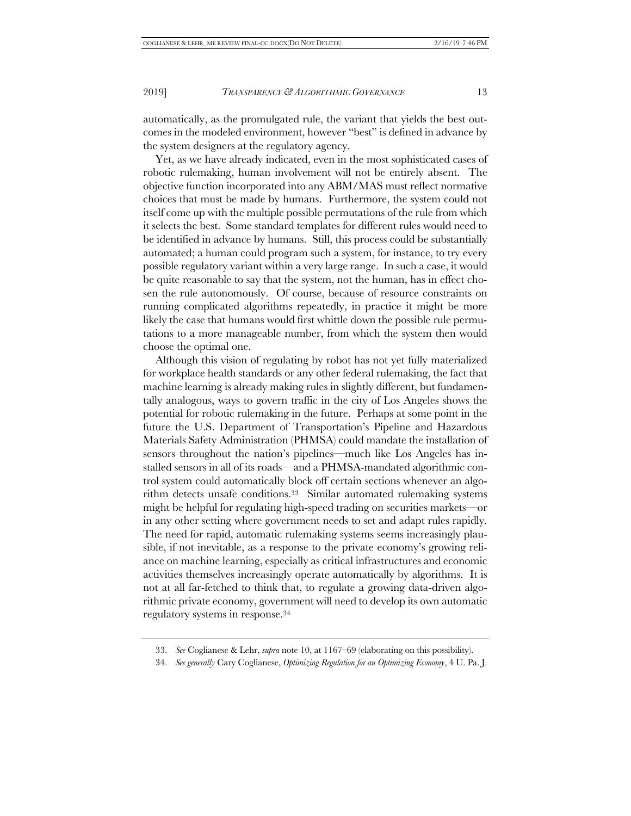automatically, as the promulgated rule, the variant that yields the best outcomes in the modeled environment, however "best" is defined in advance by the system designers at the regulatory agency.

Yet, as we have already indicated, even in the most sophisticated cases of robotic rulemaking, human involvement will not be entirely absent. The objective function incorporated into any ABM/MAS must reflect normative choices that must be made by humans. Furthermore, the system could not itself come up with the multiple possible permutations of the rule from which it selects the best. Some standard templates for different rules would need to be identified in advance by humans. Still, this process could be substantially automated; a human could program such a system, for instance, to try every possible regulatory variant within a very large range. In such a case, it would be quite reasonable to say that the system, not the human, has in effect chosen the rule autonomously. Of course, because of resource constraints on running complicated algorithms repeatedly, in practice it might be more likely the case that humans would first whittle down the possible rule permutations to a more manageable number, from which the system then would choose the optimal one.

Although this vision of regulating by robot has not yet fully materialized for workplace health standards or any other federal rulemaking, the fact that machine learning is already making rules in slightly different, but fundamentally analogous, ways to govern traffic in the city of Los Angeles shows the potential for robotic rulemaking in the future. Perhaps at some point in the future the U.S. Department of Transportation's Pipeline and Hazardous Materials Safety Administration (PHMSA) could mandate the installation of sensors throughout the nation's pipelines—much like Los Angeles has installed sensors in all of its roads—and a PHMSA-mandated algorithmic control system could automatically block off certain sections whenever an algorithm detects unsafe conditions.33 Similar automated rulemaking systems might be helpful for regulating high-speed trading on securities markets—or in any other setting where government needs to set and adapt rules rapidly. The need for rapid, automatic rulemaking systems seems increasingly plausible, if not inevitable, as a response to the private economy's growing reliance on machine learning, especially as critical infrastructures and economic activities themselves increasingly operate automatically by algorithms. It is not at all far-fetched to think that, to regulate a growing data-driven algorithmic private economy, government will need to develop its own automatic regulatory systems in response.34

<sup>33.</sup> *See* Coglianese & Lehr, *supra* note 10, at 1167–69 (elaborating on this possibility).

<sup>34.</sup> *See generally* Cary Coglianese, *Optimizing Regulation for an Optimizing Economy*, 4 U. Pa. J.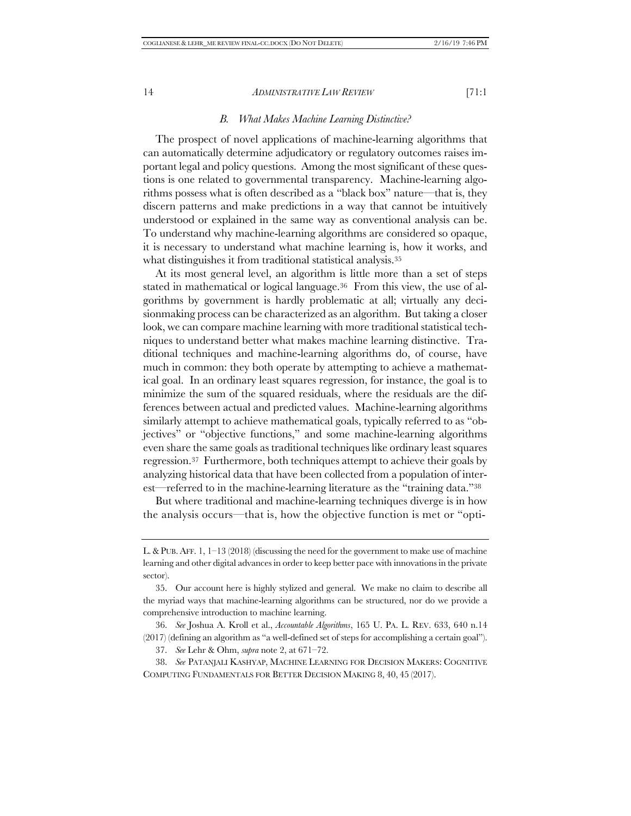*B. What Makes Machine Learning Distinctive?*

The prospect of novel applications of machine-learning algorithms that can automatically determine adjudicatory or regulatory outcomes raises important legal and policy questions. Among the most significant of these questions is one related to governmental transparency. Machine-learning algorithms possess what is often described as a "black box" nature—that is, they discern patterns and make predictions in a way that cannot be intuitively understood or explained in the same way as conventional analysis can be. To understand why machine-learning algorithms are considered so opaque, it is necessary to understand what machine learning is, how it works, and what distinguishes it from traditional statistical analysis.35

At its most general level, an algorithm is little more than a set of steps stated in mathematical or logical language.36 From this view, the use of algorithms by government is hardly problematic at all; virtually any decisionmaking process can be characterized as an algorithm. But taking a closer look, we can compare machine learning with more traditional statistical techniques to understand better what makes machine learning distinctive. Traditional techniques and machine-learning algorithms do, of course, have much in common: they both operate by attempting to achieve a mathematical goal. In an ordinary least squares regression, for instance, the goal is to minimize the sum of the squared residuals, where the residuals are the differences between actual and predicted values. Machine-learning algorithms similarly attempt to achieve mathematical goals, typically referred to as "objectives" or "objective functions," and some machine-learning algorithms even share the same goals as traditional techniques like ordinary least squares regression.37 Furthermore, both techniques attempt to achieve their goals by analyzing historical data that have been collected from a population of interest—referred to in the machine-learning literature as the "training data."38

But where traditional and machine-learning techniques diverge is in how the analysis occurs—that is, how the objective function is met or "opti-

36. *See* Joshua A. Kroll et al., *Accountable Algorithms*, 165 U. PA. L. REV. 633, 640 n.14 (2017) (defining an algorithm as "a well-defined set of steps for accomplishing a certain goal").

37. *See* Lehr & Ohm, *supra* note 2, at 671–72.

38. *See* PATANJALI KASHYAP, MACHINE LEARNING FOR DECISION MAKERS: COGNITIVE COMPUTING FUNDAMENTALS FOR BETTER DECISION MAKING 8, 40, 45 (2017).

L. & PUB. AFF. 1,  $1-13$  (2018) (discussing the need for the government to make use of machine learning and other digital advances in order to keep better pace with innovations in the private sector).

<sup>35.</sup> Our account here is highly stylized and general. We make no claim to describe all the myriad ways that machine-learning algorithms can be structured, nor do we provide a comprehensive introduction to machine learning.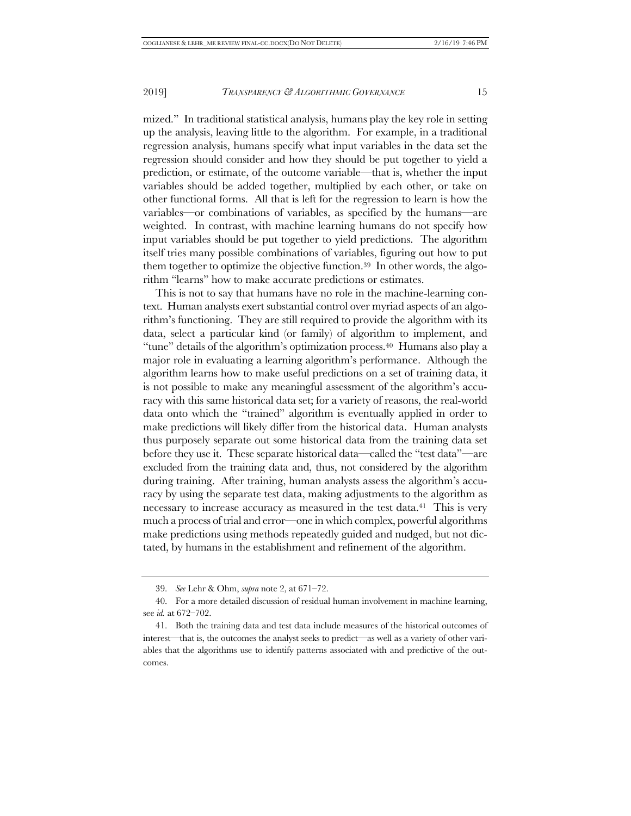mized." In traditional statistical analysis, humans play the key role in setting up the analysis, leaving little to the algorithm. For example, in a traditional regression analysis, humans specify what input variables in the data set the regression should consider and how they should be put together to yield a prediction, or estimate, of the outcome variable—that is, whether the input variables should be added together, multiplied by each other, or take on other functional forms. All that is left for the regression to learn is how the variables—or combinations of variables, as specified by the humans—are weighted. In contrast, with machine learning humans do not specify how input variables should be put together to yield predictions. The algorithm itself tries many possible combinations of variables, figuring out how to put them together to optimize the objective function.39 In other words, the algorithm "learns" how to make accurate predictions or estimates.

This is not to say that humans have no role in the machine-learning context. Human analysts exert substantial control over myriad aspects of an algorithm's functioning. They are still required to provide the algorithm with its data, select a particular kind (or family) of algorithm to implement, and "tune" details of the algorithm's optimization process.<sup>40</sup> Humans also play a major role in evaluating a learning algorithm's performance. Although the algorithm learns how to make useful predictions on a set of training data, it is not possible to make any meaningful assessment of the algorithm's accuracy with this same historical data set; for a variety of reasons, the real-world data onto which the "trained" algorithm is eventually applied in order to make predictions will likely differ from the historical data. Human analysts thus purposely separate out some historical data from the training data set before they use it. These separate historical data—called the "test data"—are excluded from the training data and, thus, not considered by the algorithm during training. After training, human analysts assess the algorithm's accuracy by using the separate test data, making adjustments to the algorithm as necessary to increase accuracy as measured in the test data.<sup>41</sup> This is very much a process of trial and error—one in which complex, powerful algorithms make predictions using methods repeatedly guided and nudged, but not dictated, by humans in the establishment and refinement of the algorithm.

<sup>39.</sup> *See* Lehr & Ohm, *supra* note 2, at 671–72.

<sup>40.</sup> For a more detailed discussion of residual human involvement in machine learning, see *id.* at 672–702.

<sup>41.</sup> Both the training data and test data include measures of the historical outcomes of interest—that is, the outcomes the analyst seeks to predict—as well as a variety of other variables that the algorithms use to identify patterns associated with and predictive of the outcomes.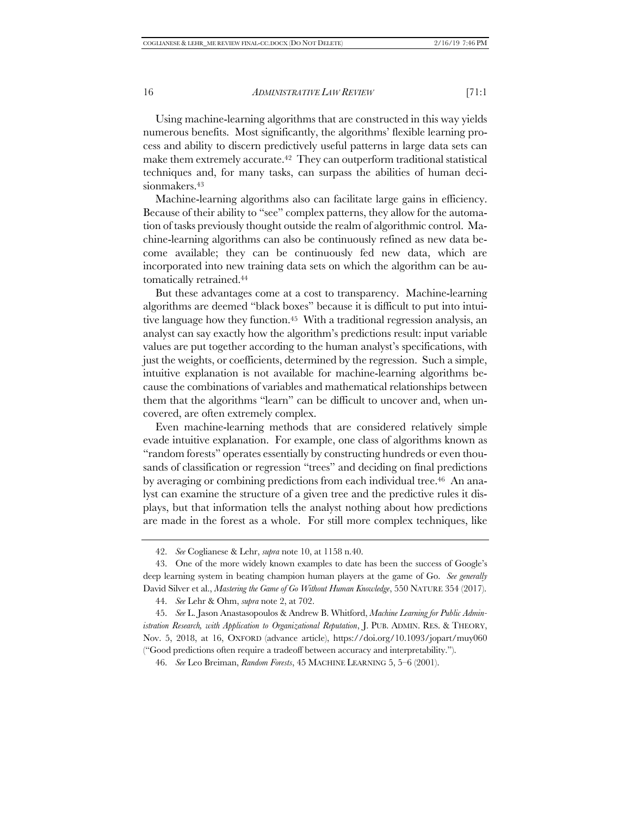Using machine-learning algorithms that are constructed in this way yields numerous benefits. Most significantly, the algorithms' flexible learning process and ability to discern predictively useful patterns in large data sets can make them extremely accurate.<sup>42</sup> They can outperform traditional statistical techniques and, for many tasks, can surpass the abilities of human decisionmakers.43

Machine-learning algorithms also can facilitate large gains in efficiency. Because of their ability to "see" complex patterns, they allow for the automation of tasks previously thought outside the realm of algorithmic control. Machine-learning algorithms can also be continuously refined as new data become available; they can be continuously fed new data, which are incorporated into new training data sets on which the algorithm can be automatically retrained.44

But these advantages come at a cost to transparency. Machine-learning algorithms are deemed "black boxes" because it is difficult to put into intuitive language how they function.45 With a traditional regression analysis, an analyst can say exactly how the algorithm's predictions result: input variable values are put together according to the human analyst's specifications, with just the weights, or coefficients, determined by the regression. Such a simple, intuitive explanation is not available for machine-learning algorithms because the combinations of variables and mathematical relationships between them that the algorithms "learn" can be difficult to uncover and, when uncovered, are often extremely complex.

Even machine-learning methods that are considered relatively simple evade intuitive explanation. For example, one class of algorithms known as "random forests" operates essentially by constructing hundreds or even thousands of classification or regression "trees" and deciding on final predictions by averaging or combining predictions from each individual tree.<sup>46</sup> An analyst can examine the structure of a given tree and the predictive rules it displays, but that information tells the analyst nothing about how predictions are made in the forest as a whole. For still more complex techniques, like

<sup>42.</sup> *See* Coglianese & Lehr, *supra* note 10, at 1158 n.40.

<sup>43.</sup> One of the more widely known examples to date has been the success of Google's deep learning system in beating champion human players at the game of Go. *See generally*  David Silver et al., *Mastering the Game of Go Without Human Knowledge*, 550 NATURE 354 (2017).

<sup>44.</sup> *See* Lehr & Ohm, *supra* note 2, at 702.

<sup>45.</sup> *See* L. Jason Anastasopoulos & Andrew B. Whitford, *Machine Learning for Public Administration Research, with Application to Organizational Reputation*, J. PUB. ADMIN. RES. & THEORY, Nov. 5, 2018, at 16, OXFORD (advance article), https://doi.org/10.1093/jopart/muy060 ("Good predictions often require a tradeoff between accuracy and interpretability.").

<sup>46.</sup> *See* Leo Breiman, *Random Forests*, 45 MACHINE LEARNING 5, 5–6 (2001).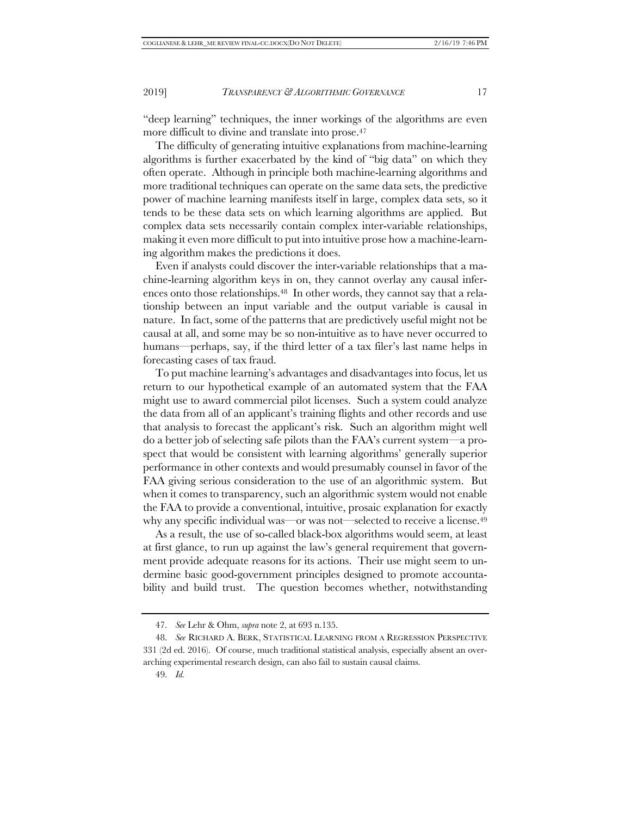"deep learning" techniques, the inner workings of the algorithms are even more difficult to divine and translate into prose.<sup>47</sup>

The difficulty of generating intuitive explanations from machine-learning algorithms is further exacerbated by the kind of "big data" on which they often operate. Although in principle both machine-learning algorithms and more traditional techniques can operate on the same data sets, the predictive power of machine learning manifests itself in large, complex data sets, so it tends to be these data sets on which learning algorithms are applied. But complex data sets necessarily contain complex inter-variable relationships, making it even more difficult to put into intuitive prose how a machine-learning algorithm makes the predictions it does.

Even if analysts could discover the inter-variable relationships that a machine-learning algorithm keys in on, they cannot overlay any causal inferences onto those relationships.48 In other words, they cannot say that a relationship between an input variable and the output variable is causal in nature. In fact, some of the patterns that are predictively useful might not be causal at all, and some may be so non-intuitive as to have never occurred to humans—perhaps, say, if the third letter of a tax filer's last name helps in forecasting cases of tax fraud.

To put machine learning's advantages and disadvantages into focus, let us return to our hypothetical example of an automated system that the FAA might use to award commercial pilot licenses. Such a system could analyze the data from all of an applicant's training flights and other records and use that analysis to forecast the applicant's risk. Such an algorithm might well do a better job of selecting safe pilots than the FAA's current system—a prospect that would be consistent with learning algorithms' generally superior performance in other contexts and would presumably counsel in favor of the FAA giving serious consideration to the use of an algorithmic system. But when it comes to transparency, such an algorithmic system would not enable the FAA to provide a conventional, intuitive, prosaic explanation for exactly why any specific individual was—or was not—selected to receive a license.<sup>49</sup>

As a result, the use of so-called black-box algorithms would seem, at least at first glance, to run up against the law's general requirement that government provide adequate reasons for its actions. Their use might seem to undermine basic good-government principles designed to promote accountability and build trust. The question becomes whether, notwithstanding

<sup>47.</sup> *See* Lehr & Ohm, *supra* note 2, at 693 n.135.

<sup>48.</sup> *See* RICHARD A. BERK, STATISTICAL LEARNING FROM A REGRESSION PERSPECTIVE 331 (2d ed. 2016). Of course, much traditional statistical analysis, especially absent an overarching experimental research design, can also fail to sustain causal claims.

<sup>49.</sup> *Id.*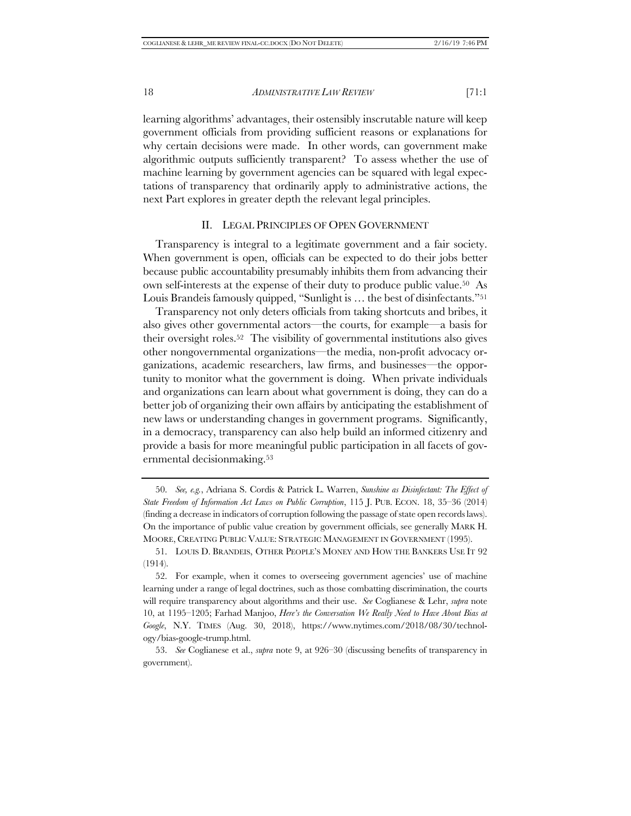learning algorithms' advantages, their ostensibly inscrutable nature will keep government officials from providing sufficient reasons or explanations for why certain decisions were made. In other words, can government make algorithmic outputs sufficiently transparent? To assess whether the use of machine learning by government agencies can be squared with legal expectations of transparency that ordinarily apply to administrative actions, the next Part explores in greater depth the relevant legal principles.

#### II. LEGAL PRINCIPLES OF OPEN GOVERNMENT

Transparency is integral to a legitimate government and a fair society. When government is open, officials can be expected to do their jobs better because public accountability presumably inhibits them from advancing their own self-interests at the expense of their duty to produce public value.50 As Louis Brandeis famously quipped, "Sunlight is … the best of disinfectants."51

Transparency not only deters officials from taking shortcuts and bribes, it also gives other governmental actors—the courts, for example—a basis for their oversight roles.52 The visibility of governmental institutions also gives other nongovernmental organizations—the media, non-profit advocacy organizations, academic researchers, law firms, and businesses—the opportunity to monitor what the government is doing. When private individuals and organizations can learn about what government is doing, they can do a better job of organizing their own affairs by anticipating the establishment of new laws or understanding changes in government programs. Significantly, in a democracy, transparency can also help build an informed citizenry and provide a basis for more meaningful public participation in all facets of governmental decisionmaking.53

<sup>50.</sup> *See, e.g.*, Adriana S. Cordis & Patrick L. Warren, *Sunshine as Disinfectant: The Effect of State Freedom of Information Act Laws on Public Corruption*, 115 J. PUB. ECON. 18, 35–36 (2014) (finding a decrease in indicators of corruption following the passage of state open records laws). On the importance of public value creation by government officials, see generally MARK H. MOORE, CREATING PUBLIC VALUE: STRATEGIC MANAGEMENT IN GOVERNMENT (1995).

<sup>51.</sup> LOUIS D. BRANDEIS, OTHER PEOPLE'S MONEY AND HOW THE BANKERS USE IT 92 (1914).

<sup>52.</sup> For example, when it comes to overseeing government agencies' use of machine learning under a range of legal doctrines, such as those combatting discrimination, the courts will require transparency about algorithms and their use. *See* Coglianese & Lehr, *supra* note 10, at 1195–1205; Farhad Manjoo, *Here's the Conversation We Really Need to Have About Bias at Google*, N.Y. TIMES (Aug. 30, 2018), https://www.nytimes.com/2018/08/30/technology/bias-google-trump.html.

<sup>53.</sup> *See* Coglianese et al., *supra* note 9, at 926–30 (discussing benefits of transparency in government).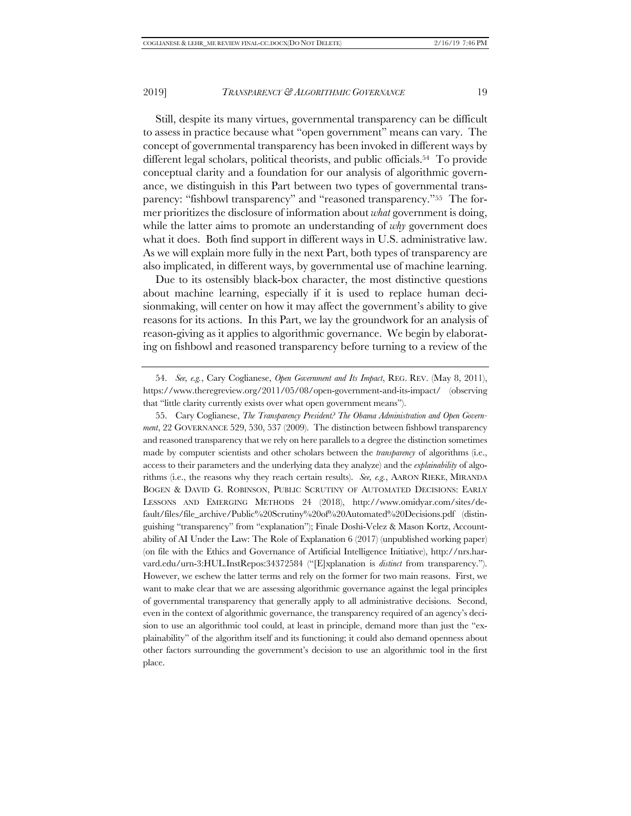Still, despite its many virtues, governmental transparency can be difficult to assess in practice because what "open government" means can vary. The concept of governmental transparency has been invoked in different ways by different legal scholars, political theorists, and public officials.54 To provide conceptual clarity and a foundation for our analysis of algorithmic governance, we distinguish in this Part between two types of governmental transparency: "fishbowl transparency" and "reasoned transparency."55 The former prioritizes the disclosure of information about *what* government is doing, while the latter aims to promote an understanding of *why* government does what it does. Both find support in different ways in U.S. administrative law. As we will explain more fully in the next Part, both types of transparency are also implicated, in different ways, by governmental use of machine learning.

Due to its ostensibly black-box character, the most distinctive questions about machine learning, especially if it is used to replace human decisionmaking, will center on how it may affect the government's ability to give reasons for its actions. In this Part, we lay the groundwork for an analysis of reason-giving as it applies to algorithmic governance. We begin by elaborating on fishbowl and reasoned transparency before turning to a review of the

<sup>54.</sup> *See, e.g.*, Cary Coglianese, *Open Government and Its Impact*, REG. REV. (May 8, 2011), https://www.theregreview.org/2011/05/08/open-government-and-its-impact/ (observing that "little clarity currently exists over what open government means").

<sup>55.</sup> Cary Coglianese, *The Transparency President? The Obama Administration and Open Government*, 22 GOVERNANCE 529, 530, 537 (2009). The distinction between fishbowl transparency and reasoned transparency that we rely on here parallels to a degree the distinction sometimes made by computer scientists and other scholars between the *transparency* of algorithms (i.e., access to their parameters and the underlying data they analyze) and the *explainability* of algorithms (i.e., the reasons why they reach certain results). *See, e.g.*, AARON RIEKE, MIRANDA BOGEN & DAVID G. ROBINSON, PUBLIC SCRUTINY OF AUTOMATED DECISIONS: EARLY LESSONS AND EMERGING METHODS 24 (2018), http://www.omidyar.com/sites/default/files/file\_archive/Public%20Scrutiny%20of%20Automated%20Decisions.pdf (distinguishing "transparency" from "explanation"); Finale Doshi-Velez & Mason Kortz, Accountability of AI Under the Law: The Role of Explanation 6 (2017) (unpublished working paper) (on file with the Ethics and Governance of Artificial Intelligence Initiative), http://nrs.harvard.edu/urn-3:HUL.InstRepos:34372584 ("[E]xplanation is *distinct* from transparency."). However, we eschew the latter terms and rely on the former for two main reasons. First, we want to make clear that we are assessing algorithmic governance against the legal principles of governmental transparency that generally apply to all administrative decisions. Second, even in the context of algorithmic governance, the transparency required of an agency's decision to use an algorithmic tool could, at least in principle, demand more than just the "explainability" of the algorithm itself and its functioning; it could also demand openness about other factors surrounding the government's decision to use an algorithmic tool in the first place.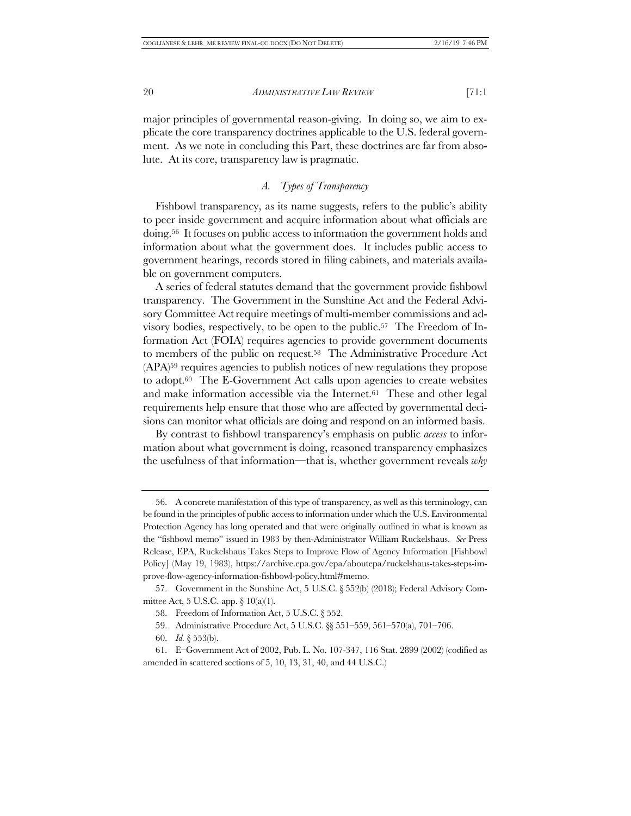major principles of governmental reason-giving. In doing so, we aim to explicate the core transparency doctrines applicable to the U.S. federal government. As we note in concluding this Part, these doctrines are far from absolute. At its core, transparency law is pragmatic.

#### *A. Types of Transparency*

Fishbowl transparency, as its name suggests, refers to the public's ability to peer inside government and acquire information about what officials are doing.56 It focuses on public access to information the government holds and information about what the government does. It includes public access to government hearings, records stored in filing cabinets, and materials available on government computers.

A series of federal statutes demand that the government provide fishbowl transparency. The Government in the Sunshine Act and the Federal Advisory Committee Act require meetings of multi-member commissions and advisory bodies, respectively, to be open to the public.57 The Freedom of Information Act (FOIA) requires agencies to provide government documents to members of the public on request.58 The Administrative Procedure Act (APA)59 requires agencies to publish notices of new regulations they propose to adopt.60 The E-Government Act calls upon agencies to create websites and make information accessible via the Internet.61 These and other legal requirements help ensure that those who are affected by governmental decisions can monitor what officials are doing and respond on an informed basis.

By contrast to fishbowl transparency's emphasis on public *access* to information about what government is doing, reasoned transparency emphasizes the usefulness of that information—that is, whether government reveals *why*

<sup>56.</sup> A concrete manifestation of this type of transparency, as well as this terminology, can be found in the principles of public access to information under which the U.S. Environmental Protection Agency has long operated and that were originally outlined in what is known as the "fishbowl memo" issued in 1983 by then-Administrator William Ruckelshaus. *See* Press Release, EPA, Ruckelshaus Takes Steps to Improve Flow of Agency Information [Fishbowl Policy] (May 19, 1983), https://archive.epa.gov/epa/aboutepa/ruckelshaus-takes-steps-improve-flow-agency-information-fishbowl-policy.html#memo.

<sup>57.</sup> Government in the Sunshine Act, 5 U.S.C. § 552(b) (2018); Federal Advisory Committee Act, 5 U.S.C. app. § 10(a)(1).

<sup>58.</sup> Freedom of Information Act, 5 U.S.C. § 552.

<sup>59.</sup> Administrative Procedure Act, 5 U.S.C. §§ 551–559, 561–570(a), 701–706.

<sup>60.</sup> *Id.* § 553(b).

<sup>61.</sup> E–Government Act of 2002, Pub. L. No. 107-347, 116 Stat. 2899 (2002) (codified as amended in scattered sections of 5, 10, 13, 31, 40, and 44 U.S.C.)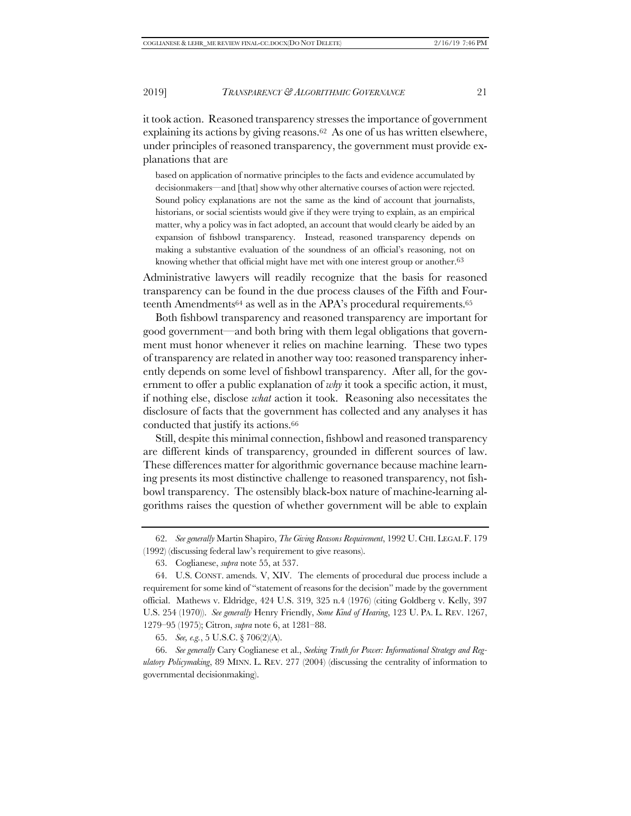it took action. Reasoned transparency stresses the importance of government explaining its actions by giving reasons.62 As one of us has written elsewhere, under principles of reasoned transparency, the government must provide explanations that are

based on application of normative principles to the facts and evidence accumulated by decisionmakers—and [that] show why other alternative courses of action were rejected. Sound policy explanations are not the same as the kind of account that journalists, historians, or social scientists would give if they were trying to explain, as an empirical matter, why a policy was in fact adopted, an account that would clearly be aided by an expansion of fishbowl transparency. Instead, reasoned transparency depends on making a substantive evaluation of the soundness of an official's reasoning, not on knowing whether that official might have met with one interest group or another.<sup>63</sup>

Administrative lawyers will readily recognize that the basis for reasoned transparency can be found in the due process clauses of the Fifth and Fourteenth Amendments<sup>64</sup> as well as in the APA's procedural requirements.<sup>65</sup>

Both fishbowl transparency and reasoned transparency are important for good government—and both bring with them legal obligations that government must honor whenever it relies on machine learning. These two types of transparency are related in another way too: reasoned transparency inherently depends on some level of fishbowl transparency. After all, for the government to offer a public explanation of *why* it took a specific action, it must, if nothing else, disclose *what* action it took. Reasoning also necessitates the disclosure of facts that the government has collected and any analyses it has conducted that justify its actions.66

Still, despite this minimal connection, fishbowl and reasoned transparency are different kinds of transparency, grounded in different sources of law. These differences matter for algorithmic governance because machine learning presents its most distinctive challenge to reasoned transparency, not fishbowl transparency. The ostensibly black-box nature of machine-learning algorithms raises the question of whether government will be able to explain

<sup>62.</sup> *See generally* Martin Shapiro, *The Giving Reasons Requirement*, 1992 U. CHI. LEGAL F. 179 (1992) (discussing federal law's requirement to give reasons).

<sup>63.</sup> Coglianese, *supra* note 55, at 537.

<sup>64.</sup> U.S. CONST. amends. V, XIV. The elements of procedural due process include a requirement for some kind of "statement of reasons for the decision" made by the government official. Mathews v. Eldridge, 424 U.S. 319, 325 n.4 (1976) (citing Goldberg v. Kelly, 397 U.S. 254 (1970)). *See generally* Henry Friendly, *Some Kind of Hearing*, 123 U. PA. L. REV. 1267, 1279–95 (1975); Citron, *supra* note 6, at 1281–88.

<sup>65.</sup> *See, e.g.*, 5 U.S.C. § 706(2)(A).

<sup>66.</sup> *See generally* Cary Coglianese et al., *Seeking Truth for Power: Informational Strategy and Regulatory Policymaking*, 89 MINN. L. REV. 277 (2004) (discussing the centrality of information to governmental decisionmaking).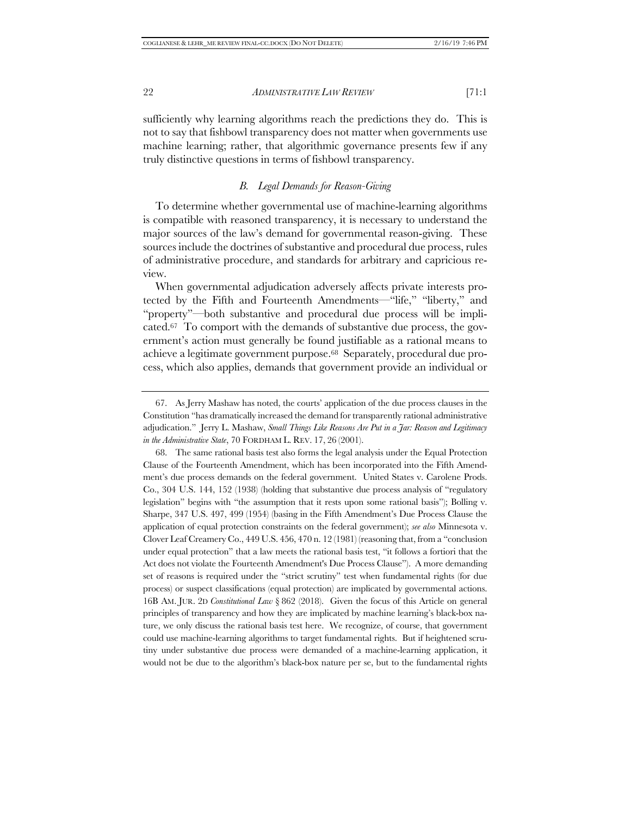sufficiently why learning algorithms reach the predictions they do. This is not to say that fishbowl transparency does not matter when governments use machine learning; rather, that algorithmic governance presents few if any truly distinctive questions in terms of fishbowl transparency.

#### *B. Legal Demands for Reason-Giving*

To determine whether governmental use of machine-learning algorithms is compatible with reasoned transparency, it is necessary to understand the major sources of the law's demand for governmental reason-giving. These sources include the doctrines of substantive and procedural due process, rules of administrative procedure, and standards for arbitrary and capricious review.

When governmental adjudication adversely affects private interests protected by the Fifth and Fourteenth Amendments—"life," "liberty," and "property"—both substantive and procedural due process will be implicated.67 To comport with the demands of substantive due process, the government's action must generally be found justifiable as a rational means to achieve a legitimate government purpose.68 Separately, procedural due process, which also applies, demands that government provide an individual or

<sup>67.</sup> As Jerry Mashaw has noted, the courts' application of the due process clauses in the Constitution "has dramatically increased the demand for transparently rational administrative adjudication." Jerry L. Mashaw, *Small Things Like Reasons Are Put in a Jar: Reason and Legitimacy in the Administrative State*, 70 FORDHAM L. REV. 17, 26 (2001).

<sup>68.</sup> The same rational basis test also forms the legal analysis under the Equal Protection Clause of the Fourteenth Amendment, which has been incorporated into the Fifth Amendment's due process demands on the federal government. United States v. Carolene Prods. Co., 304 U.S. 144, 152 (1938) (holding that substantive due process analysis of "regulatory legislation" begins with "the assumption that it rests upon some rational basis"); Bolling v. Sharpe, 347 U.S. 497, 499 (1954) (basing in the Fifth Amendment's Due Process Clause the application of equal protection constraints on the federal government); *see also* Minnesota v. Clover Leaf Creamery Co., 449 U.S. 456, 470 n. 12 (1981) (reasoning that, from a "conclusion under equal protection" that a law meets the rational basis test, "it follows a fortiori that the Act does not violate the Fourteenth Amendment's Due Process Clause"). A more demanding set of reasons is required under the "strict scrutiny" test when fundamental rights (for due process) or suspect classifications (equal protection) are implicated by governmental actions. 16B AM. JUR. 2D *Constitutional Law* § 862 (2018). Given the focus of this Article on general principles of transparency and how they are implicated by machine learning's black-box nature, we only discuss the rational basis test here. We recognize, of course, that government could use machine-learning algorithms to target fundamental rights. But if heightened scrutiny under substantive due process were demanded of a machine-learning application, it would not be due to the algorithm's black-box nature per se, but to the fundamental rights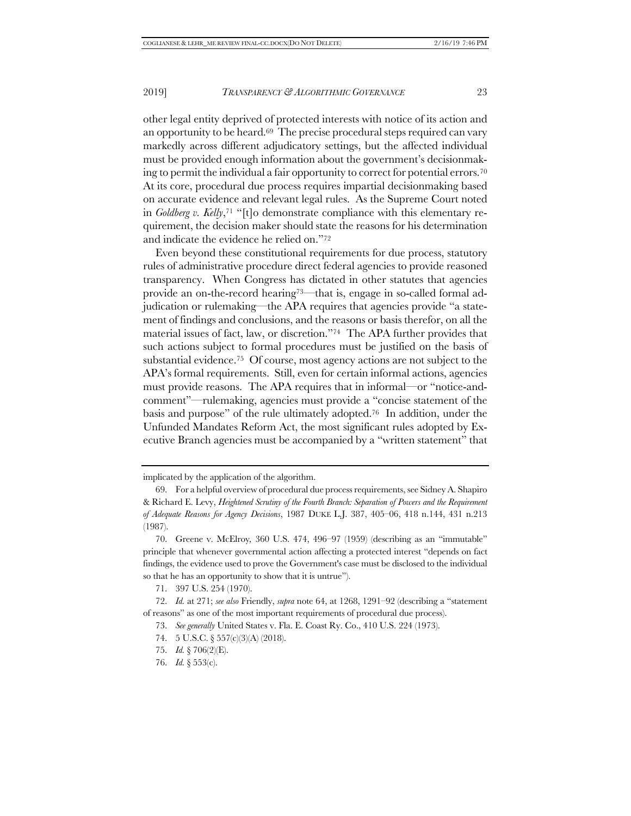other legal entity deprived of protected interests with notice of its action and an opportunity to be heard.69 The precise procedural steps required can vary markedly across different adjudicatory settings, but the affected individual must be provided enough information about the government's decisionmaking to permit the individual a fair opportunity to correct for potential errors.70 At its core, procedural due process requires impartial decisionmaking based on accurate evidence and relevant legal rules. As the Supreme Court noted in *Goldberg v. Kelly*,71 "[t]o demonstrate compliance with this elementary requirement, the decision maker should state the reasons for his determination and indicate the evidence he relied on."72

Even beyond these constitutional requirements for due process, statutory rules of administrative procedure direct federal agencies to provide reasoned transparency. When Congress has dictated in other statutes that agencies provide an on-the-record hearing73—that is, engage in so-called formal adjudication or rulemaking—the APA requires that agencies provide "a statement of findings and conclusions, and the reasons or basis therefor, on all the material issues of fact, law, or discretion."74 The APA further provides that such actions subject to formal procedures must be justified on the basis of substantial evidence.75 Of course, most agency actions are not subject to the APA's formal requirements. Still, even for certain informal actions, agencies must provide reasons. The APA requires that in informal—or "notice-andcomment"—rulemaking, agencies must provide a "concise statement of the basis and purpose" of the rule ultimately adopted.76 In addition, under the Unfunded Mandates Reform Act, the most significant rules adopted by Executive Branch agencies must be accompanied by a "written statement" that

implicated by the application of the algorithm.

<sup>69.</sup> For a helpful overview of procedural due process requirements, see Sidney A. Shapiro & Richard E. Levy, *Heightened Scrutiny of the Fourth Branch: Separation of Powers and the Requirement of Adequate Reasons for Agency Decisions*, 1987 DUKE L.J. 387, 405–06, 418 n.144, 431 n.213 (1987).

<sup>70.</sup> Greene v. McElroy*,* 360 U.S. 474, 496–97 (1959) (describing as an "immutable" principle that whenever governmental action affecting a protected interest "depends on fact findings, the evidence used to prove the Government's case must be disclosed to the individual so that he has an opportunity to show that it is untrue").

<sup>71.</sup> 397 U.S. 254 (1970).

<sup>72.</sup> *Id.* at 271; *see also* Friendly, *supra* note 64, at 1268, 1291–92 (describing a "statement of reasons" as one of the most important requirements of procedural due process).

<sup>73.</sup> *See generally* United States v. Fla. E. Coast Ry. Co., 410 U.S. 224 (1973).

<sup>74.</sup> 5 U.S.C. § 557(c)(3)(A) (2018).

<sup>75.</sup> *Id.* § 706(2)(E).

<sup>76.</sup> *Id.* § 553(c).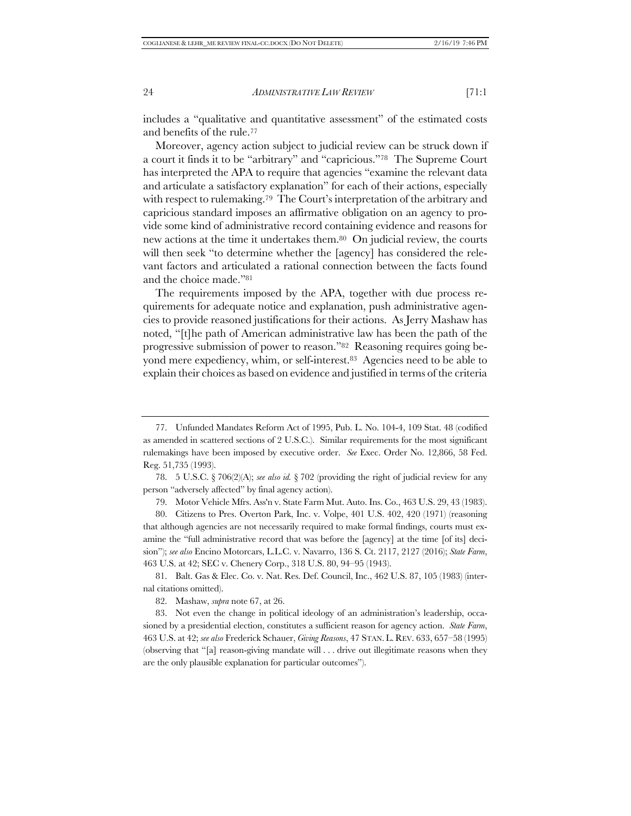includes a "qualitative and quantitative assessment" of the estimated costs and benefits of the rule.77

Moreover, agency action subject to judicial review can be struck down if a court it finds it to be "arbitrary" and "capricious."78 The Supreme Court has interpreted the APA to require that agencies "examine the relevant data and articulate a satisfactory explanation" for each of their actions, especially with respect to rulemaking.<sup>79</sup> The Court's interpretation of the arbitrary and capricious standard imposes an affirmative obligation on an agency to provide some kind of administrative record containing evidence and reasons for new actions at the time it undertakes them.80 On judicial review, the courts will then seek "to determine whether the [agency] has considered the relevant factors and articulated a rational connection between the facts found and the choice made."81

The requirements imposed by the APA, together with due process requirements for adequate notice and explanation, push administrative agencies to provide reasoned justifications for their actions. As Jerry Mashaw has noted, "[t]he path of American administrative law has been the path of the progressive submission of power to reason."82 Reasoning requires going beyond mere expediency, whim, or self-interest.83 Agencies need to be able to explain their choices as based on evidence and justified in terms of the criteria

79. Motor Vehicle Mfrs. Ass'n v. State Farm Mut. Auto. Ins. Co., 463 U.S. 29, 43 (1983).

81. Balt. Gas & Elec. Co. v. Nat. Res. Def. Council, Inc., 462 U.S. 87, 105 (1983) (internal citations omitted).

82. Mashaw, *supra* note 67, at 26.

<sup>77.</sup> Unfunded Mandates Reform Act of 1995, Pub. L. No. 104-4, 109 Stat. 48 (codified as amended in scattered sections of 2 U.S.C.). Similar requirements for the most significant rulemakings have been imposed by executive order. *See* Exec. Order No. 12,866, 58 Fed. Reg. 51,735 (1993).

<sup>78.</sup> 5 U.S.C. § 706(2)(A); *see also id.* § 702 (providing the right of judicial review for any person "adversely affected" by final agency action).

<sup>80.</sup> Citizens to Pres. Overton Park, Inc. v. Volpe, 401 U.S. 402, 420 (1971) (reasoning that although agencies are not necessarily required to make formal findings, courts must examine the "full administrative record that was before the [agency] at the time [of its] decision"); *see also* Encino Motorcars, L.L.C. v. Navarro, 136 S. Ct. 2117, 2127 (2016); *State Farm*, 463 U.S. at 42; SEC v. Chenery Corp., 318 U.S. 80, 94–95 (1943).

<sup>83.</sup> Not even the change in political ideology of an administration's leadership, occasioned by a presidential election, constitutes a sufficient reason for agency action. *State Farm*, 463 U.S. at 42; *see also* Frederick Schauer, *Giving Reasons*, 47 STAN. L. REV. 633, 657–58 (1995) (observing that "[a] reason-giving mandate will . . . drive out illegitimate reasons when they are the only plausible explanation for particular outcomes").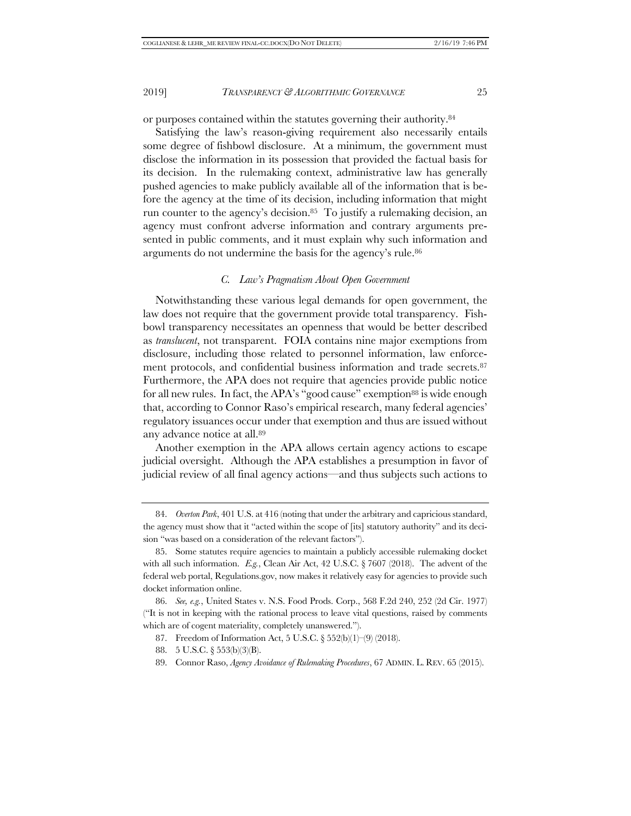or purposes contained within the statutes governing their authority.84

Satisfying the law's reason-giving requirement also necessarily entails some degree of fishbowl disclosure. At a minimum, the government must disclose the information in its possession that provided the factual basis for its decision. In the rulemaking context, administrative law has generally pushed agencies to make publicly available all of the information that is before the agency at the time of its decision, including information that might run counter to the agency's decision.85 To justify a rulemaking decision, an agency must confront adverse information and contrary arguments presented in public comments, and it must explain why such information and arguments do not undermine the basis for the agency's rule.86

#### *C. Law's Pragmatism About Open Government*

Notwithstanding these various legal demands for open government, the law does not require that the government provide total transparency. Fishbowl transparency necessitates an openness that would be better described as *translucent*, not transparent. FOIA contains nine major exemptions from disclosure, including those related to personnel information, law enforcement protocols, and confidential business information and trade secrets.87 Furthermore, the APA does not require that agencies provide public notice for all new rules. In fact, the APA's "good cause" exemption<sup>88</sup> is wide enough that, according to Connor Raso's empirical research, many federal agencies' regulatory issuances occur under that exemption and thus are issued without any advance notice at all.89

Another exemption in the APA allows certain agency actions to escape judicial oversight. Although the APA establishes a presumption in favor of judicial review of all final agency actions—and thus subjects such actions to

<sup>84.</sup> *Overton Park*, 401 U.S. at 416 (noting that under the arbitrary and capricious standard, the agency must show that it "acted within the scope of [its] statutory authority" and its decision "was based on a consideration of the relevant factors").

<sup>85.</sup> Some statutes require agencies to maintain a publicly accessible rulemaking docket with all such information. *E.g.*, Clean Air Act, 42 U.S.C. § 7607 (2018). The advent of the federal web portal, Regulations.gov, now makes it relatively easy for agencies to provide such docket information online.

<sup>86.</sup> *See, e.g.*, United States v. N.S. Food Prods. Corp., 568 F.2d 240, 252 (2d Cir. 1977) ("It is not in keeping with the rational process to leave vital questions, raised by comments which are of cogent materiality, completely unanswered.").

<sup>87.</sup> Freedom of Information Act, 5 U.S.C. § 552(b)(1)–(9) (2018).

<sup>88.</sup> 5 U.S.C. § 553(b)(3)(B).

<sup>89.</sup> Connor Raso, *Agency Avoidance of Rulemaking Procedures*, 67 ADMIN. L. REV. 65 (2015).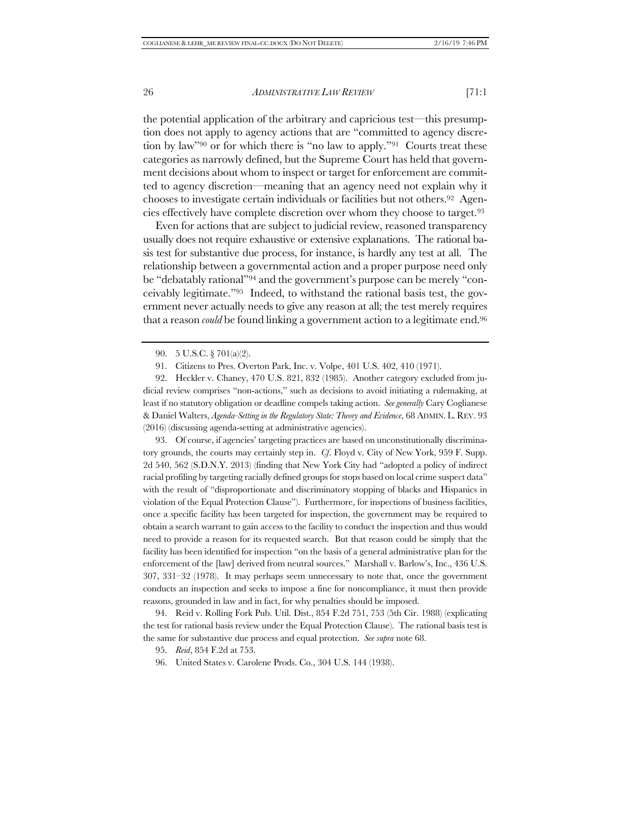the potential application of the arbitrary and capricious test—this presumption does not apply to agency actions that are "committed to agency discretion by law"90 or for which there is "no law to apply."91 Courts treat these categories as narrowly defined, but the Supreme Court has held that government decisions about whom to inspect or target for enforcement are committed to agency discretion—meaning that an agency need not explain why it chooses to investigate certain individuals or facilities but not others.92 Agencies effectively have complete discretion over whom they choose to target.93

Even for actions that are subject to judicial review, reasoned transparency usually does not require exhaustive or extensive explanations. The rational basis test for substantive due process, for instance, is hardly any test at all. The relationship between a governmental action and a proper purpose need only be "debatably rational"94 and the government's purpose can be merely "conceivably legitimate."95 Indeed, to withstand the rational basis test, the government never actually needs to give any reason at all; the test merely requires that a reason *could* be found linking a government action to a legitimate end.96

93. Of course, if agencies' targeting practices are based on unconstitutionally discriminatory grounds, the courts may certainly step in. *Cf*. Floyd v. City of New York, 959 F. Supp. 2d 540, 562 (S.D.N.Y. 2013) (finding that New York City had "adopted a policy of indirect racial profiling by targeting racially defined groups for stops based on local crime suspect data" with the result of "disproportionate and discriminatory stopping of blacks and Hispanics in violation of the Equal Protection Clause"). Furthermore, for inspections of business facilities, once a specific facility has been targeted for inspection, the government may be required to obtain a search warrant to gain access to the facility to conduct the inspection and thus would need to provide a reason for its requested search. But that reason could be simply that the facility has been identified for inspection "on the basis of a general administrative plan for the enforcement of the [law] derived from neutral sources." Marshall v. Barlow's, Inc., 436 U.S. 307, 331–32 (1978). It may perhaps seem unnecessary to note that, once the government conducts an inspection and seeks to impose a fine for noncompliance, it must then provide reasons, grounded in law and in fact, for why penalties should be imposed.

94. Reid v. Rolling Fork Pub. Util. Dist., 854 F.2d 751, 753 (5th Cir. 1988) (explicating the test for rational basis review under the Equal Protection Clause). The rational basis test is the same for substantive due process and equal protection. *See supra* note 68.

96. United States v. Carolene Prods. Co., 304 U.S. 144 (1938).

<sup>90.</sup> 5 U.S.C. § 701(a)(2).

<sup>91.</sup> Citizens to Pres. Overton Park, Inc. v. Volpe, 401 U.S. 402, 410 (1971).

<sup>92.</sup> Heckler v. Chaney, 470 U.S. 821, 832 (1985). Another category excluded from judicial review comprises "non-actions," such as decisions to avoid initiating a rulemaking, at least if no statutory obligation or deadline compels taking action. *See generally* Cary Coglianese & Daniel Walters, *Agenda-Setting in the Regulatory State: Theory and Evidence*, 68 ADMIN. L. REV. 93 (2016) (discussing agenda-setting at administrative agencies).

<sup>95.</sup> *Reid*, 854 F.2d at 753.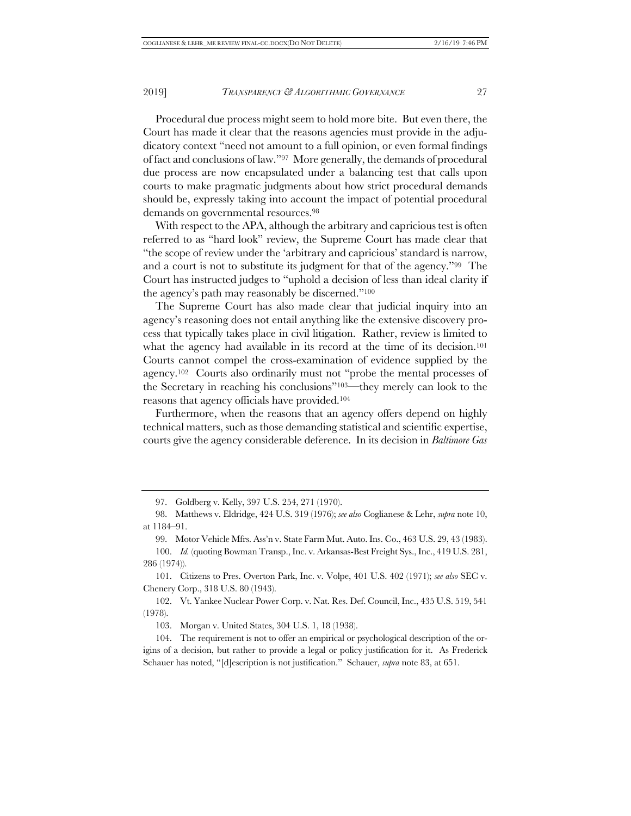Procedural due process might seem to hold more bite. But even there, the Court has made it clear that the reasons agencies must provide in the adjudicatory context "need not amount to a full opinion, or even formal findings of fact and conclusions of law."97 More generally, the demands of procedural due process are now encapsulated under a balancing test that calls upon courts to make pragmatic judgments about how strict procedural demands should be, expressly taking into account the impact of potential procedural demands on governmental resources.98

With respect to the APA, although the arbitrary and capricious test is often referred to as "hard look" review, the Supreme Court has made clear that "the scope of review under the 'arbitrary and capricious' standard is narrow, and a court is not to substitute its judgment for that of the agency."99 The Court has instructed judges to "uphold a decision of less than ideal clarity if the agency's path may reasonably be discerned."100

The Supreme Court has also made clear that judicial inquiry into an agency's reasoning does not entail anything like the extensive discovery process that typically takes place in civil litigation. Rather, review is limited to what the agency had available in its record at the time of its decision.<sup>101</sup> Courts cannot compel the cross-examination of evidence supplied by the agency.102 Courts also ordinarily must not "probe the mental processes of the Secretary in reaching his conclusions"103—they merely can look to the reasons that agency officials have provided.104

Furthermore, when the reasons that an agency offers depend on highly technical matters, such as those demanding statistical and scientific expertise, courts give the agency considerable deference. In its decision in *Baltimore Gas* 

101. Citizens to Pres. Overton Park, Inc. v. Volpe, 401 U.S. 402 (1971); *see also* SEC v. Chenery Corp., 318 U.S. 80 (1943).

102. Vt. Yankee Nuclear Power Corp. v. Nat. Res. Def. Council, Inc., 435 U.S. 519, 541 (1978).

103. Morgan v. United States, 304 U.S. 1, 18 (1938).

104. The requirement is not to offer an empirical or psychological description of the origins of a decision, but rather to provide a legal or policy justification for it. As Frederick Schauer has noted, "[d]escription is not justification." Schauer, *supra* note 83, at 651.

<sup>97.</sup> Goldberg v. Kelly, 397 U.S. 254, 271 (1970).

<sup>98.</sup> Matthews v. Eldridge, 424 U.S. 319 (1976); *see also* Coglianese & Lehr, *supra* note 10, at 1184–91.

<sup>99.</sup> Motor Vehicle Mfrs. Ass'n v. State Farm Mut. Auto. Ins. Co., 463 U.S. 29, 43 (1983).

<sup>100.</sup> *Id.* (quoting Bowman Transp., Inc. v. Arkansas-Best Freight Sys., Inc., 419 U.S. 281, 286 (1974)).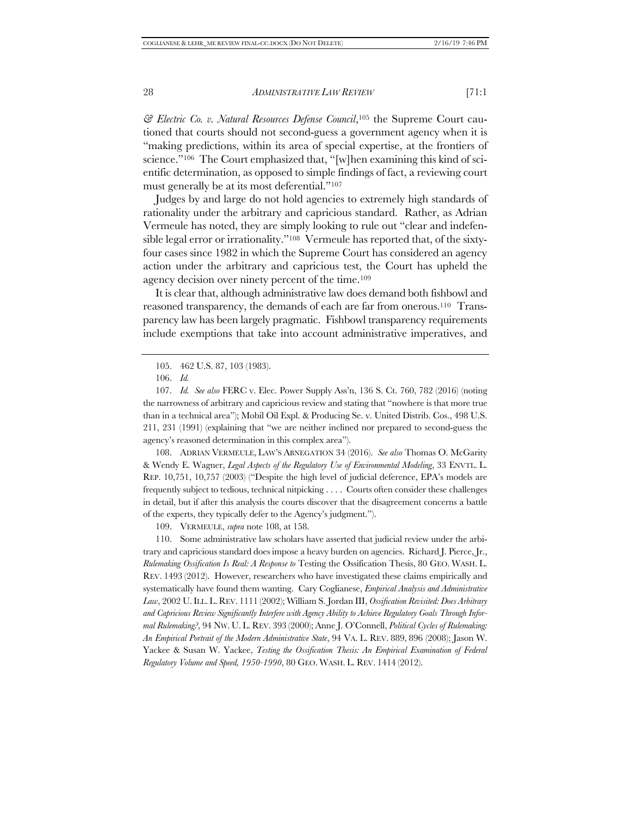*& Electric Co. v. Natural Resources Defense Council*,105 the Supreme Court cautioned that courts should not second-guess a government agency when it is "making predictions, within its area of special expertise, at the frontiers of science."106 The Court emphasized that, "[w]hen examining this kind of scientific determination, as opposed to simple findings of fact, a reviewing court must generally be at its most deferential."107

Judges by and large do not hold agencies to extremely high standards of rationality under the arbitrary and capricious standard. Rather, as Adrian Vermeule has noted, they are simply looking to rule out "clear and indefensible legal error or irrationality."108 Vermeule has reported that, of the sixtyfour cases since 1982 in which the Supreme Court has considered an agency action under the arbitrary and capricious test, the Court has upheld the agency decision over ninety percent of the time.109

It is clear that, although administrative law does demand both fishbowl and reasoned transparency, the demands of each are far from onerous.110 Transparency law has been largely pragmatic. Fishbowl transparency requirements include exemptions that take into account administrative imperatives, and

108. ADRIAN VERMEULE, LAW'S ABNEGATION 34 (2016). *See also* Thomas O. McGarity & Wendy E. Wagner, *Legal Aspects of the Regulatory Use of Environmental Modeling*, 33 ENVTL. L. REP. 10,751, 10,757 (2003) ("Despite the high level of judicial deference, EPA's models are frequently subject to tedious, technical nitpicking . . . . Courts often consider these challenges in detail, but if after this analysis the courts discover that the disagreement concerns a battle of the experts, they typically defer to the Agency's judgment.").

109. VERMEULE, *supra* note 108, at 158.

110. Some administrative law scholars have asserted that judicial review under the arbitrary and capricious standard does impose a heavy burden on agencies. Richard J. Pierce, Jr., *Rulemaking Ossification Is Real: A Response to* Testing the Ossification Thesis, 80 GEO. WASH. L. REV. 1493 (2012). However, researchers who have investigated these claims empirically and systematically have found them wanting. Cary Coglianese, *Empirical Analysis and Administrative Law*, 2002 U.ILL. L. REV. 1111 (2002); William S. Jordan III, *Ossification Revisited: Does Arbitrary and Capricious Review Significantly Interfere with Agency Ability to Achieve Regulatory Goals Through Informal Rulemaking?*, 94 NW. U. L. REV. 393 (2000); Anne J. O'Connell, *Political Cycles of Rulemaking: An Empirical Portrait of the Modern Administrative State*, 94 VA. L. REV. 889, 896 (2008); Jason W. Yackee & Susan W. Yackee, *Testing the Ossification Thesis: An Empirical Examination of Federal Regulatory Volume and Speed, 1950-1990*, 80 GEO. WASH. L. REV. 1414 (2012).

<sup>105.</sup> 462 U.S. 87, 103 (1983).

<sup>106.</sup> *Id.*

<sup>107.</sup> *Id. See also* FERC v. Elec. Power Supply Ass'n, 136 S. Ct. 760, 782 (2016) (noting the narrowness of arbitrary and capricious review and stating that "nowhere is that more true than in a technical area"); Mobil Oil Expl. & Producing Se. v. United Distrib. Cos., 498 U.S. 211, 231 (1991) (explaining that "we are neither inclined nor prepared to second-guess the agency's reasoned determination in this complex area").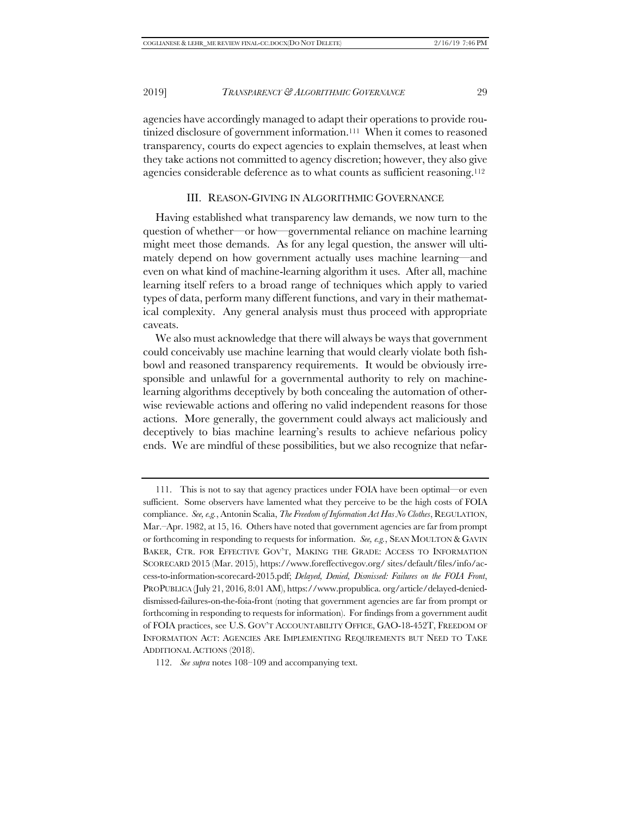agencies have accordingly managed to adapt their operations to provide routinized disclosure of government information.111 When it comes to reasoned transparency, courts do expect agencies to explain themselves, at least when they take actions not committed to agency discretion; however, they also give agencies considerable deference as to what counts as sufficient reasoning.112

#### III. REASON-GIVING IN ALGORITHMIC GOVERNANCE

Having established what transparency law demands, we now turn to the question of whether—or how—governmental reliance on machine learning might meet those demands. As for any legal question, the answer will ultimately depend on how government actually uses machine learning—and even on what kind of machine-learning algorithm it uses. After all, machine learning itself refers to a broad range of techniques which apply to varied types of data, perform many different functions, and vary in their mathematical complexity. Any general analysis must thus proceed with appropriate caveats.

We also must acknowledge that there will always be ways that government could conceivably use machine learning that would clearly violate both fishbowl and reasoned transparency requirements. It would be obviously irresponsible and unlawful for a governmental authority to rely on machinelearning algorithms deceptively by both concealing the automation of otherwise reviewable actions and offering no valid independent reasons for those actions. More generally, the government could always act maliciously and deceptively to bias machine learning's results to achieve nefarious policy ends. We are mindful of these possibilities, but we also recognize that nefar-

112. *See supra* notes 108–109 and accompanying text.

<sup>111.</sup> This is not to say that agency practices under FOIA have been optimal—or even sufficient. Some observers have lamented what they perceive to be the high costs of FOIA compliance. *See, e.g.*, Antonin Scalia, *The Freedom of Information Act Has No Clothes*, REGULATION, Mar.–Apr. 1982, at 15, 16. Others have noted that government agencies are far from prompt or forthcoming in responding to requests for information. *See, e.g.*, SEAN MOULTON & GAVIN BAKER, CTR. FOR EFFECTIVE GOV'T, MAKING THE GRADE: ACCESS TO INFORMATION SCORECARD 2015 (Mar. 2015), https://www.foreffectivegov.org/ sites/default/files/info/access-to-information-scorecard-2015.pdf; *Delayed, Denied, Dismissed: Failures on the FOIA Front*, PROPUBLICA (July 21, 2016, 8:01 AM), https://www.propublica. org/article/delayed-denieddismissed-failures-on-the-foia-front (noting that government agencies are far from prompt or forthcoming in responding to requests for information). For findings from a government audit of FOIA practices, see U.S. GOV'T ACCOUNTABILITY OFFICE, GAO-18-452T, FREEDOM OF INFORMATION ACT: AGENCIES ARE IMPLEMENTING REQUIREMENTS BUT NEED TO TAKE ADDITIONAL ACTIONS (2018).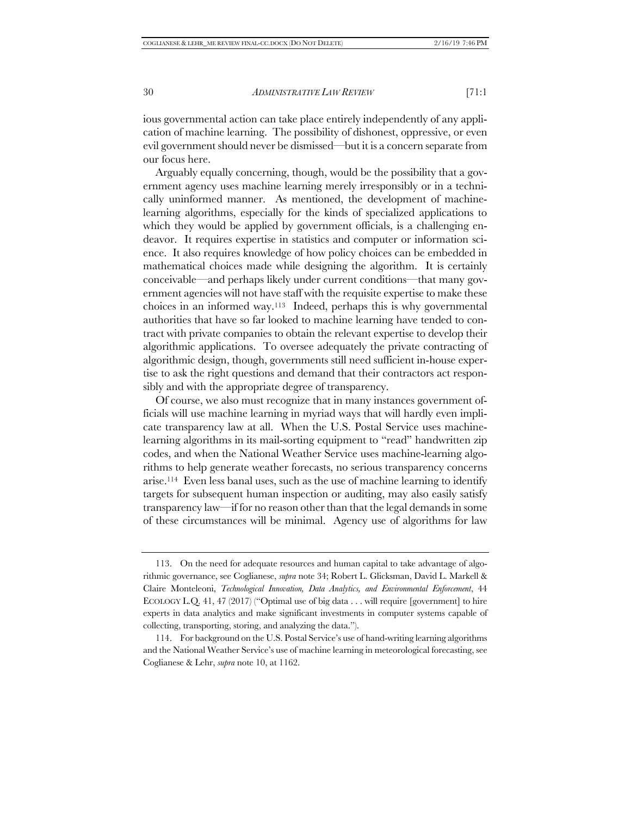ious governmental action can take place entirely independently of any application of machine learning. The possibility of dishonest, oppressive, or even evil government should never be dismissed—but it is a concern separate from our focus here.

Arguably equally concerning, though, would be the possibility that a government agency uses machine learning merely irresponsibly or in a technically uninformed manner. As mentioned, the development of machinelearning algorithms, especially for the kinds of specialized applications to which they would be applied by government officials, is a challenging endeavor. It requires expertise in statistics and computer or information science. It also requires knowledge of how policy choices can be embedded in mathematical choices made while designing the algorithm. It is certainly conceivable—and perhaps likely under current conditions—that many government agencies will not have staff with the requisite expertise to make these choices in an informed way.113 Indeed, perhaps this is why governmental authorities that have so far looked to machine learning have tended to contract with private companies to obtain the relevant expertise to develop their algorithmic applications. To oversee adequately the private contracting of algorithmic design, though, governments still need sufficient in-house expertise to ask the right questions and demand that their contractors act responsibly and with the appropriate degree of transparency.

Of course, we also must recognize that in many instances government officials will use machine learning in myriad ways that will hardly even implicate transparency law at all. When the U.S. Postal Service uses machinelearning algorithms in its mail-sorting equipment to "read" handwritten zip codes, and when the National Weather Service uses machine-learning algorithms to help generate weather forecasts, no serious transparency concerns arise.114 Even less banal uses, such as the use of machine learning to identify targets for subsequent human inspection or auditing, may also easily satisfy transparency law—if for no reason other than that the legal demands in some of these circumstances will be minimal. Agency use of algorithms for law

<sup>113.</sup> On the need for adequate resources and human capital to take advantage of algorithmic governance, see Coglianese, *supra* note 34; Robert L. Glicksman, David L. Markell & Claire Monteleoni, *Technological Innovation, Data Analytics, and Environmental Enforcement*, 44 ECOLOGY L.Q. 41, 47 (2017) ("Optimal use of big data . . . will require [government] to hire experts in data analytics and make significant investments in computer systems capable of collecting, transporting, storing, and analyzing the data.").

<sup>114.</sup> For background on the U.S. Postal Service's use of hand-writing learning algorithms and the National Weather Service's use of machine learning in meteorological forecasting, see Coglianese & Lehr, *supra* note 10, at 1162.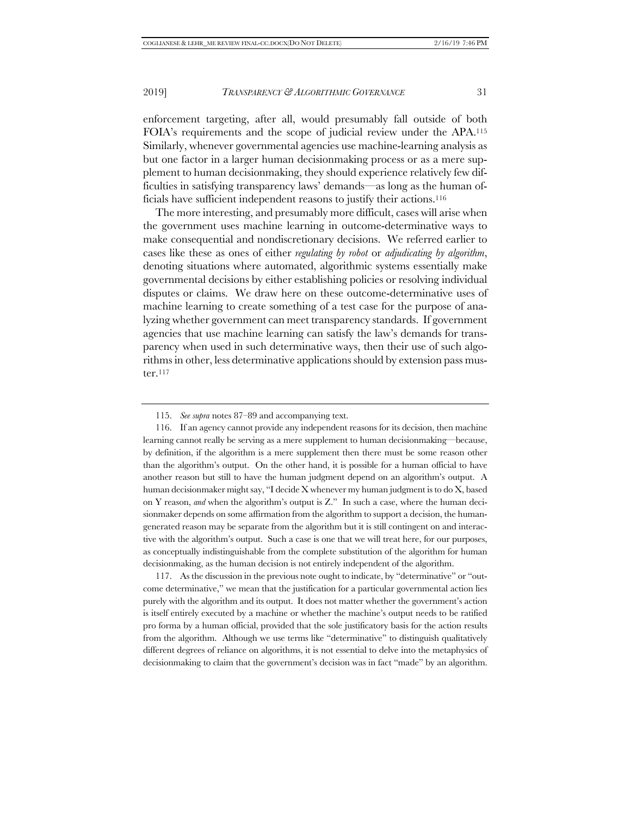enforcement targeting, after all, would presumably fall outside of both FOIA's requirements and the scope of judicial review under the APA.115 Similarly, whenever governmental agencies use machine-learning analysis as but one factor in a larger human decisionmaking process or as a mere supplement to human decisionmaking, they should experience relatively few difficulties in satisfying transparency laws' demands—as long as the human officials have sufficient independent reasons to justify their actions.116

The more interesting, and presumably more difficult, cases will arise when the government uses machine learning in outcome-determinative ways to make consequential and nondiscretionary decisions. We referred earlier to cases like these as ones of either *regulating by robot* or *adjudicating by algorithm*, denoting situations where automated, algorithmic systems essentially make governmental decisions by either establishing policies or resolving individual disputes or claims. We draw here on these outcome-determinative uses of machine learning to create something of a test case for the purpose of analyzing whether government can meet transparency standards. If government agencies that use machine learning can satisfy the law's demands for transparency when used in such determinative ways, then their use of such algorithms in other, less determinative applications should by extension pass muster.117

117. As the discussion in the previous note ought to indicate, by "determinative" or "outcome determinative," we mean that the justification for a particular governmental action lies purely with the algorithm and its output. It does not matter whether the government's action is itself entirely executed by a machine or whether the machine's output needs to be ratified pro forma by a human official, provided that the sole justificatory basis for the action results from the algorithm. Although we use terms like "determinative" to distinguish qualitatively different degrees of reliance on algorithms, it is not essential to delve into the metaphysics of decisionmaking to claim that the government's decision was in fact "made" by an algorithm.

<sup>115.</sup> *See supra* notes 87–89 and accompanying text.

<sup>116.</sup> If an agency cannot provide any independent reasons for its decision, then machine learning cannot really be serving as a mere supplement to human decisionmaking—because, by definition, if the algorithm is a mere supplement then there must be some reason other than the algorithm's output. On the other hand, it is possible for a human official to have another reason but still to have the human judgment depend on an algorithm's output. A human decisionmaker might say, "I decide  $X$  whenever my human judgment is to do  $X$ , based on Y reason, *and* when the algorithm's output is Z." In such a case, where the human decisionmaker depends on some affirmation from the algorithm to support a decision, the humangenerated reason may be separate from the algorithm but it is still contingent on and interactive with the algorithm's output. Such a case is one that we will treat here, for our purposes, as conceptually indistinguishable from the complete substitution of the algorithm for human decisionmaking, as the human decision is not entirely independent of the algorithm.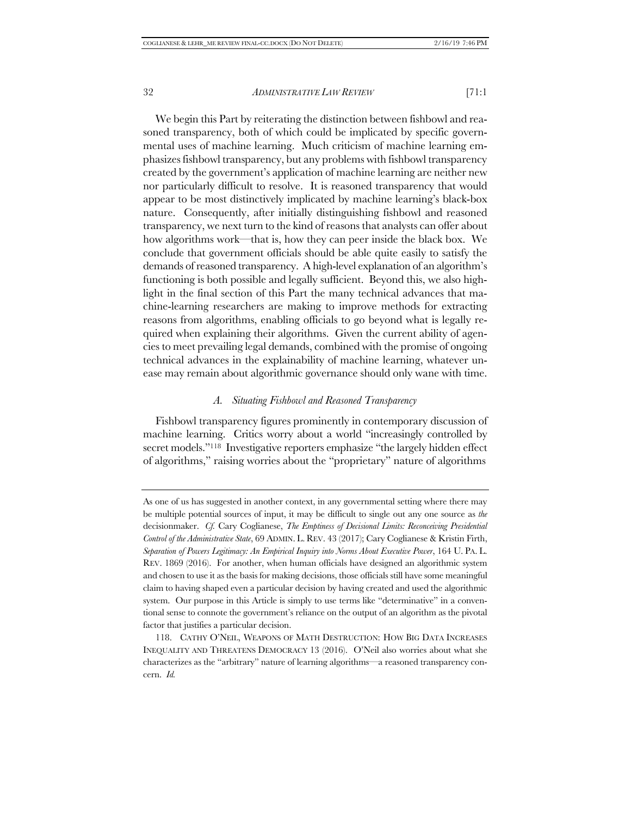We begin this Part by reiterating the distinction between fishbowl and reasoned transparency, both of which could be implicated by specific governmental uses of machine learning. Much criticism of machine learning emphasizes fishbowl transparency, but any problems with fishbowl transparency created by the government's application of machine learning are neither new nor particularly difficult to resolve. It is reasoned transparency that would appear to be most distinctively implicated by machine learning's black-box nature. Consequently, after initially distinguishing fishbowl and reasoned transparency, we next turn to the kind of reasons that analysts can offer about how algorithms work—that is, how they can peer inside the black box. We conclude that government officials should be able quite easily to satisfy the demands of reasoned transparency. A high-level explanation of an algorithm's functioning is both possible and legally sufficient. Beyond this, we also highlight in the final section of this Part the many technical advances that machine-learning researchers are making to improve methods for extracting reasons from algorithms, enabling officials to go beyond what is legally required when explaining their algorithms. Given the current ability of agencies to meet prevailing legal demands, combined with the promise of ongoing technical advances in the explainability of machine learning, whatever unease may remain about algorithmic governance should only wane with time.

#### *A. Situating Fishbowl and Reasoned Transparency*

Fishbowl transparency figures prominently in contemporary discussion of machine learning. Critics worry about a world "increasingly controlled by secret models."<sup>118</sup> Investigative reporters emphasize "the largely hidden effect of algorithms," raising worries about the "proprietary" nature of algorithms

As one of us has suggested in another context, in any governmental setting where there may be multiple potential sources of input, it may be difficult to single out any one source as *the* decisionmaker. *Cf.* Cary Coglianese, *The Emptiness of Decisional Limits: Reconceiving Presidential Control of the Administrative State*, 69 ADMIN. L. REV. 43 (2017); Cary Coglianese & Kristin Firth, *Separation of Powers Legitimacy: An Empirical Inquiry into Norms About Executive Power*, 164 U. PA. L. REV. 1869 (2016). For another, when human officials have designed an algorithmic system and chosen to use it as the basis for making decisions, those officials still have some meaningful claim to having shaped even a particular decision by having created and used the algorithmic system. Our purpose in this Article is simply to use terms like "determinative" in a conventional sense to connote the government's reliance on the output of an algorithm as the pivotal factor that justifies a particular decision.

<sup>118.</sup> CATHY O'NEIL, WEAPONS OF MATH DESTRUCTION: HOW BIG DATA INCREASES INEQUALITY AND THREATENS DEMOCRACY 13 (2016). O'Neil also worries about what she characterizes as the "arbitrary" nature of learning algorithms—a reasoned transparency concern. *Id.*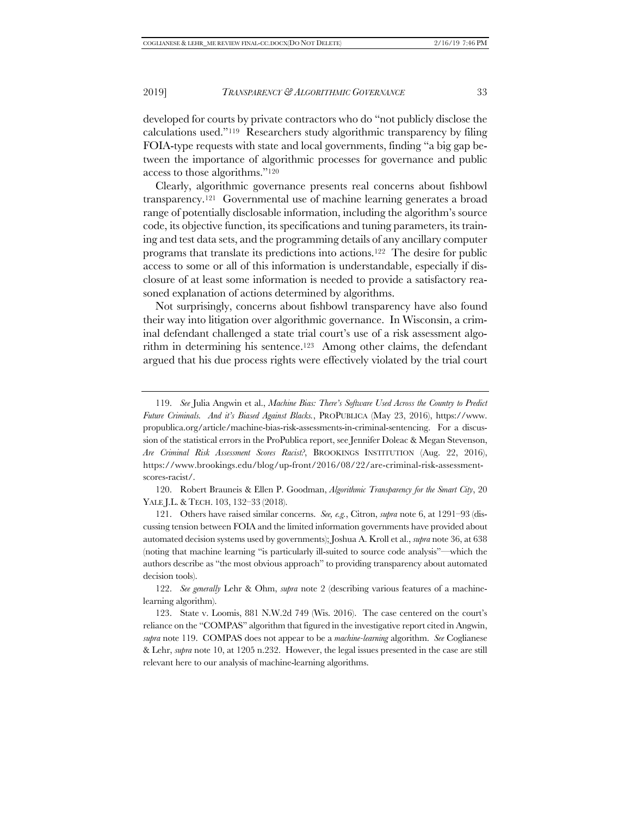developed for courts by private contractors who do "not publicly disclose the calculations used."119 Researchers study algorithmic transparency by filing FOIA-type requests with state and local governments, finding "a big gap between the importance of algorithmic processes for governance and public access to those algorithms."120

Clearly, algorithmic governance presents real concerns about fishbowl transparency.121 Governmental use of machine learning generates a broad range of potentially disclosable information, including the algorithm's source code, its objective function, its specifications and tuning parameters, its training and test data sets, and the programming details of any ancillary computer programs that translate its predictions into actions.122 The desire for public access to some or all of this information is understandable, especially if disclosure of at least some information is needed to provide a satisfactory reasoned explanation of actions determined by algorithms.

Not surprisingly, concerns about fishbowl transparency have also found their way into litigation over algorithmic governance. In Wisconsin, a criminal defendant challenged a state trial court's use of a risk assessment algorithm in determining his sentence.123 Among other claims, the defendant argued that his due process rights were effectively violated by the trial court

120. Robert Brauneis & Ellen P. Goodman, *Algorithmic Transparency for the Smart City*, 20 YALE J.L. & TECH. 103, 132–33 (2018).

121. Others have raised similar concerns. *See, e.g.*, Citron, *supra* note 6, at 1291–93 (discussing tension between FOIA and the limited information governments have provided about automated decision systems used by governments); Joshua A. Kroll et al., *supra* note 36, at 638 (noting that machine learning "is particularly ill-suited to source code analysis"—which the authors describe as "the most obvious approach" to providing transparency about automated decision tools).

122. *See generally* Lehr & Ohm, *supra* note 2 (describing various features of a machinelearning algorithm).

<sup>119.</sup> *See* Julia Angwin et al., *Machine Bias: There's Software Used Across the Country to Predict Future Criminals. And it's Biased Against Blacks.*, PROPUBLICA (May 23, 2016), https://www. propublica.org/article/machine-bias-risk-assessments-in-criminal-sentencing. For a discussion of the statistical errors in the ProPublica report, see Jennifer Doleac & Megan Stevenson, *Are Criminal Risk Assessment Scores Racist?*, BROOKINGS INSTITUTION (Aug. 22, 2016), https://www.brookings.edu/blog/up-front/2016/08/22/are-criminal-risk-assessmentscores-racist/.

<sup>123.</sup> State v. Loomis, 881 N.W.2d 749 (Wis. 2016). The case centered on the court's reliance on the "COMPAS" algorithm that figured in the investigative report cited in Angwin, *supra* note 119. COMPAS does not appear to be a *machine-learning* algorithm. *See* Coglianese & Lehr, *supra* note 10, at 1205 n.232. However, the legal issues presented in the case are still relevant here to our analysis of machine-learning algorithms.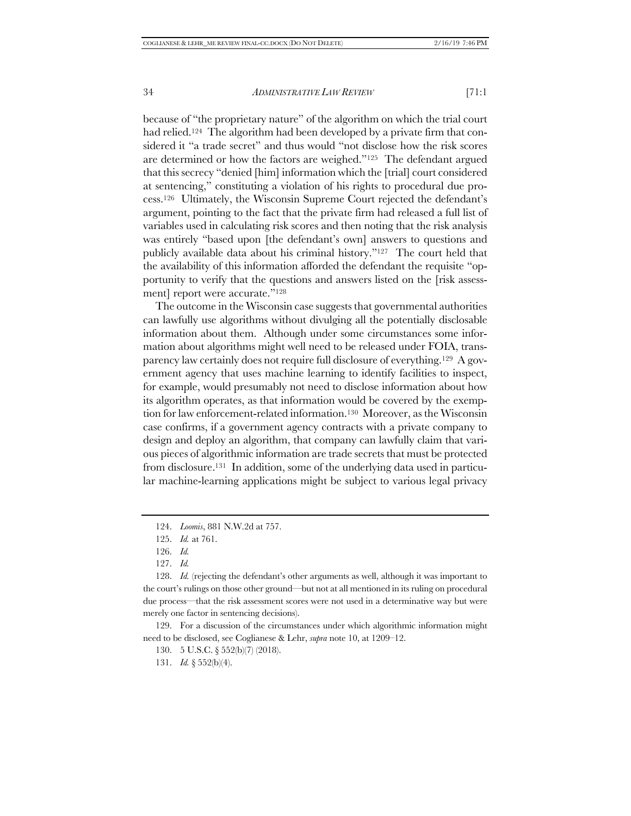because of "the proprietary nature" of the algorithm on which the trial court had relied.<sup>124</sup> The algorithm had been developed by a private firm that considered it "a trade secret" and thus would "not disclose how the risk scores are determined or how the factors are weighed."125 The defendant argued that this secrecy "denied [him] information which the [trial] court considered at sentencing," constituting a violation of his rights to procedural due process.126 Ultimately, the Wisconsin Supreme Court rejected the defendant's argument, pointing to the fact that the private firm had released a full list of variables used in calculating risk scores and then noting that the risk analysis was entirely "based upon [the defendant's own] answers to questions and publicly available data about his criminal history."127 The court held that the availability of this information afforded the defendant the requisite "opportunity to verify that the questions and answers listed on the [risk assessment] report were accurate."128

The outcome in the Wisconsin case suggests that governmental authorities can lawfully use algorithms without divulging all the potentially disclosable information about them. Although under some circumstances some information about algorithms might well need to be released under FOIA, transparency law certainly does not require full disclosure of everything.129 A government agency that uses machine learning to identify facilities to inspect, for example, would presumably not need to disclose information about how its algorithm operates, as that information would be covered by the exemption for law enforcement-related information.<sup>130</sup> Moreover, as the Wisconsin case confirms, if a government agency contracts with a private company to design and deploy an algorithm, that company can lawfully claim that various pieces of algorithmic information are trade secrets that must be protected from disclosure.131 In addition, some of the underlying data used in particular machine-learning applications might be subject to various legal privacy

131. *Id.* § 552(b)(4).

<sup>124.</sup> *Loomis*, 881 N.W.2d at 757.

<sup>125.</sup> *Id.* at 761.

<sup>126.</sup> *Id.*

<sup>127.</sup> *Id.*

<sup>128.</sup> *Id.* (rejecting the defendant's other arguments as well, although it was important to the court's rulings on those other ground—but not at all mentioned in its ruling on procedural due process—that the risk assessment scores were not used in a determinative way but were merely one factor in sentencing decisions).

<sup>129.</sup> For a discussion of the circumstances under which algorithmic information might need to be disclosed, see Coglianese & Lehr, *supra* note 10, at 1209–12.

<sup>130.</sup> 5 U.S.C. § 552(b)(7) (2018).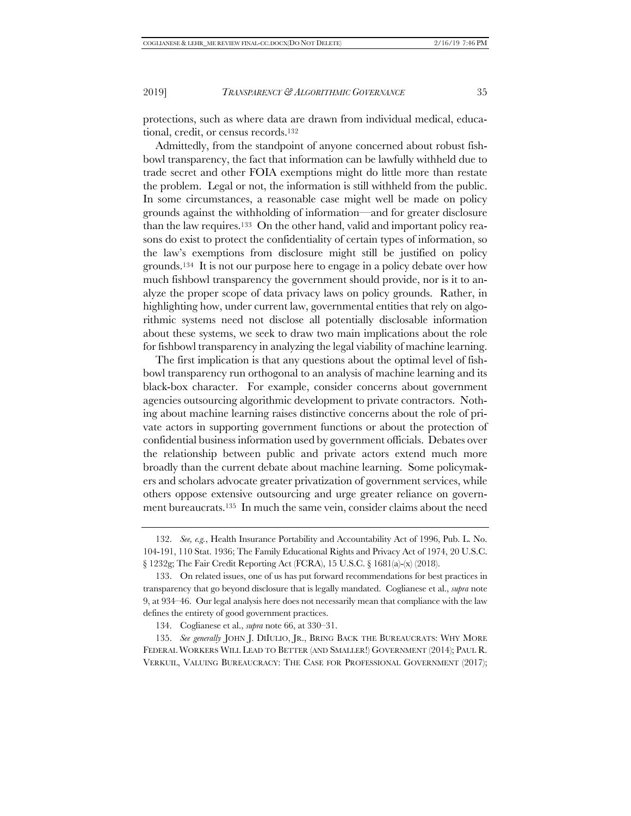protections, such as where data are drawn from individual medical, educational, credit, or census records.132

Admittedly, from the standpoint of anyone concerned about robust fishbowl transparency, the fact that information can be lawfully withheld due to trade secret and other FOIA exemptions might do little more than restate the problem. Legal or not, the information is still withheld from the public. In some circumstances, a reasonable case might well be made on policy grounds against the withholding of information—and for greater disclosure than the law requires.133 On the other hand, valid and important policy reasons do exist to protect the confidentiality of certain types of information, so the law's exemptions from disclosure might still be justified on policy grounds.134 It is not our purpose here to engage in a policy debate over how much fishbowl transparency the government should provide, nor is it to analyze the proper scope of data privacy laws on policy grounds. Rather, in highlighting how, under current law, governmental entities that rely on algorithmic systems need not disclose all potentially disclosable information about these systems, we seek to draw two main implications about the role for fishbowl transparency in analyzing the legal viability of machine learning.

The first implication is that any questions about the optimal level of fishbowl transparency run orthogonal to an analysis of machine learning and its black-box character. For example, consider concerns about government agencies outsourcing algorithmic development to private contractors. Nothing about machine learning raises distinctive concerns about the role of private actors in supporting government functions or about the protection of confidential business information used by government officials. Debates over the relationship between public and private actors extend much more broadly than the current debate about machine learning. Some policymakers and scholars advocate greater privatization of government services, while others oppose extensive outsourcing and urge greater reliance on government bureaucrats.135 In much the same vein, consider claims about the need

135. *See generally* JOHN J. DIIULIO, JR., BRING BACK THE BUREAUCRATS: WHY MORE FEDERAL WORKERS WILL LEAD TO BETTER (AND SMALLER!) GOVERNMENT (2014); PAUL R. VERKUIL, VALUING BUREAUCRACY: THE CASE FOR PROFESSIONAL GOVERNMENT (2017);

<sup>132.</sup> *See, e.g.*, Health Insurance Portability and Accountability Act of 1996, Pub. L. No. 104-191, 110 Stat. 1936; The Family Educational Rights and Privacy Act of 1974, 20 U.S.C. § 1232g; The Fair Credit Reporting Act (FCRA), 15 U.S.C. § 1681(a)-(x) (2018).

<sup>133.</sup> On related issues, one of us has put forward recommendations for best practices in transparency that go beyond disclosure that is legally mandated. Coglianese et al., *supra* note 9, at 934–46. Our legal analysis here does not necessarily mean that compliance with the law defines the entirety of good government practices.

<sup>134.</sup> Coglianese et al., *supra* note 66, at 330–31.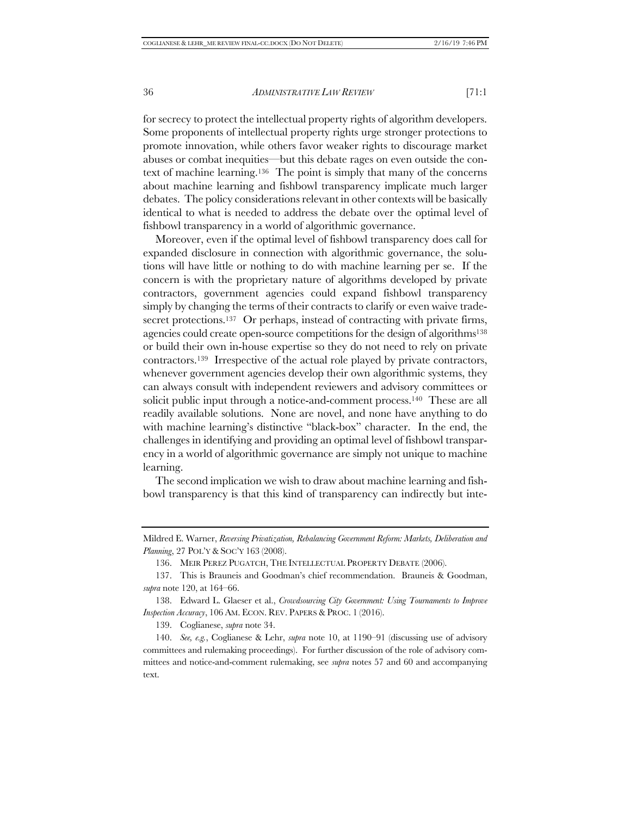for secrecy to protect the intellectual property rights of algorithm developers. Some proponents of intellectual property rights urge stronger protections to promote innovation, while others favor weaker rights to discourage market abuses or combat inequities—but this debate rages on even outside the context of machine learning.136 The point is simply that many of the concerns about machine learning and fishbowl transparency implicate much larger debates. The policy considerations relevant in other contexts will be basically identical to what is needed to address the debate over the optimal level of fishbowl transparency in a world of algorithmic governance.

Moreover, even if the optimal level of fishbowl transparency does call for expanded disclosure in connection with algorithmic governance, the solutions will have little or nothing to do with machine learning per se. If the concern is with the proprietary nature of algorithms developed by private contractors, government agencies could expand fishbowl transparency simply by changing the terms of their contracts to clarify or even waive tradesecret protections.<sup>137</sup> Or perhaps, instead of contracting with private firms, agencies could create open-source competitions for the design of algorithms<sup>138</sup> or build their own in-house expertise so they do not need to rely on private contractors.139 Irrespective of the actual role played by private contractors, whenever government agencies develop their own algorithmic systems, they can always consult with independent reviewers and advisory committees or solicit public input through a notice-and-comment process.<sup>140</sup> These are all readily available solutions. None are novel, and none have anything to do with machine learning's distinctive "black-box" character. In the end, the challenges in identifying and providing an optimal level of fishbowl transparency in a world of algorithmic governance are simply not unique to machine learning.

The second implication we wish to draw about machine learning and fishbowl transparency is that this kind of transparency can indirectly but inte-

139. Coglianese, *supra* note 34.

Mildred E. Warner, *Reversing Privatization, Rebalancing Government Reform: Markets, Deliberation and Planning*, 27 POL'Y & SOC'Y 163 (2008).

<sup>136.</sup> MEIR PEREZ PUGATCH, THE INTELLECTUAL PROPERTY DEBATE (2006).

<sup>137.</sup> This is Brauneis and Goodman's chief recommendation. Brauneis & Goodman, *supra* note 120, at 164–66.

<sup>138.</sup> Edward L. Glaeser et al., *Crowdsourcing City Government: Using Tournaments to Improve Inspection Accuracy*, 106 AM. ECON. REV. PAPERS & PROC. 1 (2016).

<sup>140.</sup> *See, e.g.*, Coglianese & Lehr, *supra* note 10, at 1190–91 (discussing use of advisory committees and rulemaking proceedings). For further discussion of the role of advisory committees and notice-and-comment rulemaking, see *supra* notes 57 and 60 and accompanying text.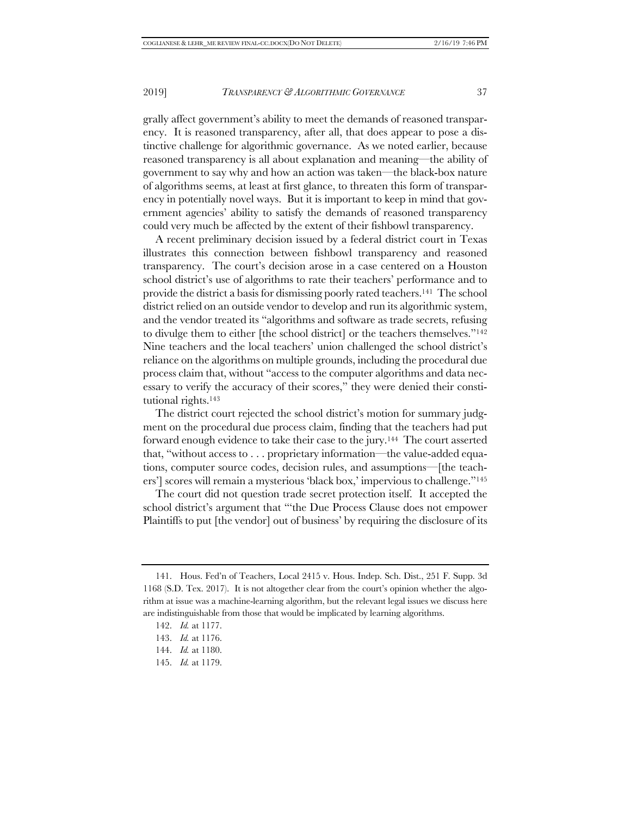grally affect government's ability to meet the demands of reasoned transparency. It is reasoned transparency, after all, that does appear to pose a distinctive challenge for algorithmic governance. As we noted earlier, because reasoned transparency is all about explanation and meaning—the ability of government to say why and how an action was taken—the black-box nature of algorithms seems, at least at first glance, to threaten this form of transparency in potentially novel ways. But it is important to keep in mind that government agencies' ability to satisfy the demands of reasoned transparency could very much be affected by the extent of their fishbowl transparency.

A recent preliminary decision issued by a federal district court in Texas illustrates this connection between fishbowl transparency and reasoned transparency. The court's decision arose in a case centered on a Houston school district's use of algorithms to rate their teachers' performance and to provide the district a basis for dismissing poorly rated teachers.141 The school district relied on an outside vendor to develop and run its algorithmic system, and the vendor treated its "algorithms and software as trade secrets, refusing to divulge them to either [the school district] or the teachers themselves."142 Nine teachers and the local teachers' union challenged the school district's reliance on the algorithms on multiple grounds, including the procedural due process claim that, without "access to the computer algorithms and data necessary to verify the accuracy of their scores," they were denied their constitutional rights.143

The district court rejected the school district's motion for summary judgment on the procedural due process claim, finding that the teachers had put forward enough evidence to take their case to the jury.144 The court asserted that, "without access to . . . proprietary information—the value-added equations, computer source codes, decision rules, and assumptions—[the teachers'] scores will remain a mysterious 'black box,' impervious to challenge."145

The court did not question trade secret protection itself. It accepted the school district's argument that "'the Due Process Clause does not empower Plaintiffs to put [the vendor] out of business' by requiring the disclosure of its

<sup>141.</sup> Hous. Fed'n of Teachers, Local 2415 v. Hous. Indep. Sch. Dist., 251 F. Supp. 3d 1168 (S.D. Tex. 2017). It is not altogether clear from the court's opinion whether the algorithm at issue was a machine-learning algorithm, but the relevant legal issues we discuss here are indistinguishable from those that would be implicated by learning algorithms.

<sup>142.</sup> *Id.* at 1177.

<sup>143.</sup> *Id.* at 1176.

<sup>144.</sup> *Id.* at 1180.

<sup>145.</sup> *Id.* at 1179.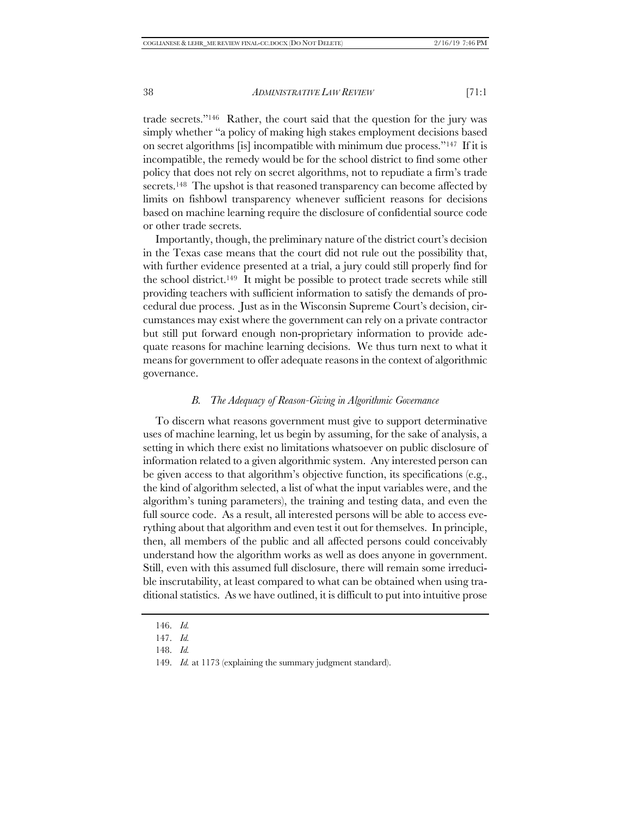trade secrets."146 Rather, the court said that the question for the jury was simply whether "a policy of making high stakes employment decisions based on secret algorithms [is] incompatible with minimum due process."147 If it is incompatible, the remedy would be for the school district to find some other policy that does not rely on secret algorithms, not to repudiate a firm's trade secrets.<sup>148</sup> The upshot is that reasoned transparency can become affected by limits on fishbowl transparency whenever sufficient reasons for decisions based on machine learning require the disclosure of confidential source code or other trade secrets.

Importantly, though, the preliminary nature of the district court's decision in the Texas case means that the court did not rule out the possibility that, with further evidence presented at a trial, a jury could still properly find for the school district.149 It might be possible to protect trade secrets while still providing teachers with sufficient information to satisfy the demands of procedural due process. Just as in the Wisconsin Supreme Court's decision, circumstances may exist where the government can rely on a private contractor but still put forward enough non-proprietary information to provide adequate reasons for machine learning decisions. We thus turn next to what it means for government to offer adequate reasons in the context of algorithmic governance.

#### *B. The Adequacy of Reason-Giving in Algorithmic Governance*

To discern what reasons government must give to support determinative uses of machine learning, let us begin by assuming, for the sake of analysis, a setting in which there exist no limitations whatsoever on public disclosure of information related to a given algorithmic system. Any interested person can be given access to that algorithm's objective function, its specifications (e.g., the kind of algorithm selected, a list of what the input variables were, and the algorithm's tuning parameters), the training and testing data, and even the full source code. As a result, all interested persons will be able to access everything about that algorithm and even test it out for themselves. In principle, then, all members of the public and all affected persons could conceivably understand how the algorithm works as well as does anyone in government. Still, even with this assumed full disclosure, there will remain some irreducible inscrutability, at least compared to what can be obtained when using traditional statistics. As we have outlined, it is difficult to put into intuitive prose

<sup>146.</sup> *Id.*

<sup>147.</sup> *Id.*

<sup>148.</sup> *Id.*

<sup>149.</sup> *Id.* at 1173 (explaining the summary judgment standard).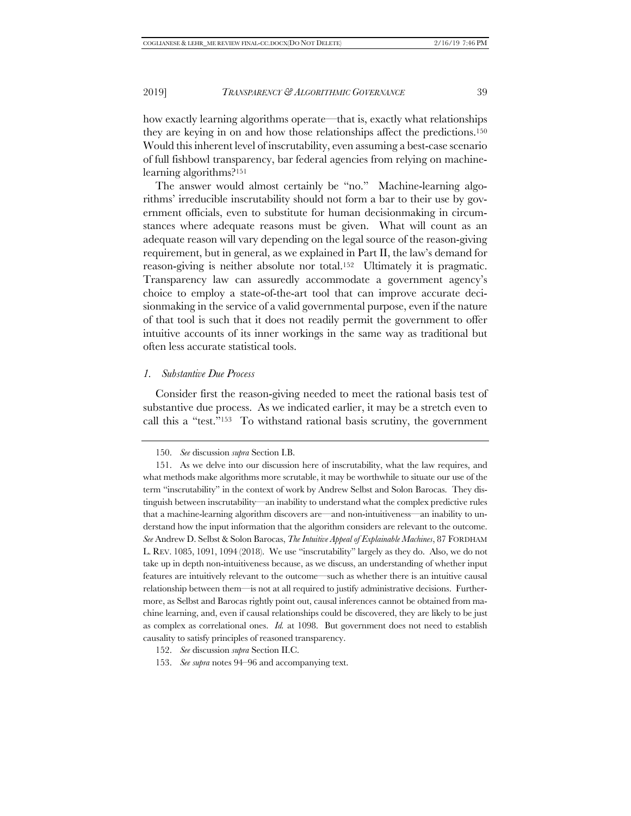how exactly learning algorithms operate—that is, exactly what relationships they are keying in on and how those relationships affect the predictions.150 Would this inherent level of inscrutability, even assuming a best-case scenario of full fishbowl transparency, bar federal agencies from relying on machinelearning algorithms?151

The answer would almost certainly be "no." Machine-learning algorithms' irreducible inscrutability should not form a bar to their use by government officials, even to substitute for human decisionmaking in circumstances where adequate reasons must be given. What will count as an adequate reason will vary depending on the legal source of the reason-giving requirement, but in general, as we explained in Part II, the law's demand for reason-giving is neither absolute nor total.152 Ultimately it is pragmatic. Transparency law can assuredly accommodate a government agency's choice to employ a state-of-the-art tool that can improve accurate decisionmaking in the service of a valid governmental purpose, even if the nature of that tool is such that it does not readily permit the government to offer intuitive accounts of its inner workings in the same way as traditional but often less accurate statistical tools.

#### *1. Substantive Due Process*

Consider first the reason-giving needed to meet the rational basis test of substantive due process. As we indicated earlier, it may be a stretch even to call this a "test."153 To withstand rational basis scrutiny, the government

<sup>150.</sup> *See* discussion *supra* Section I.B.

<sup>151.</sup> As we delve into our discussion here of inscrutability, what the law requires, and what methods make algorithms more scrutable, it may be worthwhile to situate our use of the term "inscrutability" in the context of work by Andrew Selbst and Solon Barocas. They distinguish between inscrutability—an inability to understand what the complex predictive rules that a machine-learning algorithm discovers are—and non-intuitiveness—an inability to understand how the input information that the algorithm considers are relevant to the outcome. *See* Andrew D. Selbst & Solon Barocas, *The Intuitive Appeal of Explainable Machines*, 87 FORDHAM L. REV. 1085, 1091, 1094 (2018). We use "inscrutability" largely as they do. Also, we do not take up in depth non-intuitiveness because, as we discuss, an understanding of whether input features are intuitively relevant to the outcome—such as whether there is an intuitive causal relationship between them—is not at all required to justify administrative decisions. Furthermore, as Selbst and Barocas rightly point out, causal inferences cannot be obtained from machine learning, and, even if causal relationships could be discovered, they are likely to be just as complex as correlational ones. *Id.* at 1098. But government does not need to establish causality to satisfy principles of reasoned transparency.

<sup>152.</sup> *See* discussion *supra* Section II.C.

<sup>153.</sup> *See supra* notes 94–96 and accompanying text.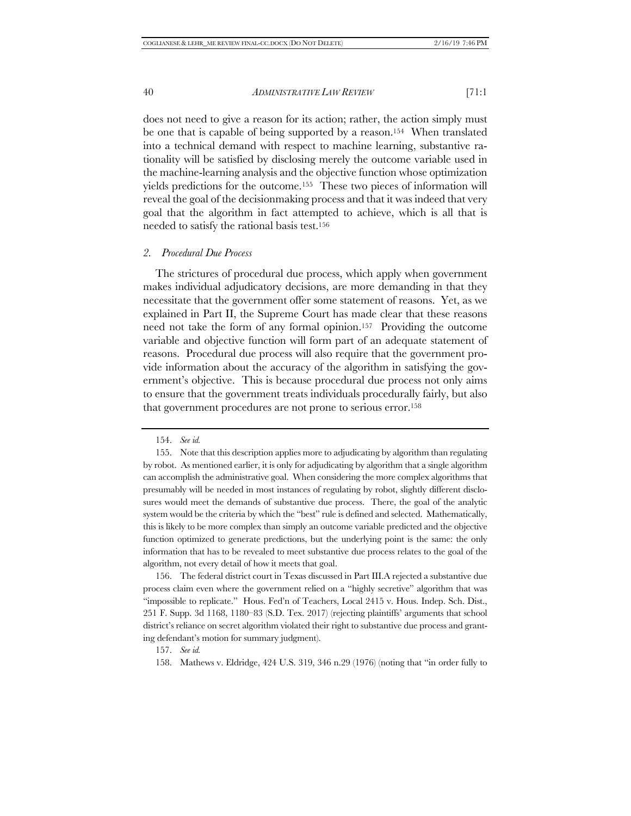does not need to give a reason for its action; rather, the action simply must be one that is capable of being supported by a reason.154 When translated into a technical demand with respect to machine learning, substantive rationality will be satisfied by disclosing merely the outcome variable used in the machine-learning analysis and the objective function whose optimization yields predictions for the outcome.155 These two pieces of information will reveal the goal of the decisionmaking process and that it was indeed that very goal that the algorithm in fact attempted to achieve, which is all that is needed to satisfy the rational basis test.156

#### *2. Procedural Due Process*

The strictures of procedural due process, which apply when government makes individual adjudicatory decisions, are more demanding in that they necessitate that the government offer some statement of reasons. Yet, as we explained in Part II, the Supreme Court has made clear that these reasons need not take the form of any formal opinion.<sup>157</sup> Providing the outcome variable and objective function will form part of an adequate statement of reasons. Procedural due process will also require that the government provide information about the accuracy of the algorithm in satisfying the government's objective. This is because procedural due process not only aims to ensure that the government treats individuals procedurally fairly, but also that government procedures are not prone to serious error.158

156. The federal district court in Texas discussed in Part III.A rejected a substantive due process claim even where the government relied on a "highly secretive" algorithm that was "impossible to replicate." Hous. Fed'n of Teachers, Local 2415 v. Hous. Indep. Sch. Dist., 251 F. Supp. 3d 1168, 1180–83 (S.D. Tex. 2017) (rejecting plaintiffs' arguments that school district's reliance on secret algorithm violated their right to substantive due process and granting defendant's motion for summary judgment).

158. Mathews v. Eldridge, 424 U.S. 319, 346 n.29 (1976) (noting that "in order fully to

<sup>154.</sup> *See id.*

<sup>155.</sup> Note that this description applies more to adjudicating by algorithm than regulating by robot. As mentioned earlier, it is only for adjudicating by algorithm that a single algorithm can accomplish the administrative goal. When considering the more complex algorithms that presumably will be needed in most instances of regulating by robot, slightly different disclosures would meet the demands of substantive due process. There, the goal of the analytic system would be the criteria by which the "best" rule is defined and selected. Mathematically, this is likely to be more complex than simply an outcome variable predicted and the objective function optimized to generate predictions, but the underlying point is the same: the only information that has to be revealed to meet substantive due process relates to the goal of the algorithm, not every detail of how it meets that goal.

<sup>157.</sup> *See id.*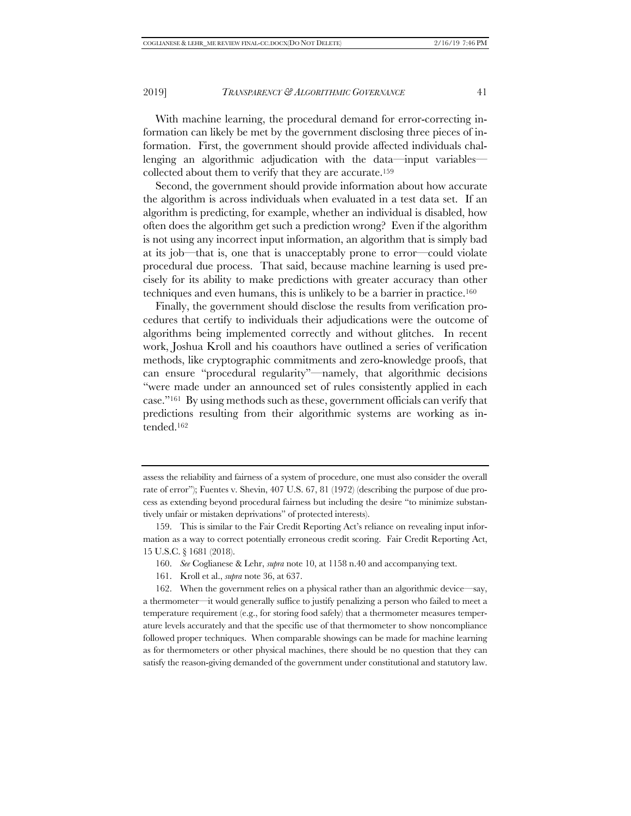With machine learning, the procedural demand for error-correcting information can likely be met by the government disclosing three pieces of information. First, the government should provide affected individuals challenging an algorithmic adjudication with the data—input variables collected about them to verify that they are accurate.159

Second, the government should provide information about how accurate the algorithm is across individuals when evaluated in a test data set. If an algorithm is predicting, for example, whether an individual is disabled, how often does the algorithm get such a prediction wrong? Even if the algorithm is not using any incorrect input information, an algorithm that is simply bad at its job—that is, one that is unacceptably prone to error—could violate procedural due process. That said, because machine learning is used precisely for its ability to make predictions with greater accuracy than other techniques and even humans, this is unlikely to be a barrier in practice.160

Finally, the government should disclose the results from verification procedures that certify to individuals their adjudications were the outcome of algorithms being implemented correctly and without glitches. In recent work, Joshua Kroll and his coauthors have outlined a series of verification methods, like cryptographic commitments and zero-knowledge proofs, that can ensure "procedural regularity"—namely, that algorithmic decisions "were made under an announced set of rules consistently applied in each case."161 By using methods such as these, government officials can verify that predictions resulting from their algorithmic systems are working as intended.162

assess the reliability and fairness of a system of procedure, one must also consider the overall rate of error"); Fuentes v. Shevin, 407 U.S. 67, 81 (1972) (describing the purpose of due process as extending beyond procedural fairness but including the desire "to minimize substantively unfair or mistaken deprivations" of protected interests).

<sup>159.</sup> This is similar to the Fair Credit Reporting Act's reliance on revealing input information as a way to correct potentially erroneous credit scoring. Fair Credit Reporting Act, 15 U.S.C. § 1681 (2018).

<sup>160.</sup> *See* Coglianese & Lehr, *supra* note 10, at 1158 n.40 and accompanying text.

<sup>161.</sup> Kroll et al., *supra* note 36, at 637.

<sup>162.</sup> When the government relies on a physical rather than an algorithmic device—say, a thermometer—it would generally suffice to justify penalizing a person who failed to meet a temperature requirement (e.g., for storing food safely) that a thermometer measures temperature levels accurately and that the specific use of that thermometer to show noncompliance followed proper techniques. When comparable showings can be made for machine learning as for thermometers or other physical machines, there should be no question that they can satisfy the reason-giving demanded of the government under constitutional and statutory law.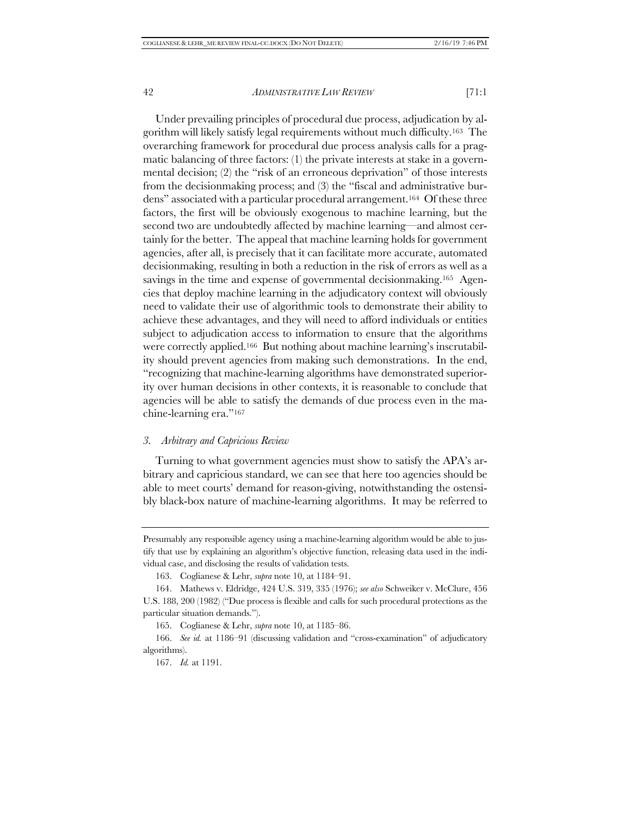Under prevailing principles of procedural due process, adjudication by algorithm will likely satisfy legal requirements without much difficulty.163 The overarching framework for procedural due process analysis calls for a pragmatic balancing of three factors: (1) the private interests at stake in a governmental decision; (2) the "risk of an erroneous deprivation" of those interests from the decisionmaking process; and (3) the "fiscal and administrative burdens" associated with a particular procedural arrangement.164 Of these three factors, the first will be obviously exogenous to machine learning, but the second two are undoubtedly affected by machine learning—and almost certainly for the better. The appeal that machine learning holds for government agencies, after all, is precisely that it can facilitate more accurate, automated decisionmaking, resulting in both a reduction in the risk of errors as well as a savings in the time and expense of governmental decisionmaking.<sup>165</sup> Agencies that deploy machine learning in the adjudicatory context will obviously need to validate their use of algorithmic tools to demonstrate their ability to achieve these advantages, and they will need to afford individuals or entities subject to adjudication access to information to ensure that the algorithms were correctly applied.166 But nothing about machine learning's inscrutability should prevent agencies from making such demonstrations. In the end, "recognizing that machine-learning algorithms have demonstrated superiority over human decisions in other contexts, it is reasonable to conclude that agencies will be able to satisfy the demands of due process even in the machine-learning era."167

#### *3. Arbitrary and Capricious Review*

Turning to what government agencies must show to satisfy the APA's arbitrary and capricious standard, we can see that here too agencies should be able to meet courts' demand for reason-giving, notwithstanding the ostensibly black-box nature of machine-learning algorithms. It may be referred to

Presumably any responsible agency using a machine-learning algorithm would be able to justify that use by explaining an algorithm's objective function, releasing data used in the individual case, and disclosing the results of validation tests.

<sup>163.</sup> Coglianese & Lehr, *supra* note 10, at 1184–91.

<sup>164.</sup> Mathews v. Eldridge, 424 U.S. 319, 335 (1976); *see also* Schweiker v. McClure, 456 U.S. 188, 200 (1982) ("Due process is flexible and calls for such procedural protections as the particular situation demands.").

<sup>165.</sup> Coglianese & Lehr, *supra* note 10, at 1185–86.

<sup>166.</sup> *See id.* at 1186–91 (discussing validation and "cross-examination" of adjudicatory algorithms).

<sup>167.</sup> *Id.* at 1191.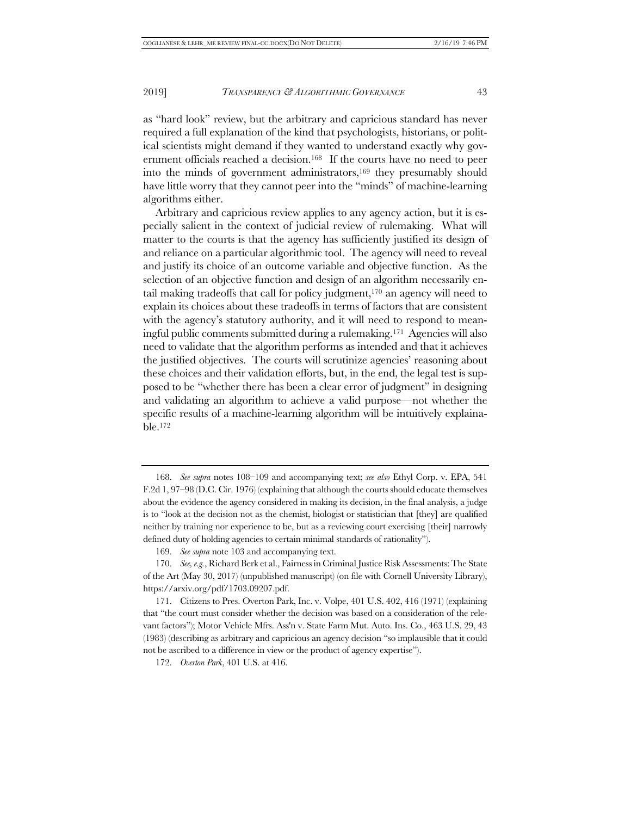as "hard look" review, but the arbitrary and capricious standard has never required a full explanation of the kind that psychologists, historians, or political scientists might demand if they wanted to understand exactly why government officials reached a decision.168 If the courts have no need to peer into the minds of government administrators,<sup>169</sup> they presumably should have little worry that they cannot peer into the "minds" of machine-learning algorithms either.

Arbitrary and capricious review applies to any agency action, but it is especially salient in the context of judicial review of rulemaking. What will matter to the courts is that the agency has sufficiently justified its design of and reliance on a particular algorithmic tool. The agency will need to reveal and justify its choice of an outcome variable and objective function. As the selection of an objective function and design of an algorithm necessarily entail making tradeoffs that call for policy judgment,170 an agency will need to explain its choices about these tradeoffs in terms of factors that are consistent with the agency's statutory authority, and it will need to respond to meaningful public comments submitted during a rulemaking.171 Agencies will also need to validate that the algorithm performs as intended and that it achieves the justified objectives. The courts will scrutinize agencies' reasoning about these choices and their validation efforts, but, in the end, the legal test is supposed to be "whether there has been a clear error of judgment" in designing and validating an algorithm to achieve a valid purpose—not whether the specific results of a machine-learning algorithm will be intuitively explainable.172

<sup>168.</sup> *See supra* notes 108–109 and accompanying text; *see also* Ethyl Corp. v. EPA, 541 F.2d 1, 97–98 (D.C. Cir. 1976) (explaining that although the courts should educate themselves about the evidence the agency considered in making its decision, in the final analysis, a judge is to "look at the decision not as the chemist, biologist or statistician that [they] are qualified neither by training nor experience to be, but as a reviewing court exercising [their] narrowly defined duty of holding agencies to certain minimal standards of rationality").

<sup>169.</sup> *See supra* note 103 and accompanying text.

<sup>170.</sup> *See, e.g.*, Richard Berk et al., Fairness in Criminal Justice Risk Assessments: The State of the Art (May 30, 2017) (unpublished manuscript) (on file with Cornell University Library), https://arxiv.org/pdf/1703.09207.pdf.

<sup>171.</sup> Citizens to Pres. Overton Park, Inc. v. Volpe, 401 U.S. 402, 416 (1971) (explaining that "the court must consider whether the decision was based on a consideration of the relevant factors"); Motor Vehicle Mfrs. Ass'n v. State Farm Mut. Auto. Ins. Co., 463 U.S. 29, 43 (1983) (describing as arbitrary and capricious an agency decision "so implausible that it could not be ascribed to a difference in view or the product of agency expertise").

<sup>172.</sup> *Overton Park*, 401 U.S. at 416.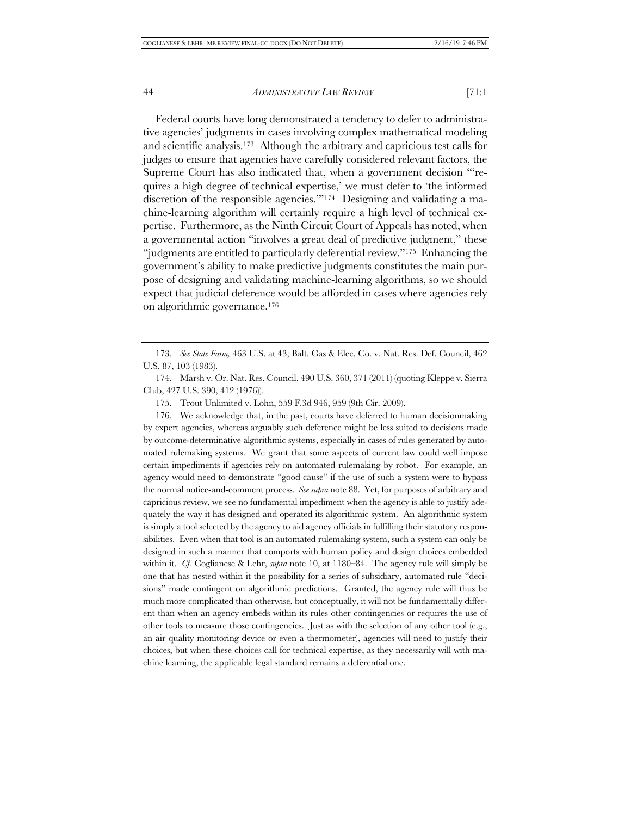Federal courts have long demonstrated a tendency to defer to administrative agencies' judgments in cases involving complex mathematical modeling and scientific analysis.173 Although the arbitrary and capricious test calls for judges to ensure that agencies have carefully considered relevant factors, the Supreme Court has also indicated that, when a government decision "'requires a high degree of technical expertise,' we must defer to 'the informed discretion of the responsible agencies."<sup>174</sup> Designing and validating a machine-learning algorithm will certainly require a high level of technical expertise. Furthermore, as the Ninth Circuit Court of Appeals has noted, when a governmental action "involves a great deal of predictive judgment," these "judgments are entitled to particularly deferential review."175 Enhancing the government's ability to make predictive judgments constitutes the main purpose of designing and validating machine-learning algorithms, so we should expect that judicial deference would be afforded in cases where agencies rely on algorithmic governance.176

175. Trout Unlimited v. Lohn, 559 F.3d 946, 959 (9th Cir. 2009).

176. We acknowledge that, in the past, courts have deferred to human decisionmaking by expert agencies, whereas arguably such deference might be less suited to decisions made by outcome-determinative algorithmic systems, especially in cases of rules generated by automated rulemaking systems. We grant that some aspects of current law could well impose certain impediments if agencies rely on automated rulemaking by robot. For example, an agency would need to demonstrate "good cause" if the use of such a system were to bypass the normal notice-and-comment process. *See supra* note 88. Yet, for purposes of arbitrary and capricious review, we see no fundamental impediment when the agency is able to justify adequately the way it has designed and operated its algorithmic system. An algorithmic system is simply a tool selected by the agency to aid agency officials in fulfilling their statutory responsibilities. Even when that tool is an automated rulemaking system, such a system can only be designed in such a manner that comports with human policy and design choices embedded within it. *Cf.* Coglianese & Lehr, *supra* note 10, at 1180–84. The agency rule will simply be one that has nested within it the possibility for a series of subsidiary, automated rule "decisions" made contingent on algorithmic predictions. Granted, the agency rule will thus be much more complicated than otherwise, but conceptually, it will not be fundamentally different than when an agency embeds within its rules other contingencies or requires the use of other tools to measure those contingencies. Just as with the selection of any other tool (e.g., an air quality monitoring device or even a thermometer), agencies will need to justify their choices, but when these choices call for technical expertise, as they necessarily will with machine learning, the applicable legal standard remains a deferential one.

<sup>173.</sup> *See State Farm,* 463 U.S. at 43; Balt. Gas & Elec. Co. v. Nat. Res. Def. Council, 462 U.S. 87, 103 (1983).

<sup>174.</sup> Marsh v. Or. Nat. Res. Council, 490 U.S. 360, 371 (2011) (quoting Kleppe v. Sierra Club, 427 U.S. 390, 412 (1976)).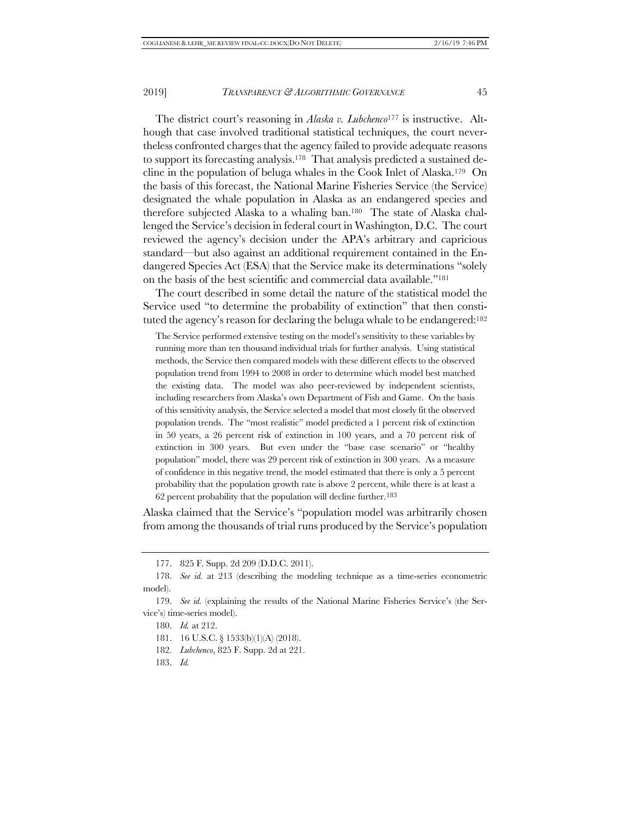The district court's reasoning in *Alaska v. Lubchenco*<sup>177</sup> is instructive. Although that case involved traditional statistical techniques, the court nevertheless confronted charges that the agency failed to provide adequate reasons to support its forecasting analysis.178 That analysis predicted a sustained decline in the population of beluga whales in the Cook Inlet of Alaska.<sup>179</sup> On the basis of this forecast, the National Marine Fisheries Service (the Service) designated the whale population in Alaska as an endangered species and therefore subjected Alaska to a whaling ban.180 The state of Alaska challenged the Service's decision in federal court in Washington, D.C. The court reviewed the agency's decision under the APA's arbitrary and capricious standard—but also against an additional requirement contained in the Endangered Species Act (ESA) that the Service make its determinations "solely on the basis of the best scientific and commercial data available."181

The court described in some detail the nature of the statistical model the Service used "to determine the probability of extinction" that then constituted the agency's reason for declaring the beluga whale to be endangered:182

The Service performed extensive testing on the model's sensitivity to these variables by running more than ten thousand individual trials for further analysis. Using statistical methods, the Service then compared models with these different effects to the observed population trend from 1994 to 2008 in order to determine which model best matched the existing data. The model was also peer-reviewed by independent scientists, including researchers from Alaska's own Department of Fish and Game. On the basis of this sensitivity analysis, the Service selected a model that most closely fit the observed population trends. The "most realistic" model predicted a 1 percent risk of extinction in 50 years, a 26 percent risk of extinction in 100 years, and a 70 percent risk of extinction in 300 years. But even under the "base case scenario" or "healthy population" model, there was 29 percent risk of extinction in 300 years. As a measure of confidence in this negative trend, the model estimated that there is only a 5 percent probability that the population growth rate is above 2 percent, while there is at least a 62 percent probability that the population will decline further.183

Alaska claimed that the Service's "population model was arbitrarily chosen from among the thousands of trial runs produced by the Service's population

<sup>177.</sup> 825 F. Supp. 2d 209 (D.D.C. 2011).

<sup>178.</sup> *See id.* at 213 (describing the modeling technique as a time-series econometric model).

<sup>179.</sup> *See id.* (explaining the results of the National Marine Fisheries Service's (the Service's) time-series model).

<sup>180.</sup> *Id.* at 212.

<sup>181.</sup> 16 U.S.C. § 1533(b)(1)(A) (2018).

<sup>182.</sup> *Lubchenco*, 825 F. Supp. 2d at 221.

<sup>183.</sup> *Id.*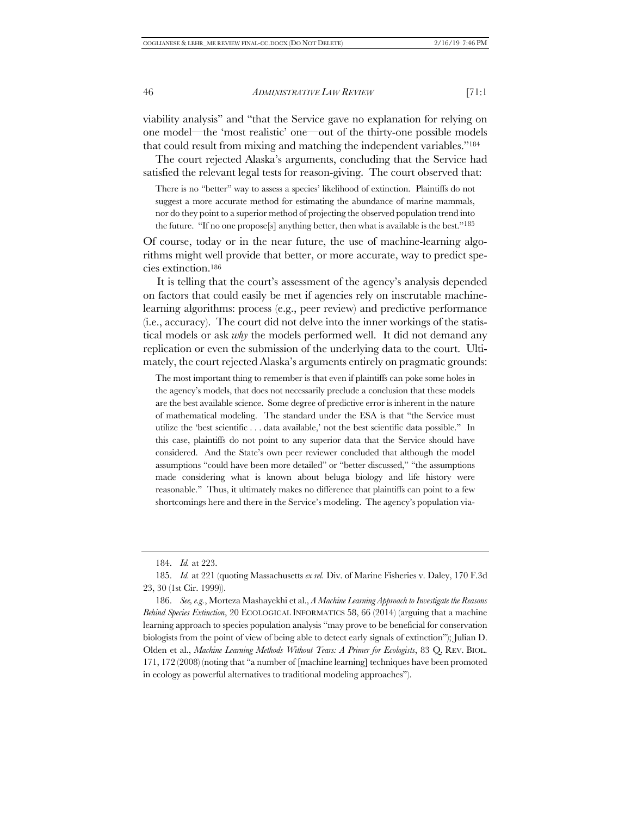viability analysis" and "that the Service gave no explanation for relying on one model—the 'most realistic' one—out of the thirty-one possible models that could result from mixing and matching the independent variables."184

The court rejected Alaska's arguments, concluding that the Service had satisfied the relevant legal tests for reason-giving. The court observed that:

There is no "better" way to assess a species' likelihood of extinction. Plaintiffs do not suggest a more accurate method for estimating the abundance of marine mammals, nor do they point to a superior method of projecting the observed population trend into the future. "If no one propose[s] anything better, then what is available is the best."185

Of course, today or in the near future, the use of machine-learning algorithms might well provide that better, or more accurate, way to predict species extinction.186

It is telling that the court's assessment of the agency's analysis depended on factors that could easily be met if agencies rely on inscrutable machinelearning algorithms: process (e.g., peer review) and predictive performance (i.e., accuracy). The court did not delve into the inner workings of the statistical models or ask *why* the models performed well. It did not demand any replication or even the submission of the underlying data to the court. Ultimately, the court rejected Alaska's arguments entirely on pragmatic grounds:

The most important thing to remember is that even if plaintiffs can poke some holes in the agency's models, that does not necessarily preclude a conclusion that these models are the best available science. Some degree of predictive error is inherent in the nature of mathematical modeling. The standard under the ESA is that "the Service must utilize the 'best scientific . . . data available,' not the best scientific data possible." In this case, plaintiffs do not point to any superior data that the Service should have considered. And the State's own peer reviewer concluded that although the model assumptions "could have been more detailed" or "better discussed," "the assumptions made considering what is known about beluga biology and life history were reasonable." Thus, it ultimately makes no difference that plaintiffs can point to a few shortcomings here and there in the Service's modeling. The agency's population via-

<sup>184.</sup> *Id.* at 223.

<sup>185.</sup> *Id.* at 221 (quoting Massachusetts *ex rel.* Div. of Marine Fisheries v. Daley, 170 F.3d 23, 30 (1st Cir. 1999)).

<sup>186.</sup> *See, e.g.*, Morteza Mashayekhi et al., *A Machine Learning Approach to Investigate the Reasons Behind Species Extinction*, 20 ECOLOGICAL INFORMATICS 58, 66 (2014) (arguing that a machine learning approach to species population analysis "may prove to be beneficial for conservation biologists from the point of view of being able to detect early signals of extinction"); Julian D. Olden et al., *Machine Learning Methods Without Tears: A Primer for Ecologists*, 83 Q. REV. BIOL. 171, 172 (2008) (noting that "a number of [machine learning] techniques have been promoted in ecology as powerful alternatives to traditional modeling approaches").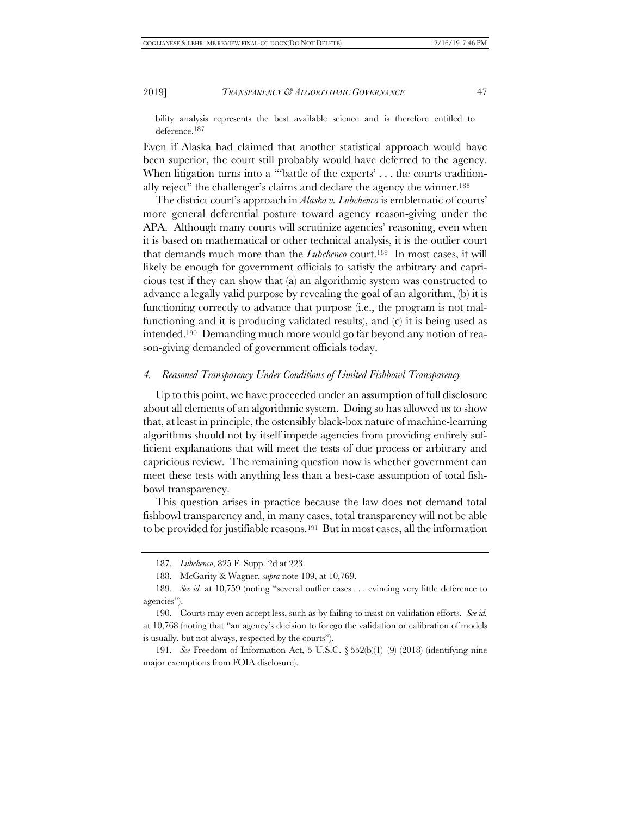bility analysis represents the best available science and is therefore entitled to deference.187

Even if Alaska had claimed that another statistical approach would have been superior, the court still probably would have deferred to the agency. When litigation turns into a "'battle of the experts' . . . the courts traditionally reject" the challenger's claims and declare the agency the winner.188

The district court's approach in *Alaska v. Lubchenco* is emblematic of courts' more general deferential posture toward agency reason-giving under the APA. Although many courts will scrutinize agencies' reasoning, even when it is based on mathematical or other technical analysis, it is the outlier court that demands much more than the *Lubchenco* court.189 In most cases, it will likely be enough for government officials to satisfy the arbitrary and capricious test if they can show that (a) an algorithmic system was constructed to advance a legally valid purpose by revealing the goal of an algorithm, (b) it is functioning correctly to advance that purpose (i.e., the program is not malfunctioning and it is producing validated results), and (c) it is being used as intended.190 Demanding much more would go far beyond any notion of reason-giving demanded of government officials today.

#### *4. Reasoned Transparency Under Conditions of Limited Fishbowl Transparency*

Up to this point, we have proceeded under an assumption of full disclosure about all elements of an algorithmic system. Doing so has allowed us to show that, at least in principle, the ostensibly black-box nature of machine-learning algorithms should not by itself impede agencies from providing entirely sufficient explanations that will meet the tests of due process or arbitrary and capricious review. The remaining question now is whether government can meet these tests with anything less than a best-case assumption of total fishbowl transparency.

This question arises in practice because the law does not demand total fishbowl transparency and, in many cases, total transparency will not be able to be provided for justifiable reasons.191 But in most cases, all the information

<sup>187.</sup> *Lubchenco*, 825 F. Supp. 2d at 223.

<sup>188.</sup> McGarity & Wagner, *supra* note 109, at 10,769.

<sup>189.</sup> *See id.* at 10,759 (noting "several outlier cases . . . evincing very little deference to agencies").

<sup>190.</sup> Courts may even accept less, such as by failing to insist on validation efforts. *See id.* at 10,768 (noting that "an agency's decision to forego the validation or calibration of models is usually, but not always, respected by the courts").

<sup>191.</sup> *See* Freedom of Information Act, 5 U.S.C. § 552(b)(1)–(9) (2018) (identifying nine major exemptions from FOIA disclosure).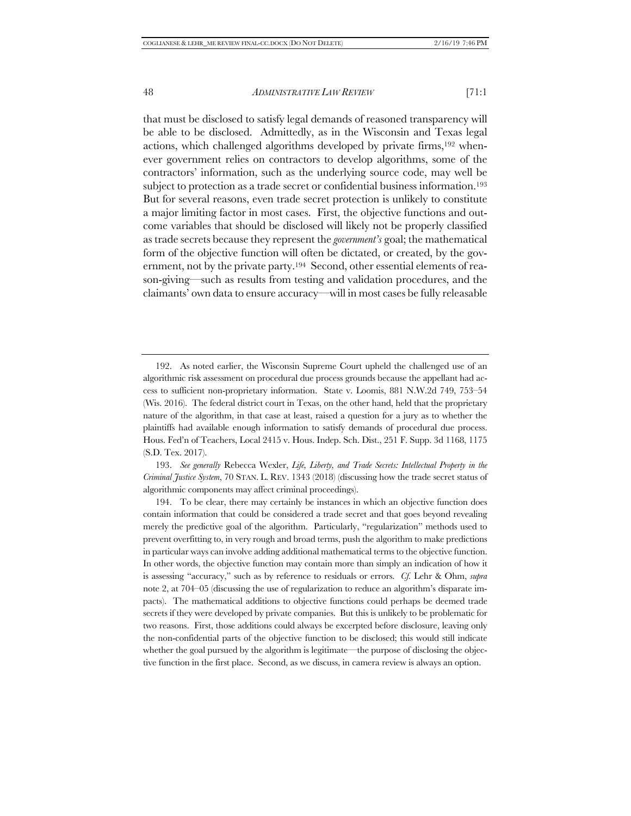that must be disclosed to satisfy legal demands of reasoned transparency will be able to be disclosed. Admittedly, as in the Wisconsin and Texas legal actions, which challenged algorithms developed by private firms,192 whenever government relies on contractors to develop algorithms, some of the contractors' information, such as the underlying source code, may well be subject to protection as a trade secret or confidential business information.193 But for several reasons, even trade secret protection is unlikely to constitute a major limiting factor in most cases. First, the objective functions and outcome variables that should be disclosed will likely not be properly classified as trade secrets because they represent the *government's* goal; the mathematical form of the objective function will often be dictated, or created, by the government, not by the private party.194 Second, other essential elements of reason-giving—such as results from testing and validation procedures, and the claimants' own data to ensure accuracy—will in most cases be fully releasable

193. *See generally* Rebecca Wexler, *Life, Liberty, and Trade Secrets: Intellectual Property in the Criminal Justice System*, 70 STAN. L. REV. 1343 (2018) (discussing how the trade secret status of algorithmic components may affect criminal proceedings).

194. To be clear, there may certainly be instances in which an objective function does contain information that could be considered a trade secret and that goes beyond revealing merely the predictive goal of the algorithm. Particularly, "regularization" methods used to prevent overfitting to, in very rough and broad terms, push the algorithm to make predictions in particular ways can involve adding additional mathematical terms to the objective function. In other words, the objective function may contain more than simply an indication of how it is assessing "accuracy," such as by reference to residuals or errors. *Cf.* Lehr & Ohm, *supra* note 2, at 704–05 (discussing the use of regularization to reduce an algorithm's disparate impacts). The mathematical additions to objective functions could perhaps be deemed trade secrets if they were developed by private companies. But this is unlikely to be problematic for two reasons. First, those additions could always be excerpted before disclosure, leaving only the non-confidential parts of the objective function to be disclosed; this would still indicate whether the goal pursued by the algorithm is legitimate—the purpose of disclosing the objective function in the first place. Second, as we discuss, in camera review is always an option.

<sup>192.</sup> As noted earlier, the Wisconsin Supreme Court upheld the challenged use of an algorithmic risk assessment on procedural due process grounds because the appellant had access to sufficient non-proprietary information. State v. Loomis, 881 N.W.2d 749, 753–54 (Wis. 2016). The federal district court in Texas, on the other hand, held that the proprietary nature of the algorithm, in that case at least, raised a question for a jury as to whether the plaintiffs had available enough information to satisfy demands of procedural due process. Hous. Fed'n of Teachers, Local 2415 v. Hous. Indep. Sch. Dist., 251 F. Supp. 3d 1168, 1175 (S.D. Tex. 2017).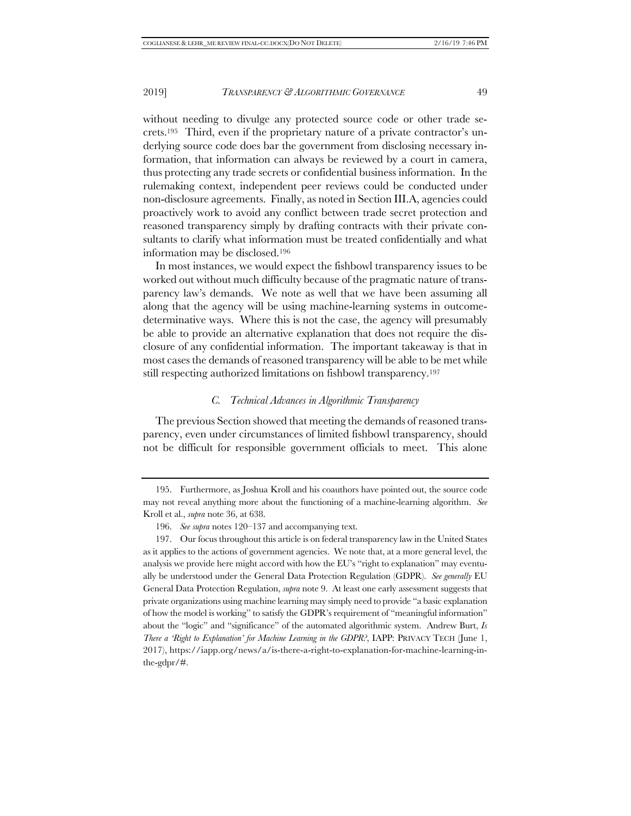without needing to divulge any protected source code or other trade secrets.195 Third, even if the proprietary nature of a private contractor's underlying source code does bar the government from disclosing necessary information, that information can always be reviewed by a court in camera, thus protecting any trade secrets or confidential business information. In the rulemaking context, independent peer reviews could be conducted under non-disclosure agreements. Finally, as noted in Section III.A, agencies could proactively work to avoid any conflict between trade secret protection and reasoned transparency simply by drafting contracts with their private consultants to clarify what information must be treated confidentially and what information may be disclosed.196

In most instances, we would expect the fishbowl transparency issues to be worked out without much difficulty because of the pragmatic nature of transparency law's demands. We note as well that we have been assuming all along that the agency will be using machine-learning systems in outcomedeterminative ways. Where this is not the case, the agency will presumably be able to provide an alternative explanation that does not require the disclosure of any confidential information. The important takeaway is that in most cases the demands of reasoned transparency will be able to be met while still respecting authorized limitations on fishbowl transparency.197

#### *C. Technical Advances in Algorithmic Transparency*

The previous Section showed that meeting the demands of reasoned transparency, even under circumstances of limited fishbowl transparency, should not be difficult for responsible government officials to meet. This alone

<sup>195.</sup> Furthermore, as Joshua Kroll and his coauthors have pointed out, the source code may not reveal anything more about the functioning of a machine-learning algorithm. *See* Kroll et al., *supra* note 36, at 638.

<sup>196.</sup> *See supra* notes 120–137 and accompanying text.

<sup>197.</sup> Our focus throughout this article is on federal transparency law in the United States as it applies to the actions of government agencies. We note that, at a more general level, the analysis we provide here might accord with how the EU's "right to explanation" may eventually be understood under the General Data Protection Regulation (GDPR). *See generally* EU General Data Protection Regulation, *supra* note 9. At least one early assessment suggests that private organizations using machine learning may simply need to provide "a basic explanation of how the model is working" to satisfy the GDPR's requirement of "meaningful information" about the "logic" and "significance" of the automated algorithmic system. Andrew Burt, *Is There a 'Right to Explanation' for Machine Learning in the GDPR?*, IAPP: PRIVACY TECH (June 1, 2017), https://iapp.org/news/a/is-there-a-right-to-explanation-for-machine-learning-inthe-gdpr/#.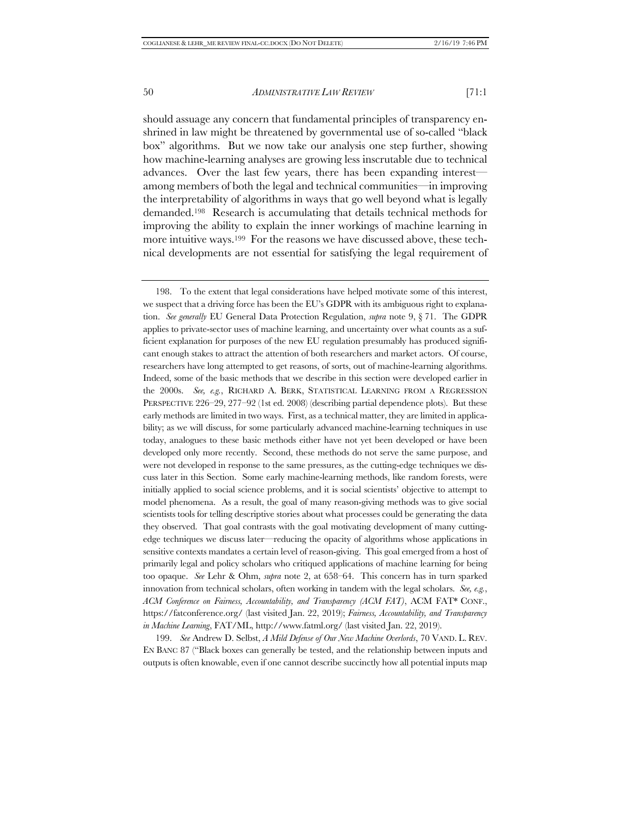should assuage any concern that fundamental principles of transparency enshrined in law might be threatened by governmental use of so-called "black box" algorithms. But we now take our analysis one step further, showing how machine-learning analyses are growing less inscrutable due to technical advances. Over the last few years, there has been expanding interest among members of both the legal and technical communities—in improving the interpretability of algorithms in ways that go well beyond what is legally demanded.198 Research is accumulating that details technical methods for improving the ability to explain the inner workings of machine learning in more intuitive ways.199 For the reasons we have discussed above, these technical developments are not essential for satisfying the legal requirement of

199. *See* Andrew D. Selbst, *A Mild Defense of Our New Machine Overlords*, 70 VAND. L. REV. EN BANC 87 ("Black boxes can generally be tested, and the relationship between inputs and outputs is often knowable, even if one cannot describe succinctly how all potential inputs map

<sup>198.</sup> To the extent that legal considerations have helped motivate some of this interest, we suspect that a driving force has been the EU's GDPR with its ambiguous right to explanation. *See generally* EU General Data Protection Regulation, *supra* note 9, § 71. The GDPR applies to private-sector uses of machine learning, and uncertainty over what counts as a sufficient explanation for purposes of the new EU regulation presumably has produced significant enough stakes to attract the attention of both researchers and market actors. Of course, researchers have long attempted to get reasons, of sorts, out of machine-learning algorithms. Indeed, some of the basic methods that we describe in this section were developed earlier in the 2000s. *See, e.g.*, RICHARD A. BERK, STATISTICAL LEARNING FROM A REGRESSION PERSPECTIVE 226–29, 277–92 (1st ed. 2008) (describing partial dependence plots). But these early methods are limited in two ways. First, as a technical matter, they are limited in applicability; as we will discuss, for some particularly advanced machine-learning techniques in use today, analogues to these basic methods either have not yet been developed or have been developed only more recently. Second, these methods do not serve the same purpose, and were not developed in response to the same pressures, as the cutting-edge techniques we discuss later in this Section. Some early machine-learning methods, like random forests, were initially applied to social science problems, and it is social scientists' objective to attempt to model phenomena. As a result, the goal of many reason-giving methods was to give social scientists tools for telling descriptive stories about what processes could be generating the data they observed. That goal contrasts with the goal motivating development of many cuttingedge techniques we discuss later—reducing the opacity of algorithms whose applications in sensitive contexts mandates a certain level of reason-giving. This goal emerged from a host of primarily legal and policy scholars who critiqued applications of machine learning for being too opaque. *See* Lehr & Ohm, *supra* note 2, at 658–64. This concern has in turn sparked innovation from technical scholars, often working in tandem with the legal scholars. *See, e.g.*, *ACM Conference on Fairness, Accountability, and Transparency (ACM FAT)*, ACM FAT\* CONF., https://fatconference.org/ (last visited Jan. 22, 2019); *Fairness, Accountability, and Transparency in Machine Learning*, FAT/ML, http://www.fatml.org/ (last visited Jan. 22, 2019).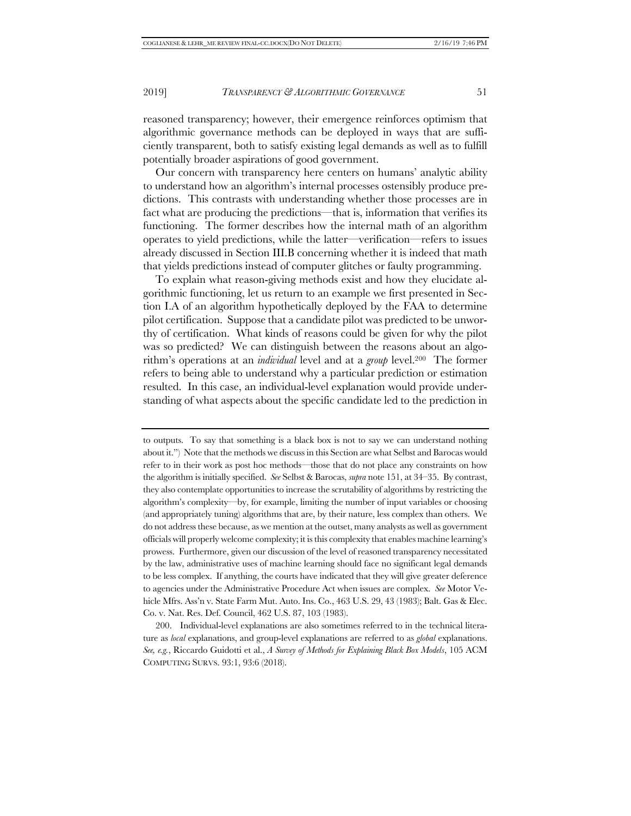reasoned transparency; however, their emergence reinforces optimism that algorithmic governance methods can be deployed in ways that are sufficiently transparent, both to satisfy existing legal demands as well as to fulfill potentially broader aspirations of good government.

Our concern with transparency here centers on humans' analytic ability to understand how an algorithm's internal processes ostensibly produce predictions. This contrasts with understanding whether those processes are in fact what are producing the predictions—that is, information that verifies its functioning. The former describes how the internal math of an algorithm operates to yield predictions, while the latter—verification—refers to issues already discussed in Section III.B concerning whether it is indeed that math that yields predictions instead of computer glitches or faulty programming.

To explain what reason-giving methods exist and how they elucidate algorithmic functioning, let us return to an example we first presented in Section I.A of an algorithm hypothetically deployed by the FAA to determine pilot certification. Suppose that a candidate pilot was predicted to be unworthy of certification. What kinds of reasons could be given for why the pilot was so predicted? We can distinguish between the reasons about an algorithm's operations at an *individual* level and at a *group* level.200 The former refers to being able to understand why a particular prediction or estimation resulted. In this case, an individual-level explanation would provide understanding of what aspects about the specific candidate led to the prediction in

to outputs. To say that something is a black box is not to say we can understand nothing about it.") Note that the methods we discuss in this Section are what Selbst and Barocas would refer to in their work as post hoc methods—those that do not place any constraints on how the algorithm is initially specified. *See* Selbst & Barocas, *supra* note 151, at 34–35. By contrast, they also contemplate opportunities to increase the scrutability of algorithms by restricting the algorithm's complexity—by, for example, limiting the number of input variables or choosing (and appropriately tuning) algorithms that are, by their nature, less complex than others. We do not address these because, as we mention at the outset, many analysts as well as government officials will properly welcome complexity; it is this complexity that enables machine learning's prowess. Furthermore, given our discussion of the level of reasoned transparency necessitated by the law, administrative uses of machine learning should face no significant legal demands to be less complex. If anything, the courts have indicated that they will give greater deference to agencies under the Administrative Procedure Act when issues are complex. *See* Motor Vehicle Mfrs. Ass'n v. State Farm Mut. Auto. Ins. Co., 463 U.S. 29, 43 (1983); Balt. Gas & Elec. Co. v. Nat. Res. Def. Council, 462 U.S. 87, 103 (1983).

<sup>200.</sup> Individual-level explanations are also sometimes referred to in the technical literature as *local* explanations, and group-level explanations are referred to as *global* explanations. *See, e.g.*, Riccardo Guidotti et al., *A Survey of Methods for Explaining Black Box Models*, 105 ACM COMPUTING SURVS. 93:1, 93:6 (2018).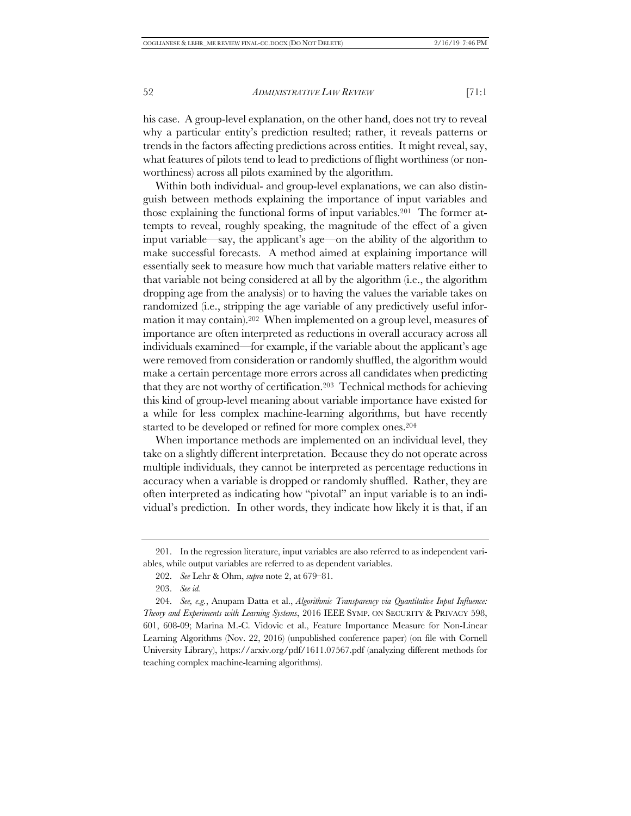his case. A group-level explanation, on the other hand, does not try to reveal why a particular entity's prediction resulted; rather, it reveals patterns or trends in the factors affecting predictions across entities. It might reveal, say, what features of pilots tend to lead to predictions of flight worthiness (or nonworthiness) across all pilots examined by the algorithm.

Within both individual- and group-level explanations, we can also distinguish between methods explaining the importance of input variables and those explaining the functional forms of input variables.201 The former attempts to reveal, roughly speaking, the magnitude of the effect of a given input variable—say, the applicant's age—on the ability of the algorithm to make successful forecasts. A method aimed at explaining importance will essentially seek to measure how much that variable matters relative either to that variable not being considered at all by the algorithm (i.e., the algorithm dropping age from the analysis) or to having the values the variable takes on randomized (i.e., stripping the age variable of any predictively useful information it may contain).202 When implemented on a group level, measures of importance are often interpreted as reductions in overall accuracy across all individuals examined—for example, if the variable about the applicant's age were removed from consideration or randomly shuffled, the algorithm would make a certain percentage more errors across all candidates when predicting that they are not worthy of certification.203 Technical methods for achieving this kind of group-level meaning about variable importance have existed for a while for less complex machine-learning algorithms, but have recently started to be developed or refined for more complex ones.204

When importance methods are implemented on an individual level, they take on a slightly different interpretation. Because they do not operate across multiple individuals, they cannot be interpreted as percentage reductions in accuracy when a variable is dropped or randomly shuffled. Rather, they are often interpreted as indicating how "pivotal" an input variable is to an individual's prediction. In other words, they indicate how likely it is that, if an

<sup>201.</sup> In the regression literature, input variables are also referred to as independent variables, while output variables are referred to as dependent variables.

<sup>202.</sup> *See* Lehr & Ohm, *supra* note 2, at 679–81.

<sup>203.</sup> *See id.*

<sup>204.</sup> *See, e.g.*, Anupam Datta et al., *Algorithmic Transparency via Quantitative Input Influence: Theory and Experiments with Learning Systems*, 2016 IEEE SYMP. ON SECURITY & PRIVACY 598, 601, 608-09; Marina M.-C. Vidovic et al., Feature Importance Measure for Non-Linear Learning Algorithms (Nov. 22, 2016) (unpublished conference paper) (on file with Cornell University Library), https://arxiv.org/pdf/1611.07567.pdf (analyzing different methods for teaching complex machine-learning algorithms).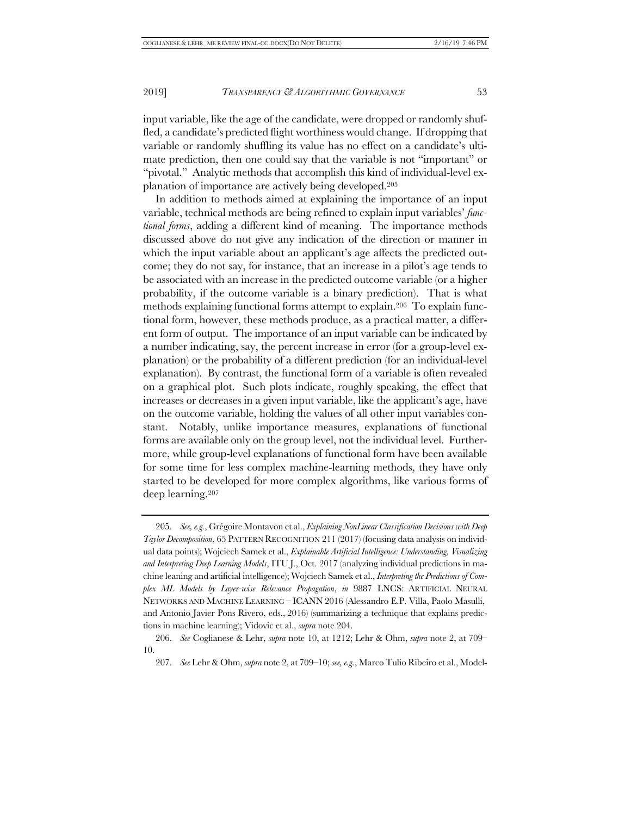input variable, like the age of the candidate, were dropped or randomly shuffled, a candidate's predicted flight worthiness would change. If dropping that variable or randomly shuffling its value has no effect on a candidate's ultimate prediction, then one could say that the variable is not "important" or "pivotal." Analytic methods that accomplish this kind of individual-level explanation of importance are actively being developed.205

In addition to methods aimed at explaining the importance of an input variable, technical methods are being refined to explain input variables' *functional forms*, adding a different kind of meaning. The importance methods discussed above do not give any indication of the direction or manner in which the input variable about an applicant's age affects the predicted outcome; they do not say, for instance, that an increase in a pilot's age tends to be associated with an increase in the predicted outcome variable (or a higher probability, if the outcome variable is a binary prediction). That is what methods explaining functional forms attempt to explain.206 To explain functional form, however, these methods produce, as a practical matter, a different form of output. The importance of an input variable can be indicated by a number indicating, say, the percent increase in error (for a group-level explanation) or the probability of a different prediction (for an individual-level explanation). By contrast, the functional form of a variable is often revealed on a graphical plot. Such plots indicate, roughly speaking, the effect that increases or decreases in a given input variable, like the applicant's age, have on the outcome variable, holding the values of all other input variables constant. Notably, unlike importance measures, explanations of functional forms are available only on the group level, not the individual level. Furthermore, while group-level explanations of functional form have been available for some time for less complex machine-learning methods, they have only started to be developed for more complex algorithms, like various forms of deep learning.207

<sup>205.</sup> *See, e.g.*, Grégoire Montavon et al., *Explaining NonLinear Classification Decisions with Deep Taylor Decomposition*, 65 PATTERN RECOGNITION 211 (2017) (focusing data analysis on individual data points); Wojciech Samek et al., *Explainable Artificial Intelligence: Understanding, Visualizing and Interpreting Deep Learning Models*, ITU J., Oct. 2017 (analyzing individual predictions in machine leaning and artificial intelligence); Wojciech Samek et al., *Interpreting the Predictions of Complex ML Models by Layer-wise Relevance Propagation*, *in* 9887 LNCS: ARTIFICIAL NEURAL NETWORKS AND MACHINE LEARNING – ICANN 2016 (Alessandro E.P. Villa, Paolo Masulli, and Antonio Javier Pons Rivero, eds., 2016) (summarizing a technique that explains predictions in machine learning); Vidovic et al., *supra* note 204.

<sup>206.</sup> *See* Coglianese & Lehr, *supra* note 10, at 1212; Lehr & Ohm, *supra* note 2, at 709– 10.

<sup>207.</sup> *See* Lehr & Ohm, *supra* note 2, at 709–10; *see, e.g.*, Marco Tulio Ribeiro et al., Model-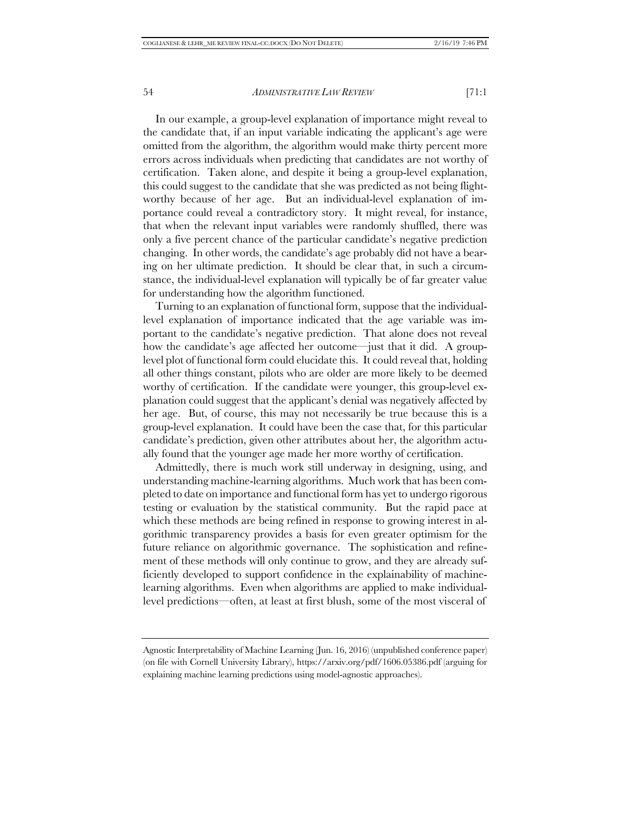In our example, a group-level explanation of importance might reveal to the candidate that, if an input variable indicating the applicant's age were omitted from the algorithm, the algorithm would make thirty percent more errors across individuals when predicting that candidates are not worthy of certification. Taken alone, and despite it being a group-level explanation, this could suggest to the candidate that she was predicted as not being flightworthy because of her age. But an individual-level explanation of importance could reveal a contradictory story. It might reveal, for instance, that when the relevant input variables were randomly shuffled, there was only a five percent chance of the particular candidate's negative prediction changing. In other words, the candidate's age probably did not have a bearing on her ultimate prediction. It should be clear that, in such a circumstance, the individual-level explanation will typically be of far greater value for understanding how the algorithm functioned.

Turning to an explanation of functional form, suppose that the individuallevel explanation of importance indicated that the age variable was important to the candidate's negative prediction. That alone does not reveal how the candidate's age affected her outcome—just that it did. A grouplevel plot of functional form could elucidate this. It could reveal that, holding all other things constant, pilots who are older are more likely to be deemed worthy of certification. If the candidate were younger, this group-level explanation could suggest that the applicant's denial was negatively affected by her age. But, of course, this may not necessarily be true because this is a group-level explanation. It could have been the case that, for this particular candidate's prediction, given other attributes about her, the algorithm actually found that the younger age made her more worthy of certification.

Admittedly, there is much work still underway in designing, using, and understanding machine-learning algorithms. Much work that has been completed to date on importance and functional form has yet to undergo rigorous testing or evaluation by the statistical community. But the rapid pace at which these methods are being refined in response to growing interest in algorithmic transparency provides a basis for even greater optimism for the future reliance on algorithmic governance. The sophistication and refinement of these methods will only continue to grow, and they are already sufficiently developed to support confidence in the explainability of machinelearning algorithms. Even when algorithms are applied to make individuallevel predictions—often, at least at first blush, some of the most visceral of

Agnostic Interpretability of Machine Learning (Jun. 16, 2016) (unpublished conference paper) (on file with Cornell University Library), https://arxiv.org/pdf/1606.05386.pdf (arguing for explaining machine learning predictions using model-agnostic approaches).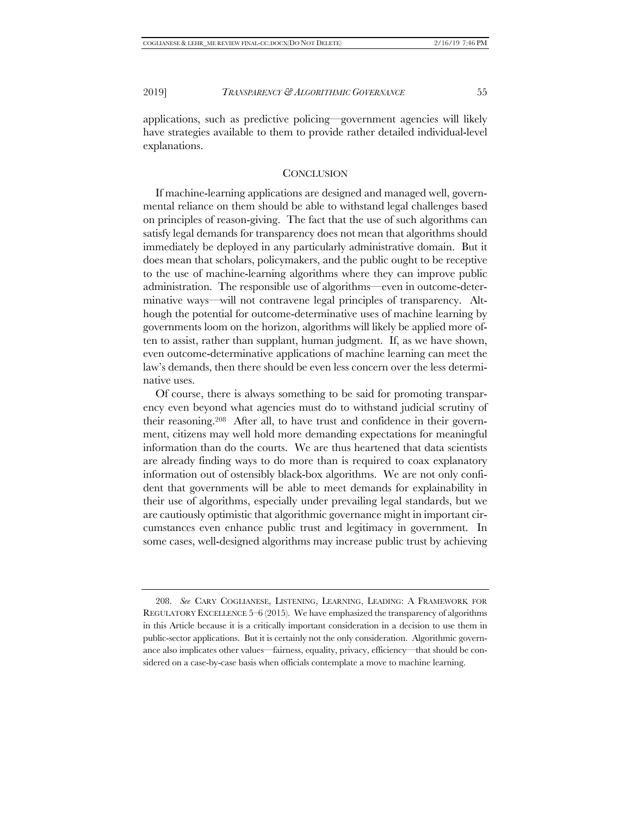applications, such as predictive policing—government agencies will likely have strategies available to them to provide rather detailed individual-level explanations.

#### **CONCLUSION**

If machine-learning applications are designed and managed well, governmental reliance on them should be able to withstand legal challenges based on principles of reason-giving. The fact that the use of such algorithms can satisfy legal demands for transparency does not mean that algorithms should immediately be deployed in any particularly administrative domain. But it does mean that scholars, policymakers, and the public ought to be receptive to the use of machine-learning algorithms where they can improve public administration. The responsible use of algorithms—even in outcome-determinative ways—will not contravene legal principles of transparency. Although the potential for outcome-determinative uses of machine learning by governments loom on the horizon, algorithms will likely be applied more often to assist, rather than supplant, human judgment. If, as we have shown, even outcome-determinative applications of machine learning can meet the law's demands, then there should be even less concern over the less determinative uses.

Of course, there is always something to be said for promoting transparency even beyond what agencies must do to withstand judicial scrutiny of their reasoning.208 After all, to have trust and confidence in their government, citizens may well hold more demanding expectations for meaningful information than do the courts. We are thus heartened that data scientists are already finding ways to do more than is required to coax explanatory information out of ostensibly black-box algorithms. We are not only confident that governments will be able to meet demands for explainability in their use of algorithms, especially under prevailing legal standards, but we are cautiously optimistic that algorithmic governance might in important circumstances even enhance public trust and legitimacy in government. In some cases, well-designed algorithms may increase public trust by achieving

<sup>208.</sup> *See* CARY COGLIANESE, LISTENING, LEARNING, LEADING: A FRAMEWORK FOR REGULATORY EXCELLENCE 5–6 (2015). We have emphasized the transparency of algorithms in this Article because it is a critically important consideration in a decision to use them in public-sector applications. But it is certainly not the only consideration. Algorithmic governance also implicates other values—fairness, equality, privacy, efficiency—that should be considered on a case-by-case basis when officials contemplate a move to machine learning.